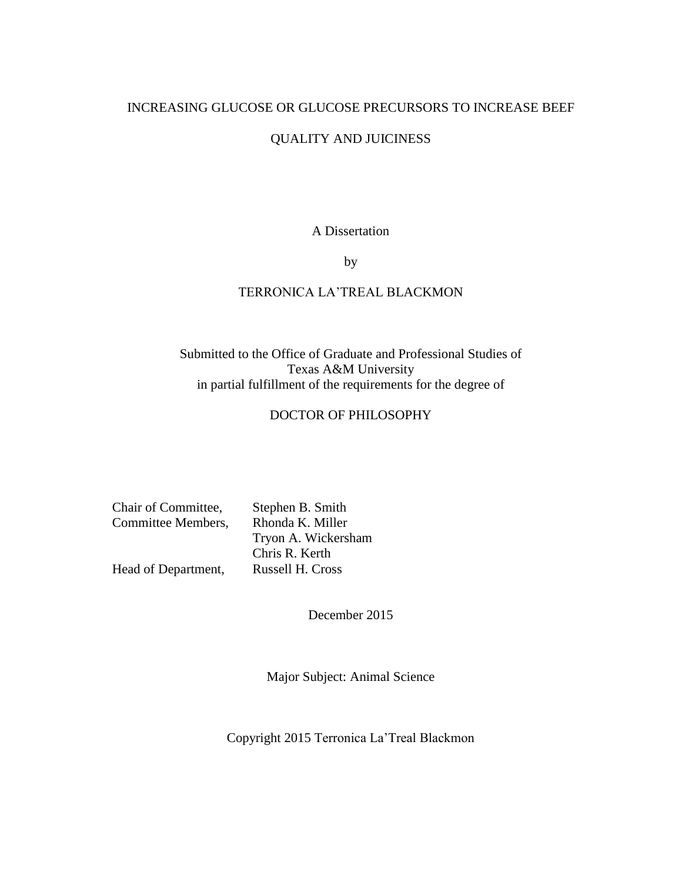# INCREASING GLUCOSE OR GLUCOSE PRECURSORS TO INCREASE BEEF

# QUALITY AND JUICINESS

# A Dissertation

by

# TERRONICA LA'TREAL BLACKMON

# Submitted to the Office of Graduate and Professional Studies of Texas A&M University in partial fulfillment of the requirements for the degree of

# DOCTOR OF PHILOSOPHY

| Chair of Committee, | Stephen B. Smith    |
|---------------------|---------------------|
| Committee Members,  | Rhonda K. Miller    |
|                     | Tryon A. Wickersham |
|                     | Chris R. Kerth      |
| Head of Department, | Russell H. Cross    |

December 2015

Major Subject: Animal Science

Copyright 2015 Terronica La'Treal Blackmon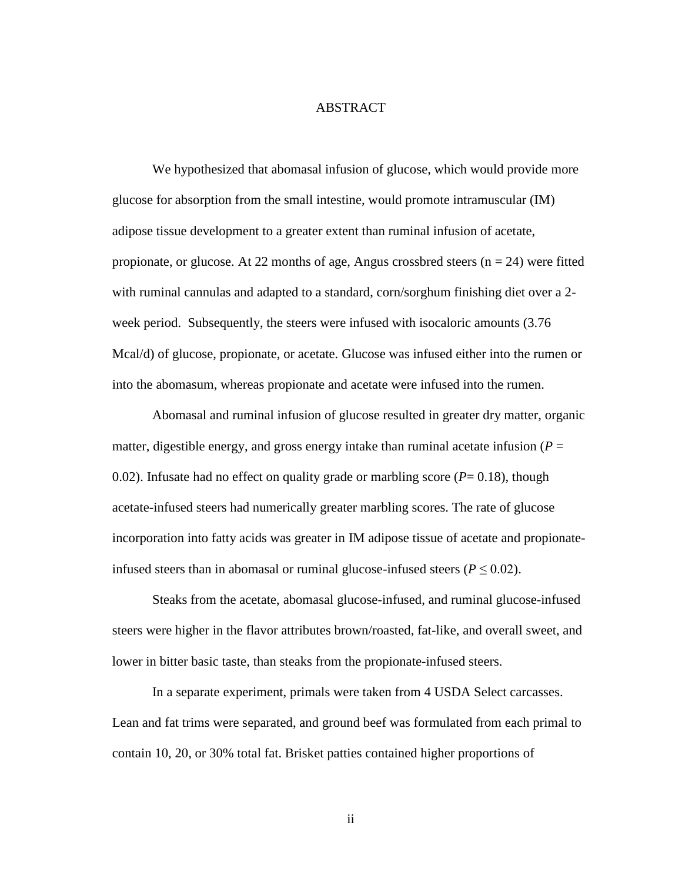# ABSTRACT

<span id="page-1-0"></span>We hypothesized that abomasal infusion of glucose, which would provide more glucose for absorption from the small intestine, would promote intramuscular (IM) adipose tissue development to a greater extent than ruminal infusion of acetate, propionate, or glucose. At 22 months of age, Angus crossbred steers  $(n = 24)$  were fitted with ruminal cannulas and adapted to a standard, corn/sorghum finishing diet over a 2 week period. Subsequently, the steers were infused with isocaloric amounts (3.76 Mcal/d) of glucose, propionate, or acetate. Glucose was infused either into the rumen or into the abomasum, whereas propionate and acetate were infused into the rumen.

Abomasal and ruminal infusion of glucose resulted in greater dry matter, organic matter, digestible energy, and gross energy intake than ruminal acetate infusion  $(P =$ 0.02). Infusate had no effect on quality grade or marbling score  $(P= 0.18)$ , though acetate-infused steers had numerically greater marbling scores. The rate of glucose incorporation into fatty acids was greater in IM adipose tissue of acetate and propionateinfused steers than in abomasal or ruminal glucose-infused steers ( $P \leq 0.02$ ).

Steaks from the acetate, abomasal glucose-infused, and ruminal glucose-infused steers were higher in the flavor attributes brown/roasted, fat-like, and overall sweet, and lower in bitter basic taste, than steaks from the propionate-infused steers.

In a separate experiment, primals were taken from 4 USDA Select carcasses. Lean and fat trims were separated, and ground beef was formulated from each primal to contain 10, 20, or 30% total fat. Brisket patties contained higher proportions of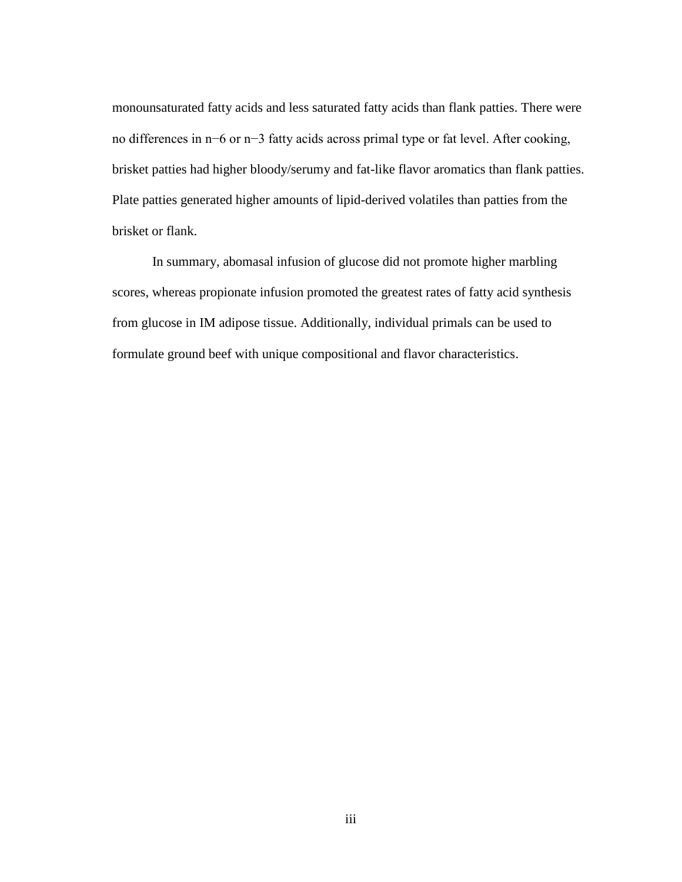monounsaturated fatty acids and less saturated fatty acids than flank patties. There were no differences in n−6 or n−3 fatty acids across primal type or fat level. After cooking, brisket patties had higher bloody/serumy and fat-like flavor aromatics than flank patties. Plate patties generated higher amounts of lipid-derived volatiles than patties from the brisket or flank.

In summary, abomasal infusion of glucose did not promote higher marbling scores, whereas propionate infusion promoted the greatest rates of fatty acid synthesis from glucose in IM adipose tissue. Additionally, individual primals can be used to formulate ground beef with unique compositional and flavor characteristics.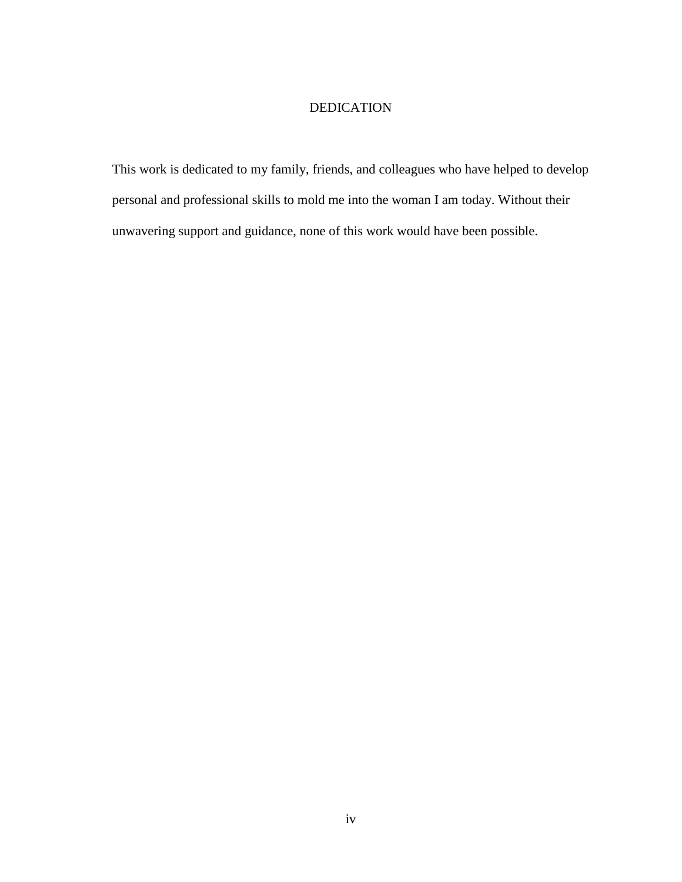# DEDICATION

<span id="page-3-0"></span>This work is dedicated to my family, friends, and colleagues who have helped to develop personal and professional skills to mold me into the woman I am today. Without their unwavering support and guidance, none of this work would have been possible.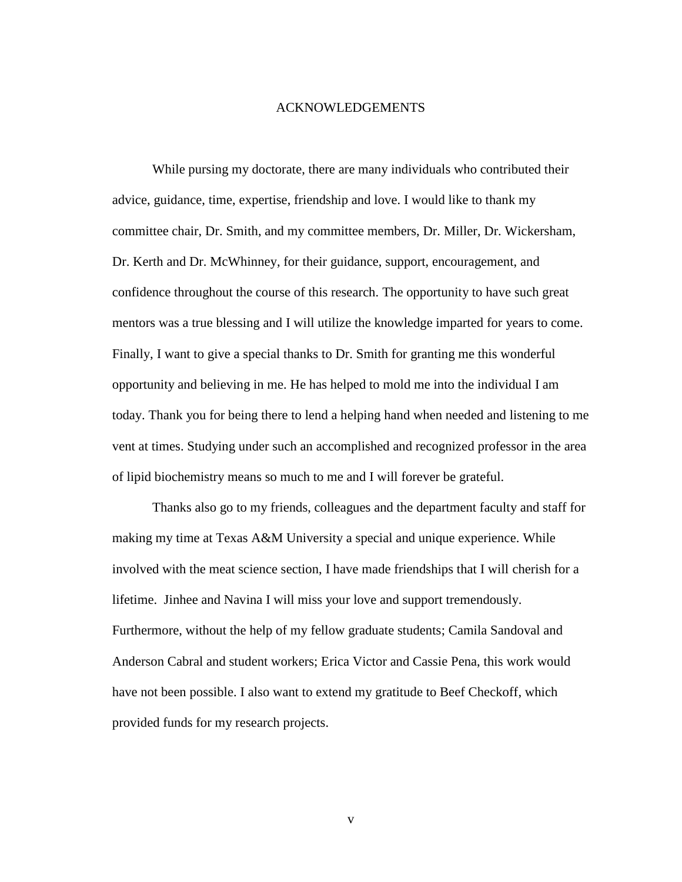# ACKNOWLEDGEMENTS

<span id="page-4-0"></span>While pursing my doctorate, there are many individuals who contributed their advice, guidance, time, expertise, friendship and love. I would like to thank my committee chair, Dr. Smith, and my committee members, Dr. Miller, Dr. Wickersham, Dr. Kerth and Dr. McWhinney, for their guidance, support, encouragement, and confidence throughout the course of this research. The opportunity to have such great mentors was a true blessing and I will utilize the knowledge imparted for years to come. Finally, I want to give a special thanks to Dr. Smith for granting me this wonderful opportunity and believing in me. He has helped to mold me into the individual I am today. Thank you for being there to lend a helping hand when needed and listening to me vent at times. Studying under such an accomplished and recognized professor in the area of lipid biochemistry means so much to me and I will forever be grateful.

Thanks also go to my friends, colleagues and the department faculty and staff for making my time at Texas A&M University a special and unique experience. While involved with the meat science section, I have made friendships that I will cherish for a lifetime. Jinhee and Navina I will miss your love and support tremendously. Furthermore, without the help of my fellow graduate students; Camila Sandoval and Anderson Cabral and student workers; Erica Victor and Cassie Pena, this work would have not been possible. I also want to extend my gratitude to Beef Checkoff, which provided funds for my research projects.

v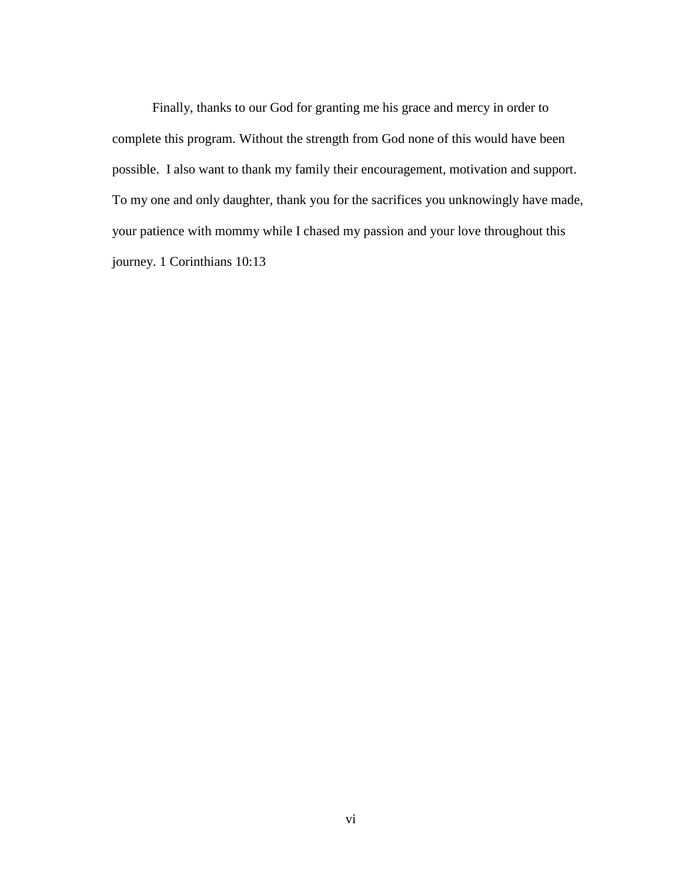Finally, thanks to our God for granting me his grace and mercy in order to complete this program. Without the strength from God none of this would have been possible. I also want to thank my family their encouragement, motivation and support. To my one and only daughter, thank you for the sacrifices you unknowingly have made, your patience with mommy while I chased my passion and your love throughout this journey. 1 Corinthians 10:13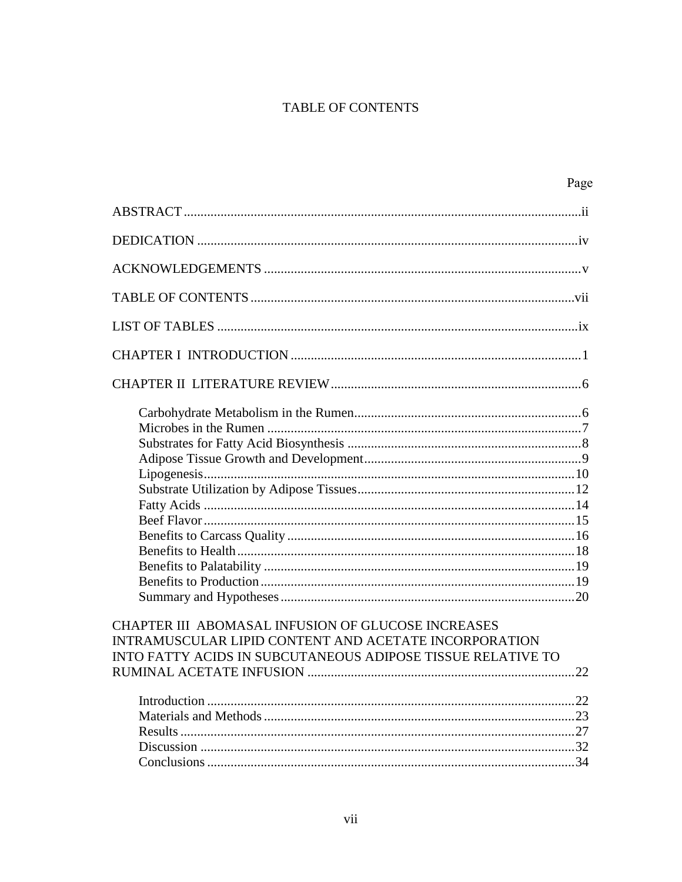# TABLE OF CONTENTS

<span id="page-6-0"></span>

| Page                                                                                                                                                                       |
|----------------------------------------------------------------------------------------------------------------------------------------------------------------------------|
|                                                                                                                                                                            |
|                                                                                                                                                                            |
|                                                                                                                                                                            |
|                                                                                                                                                                            |
|                                                                                                                                                                            |
|                                                                                                                                                                            |
|                                                                                                                                                                            |
|                                                                                                                                                                            |
| CHAPTER III ABOMASAL INFUSION OF GLUCOSE INCREASES<br>INTRAMUSCULAR LIPID CONTENT AND ACETATE INCORPORATION<br>INTO FATTY ACIDS IN SUBCUTANEOUS ADIPOSE TISSUE RELATIVE TO |
|                                                                                                                                                                            |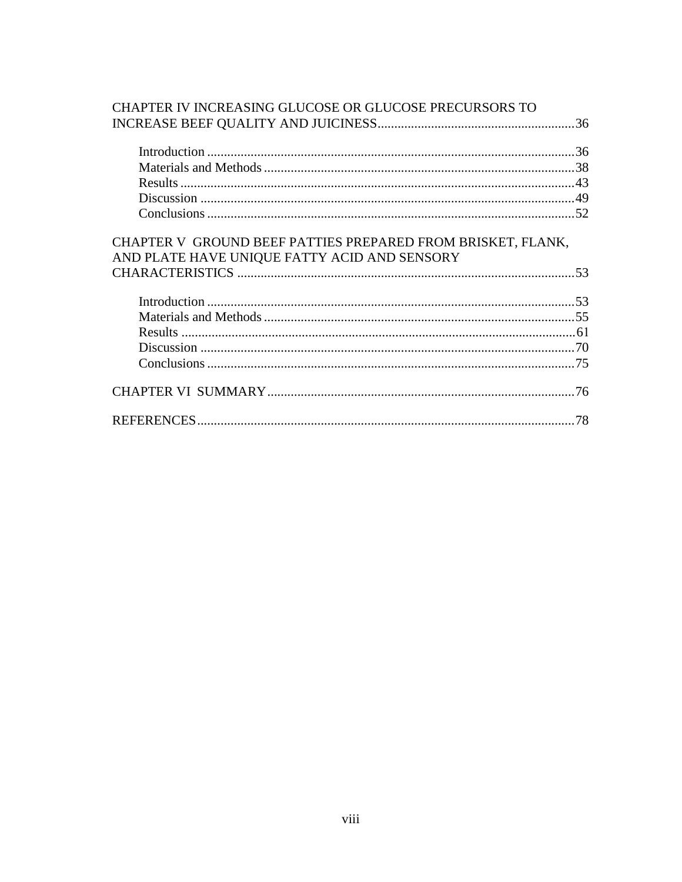| CHAPTER IV INCREASING GLUCOSE OR GLUCOSE PRECURSORS TO                                                      |     |
|-------------------------------------------------------------------------------------------------------------|-----|
|                                                                                                             |     |
|                                                                                                             |     |
|                                                                                                             |     |
|                                                                                                             |     |
|                                                                                                             |     |
|                                                                                                             |     |
| CHAPTER V GROUND BEEF PATTIES PREPARED FROM BRISKET, FLANK,<br>AND PLATE HAVE UNIQUE FATTY ACID AND SENSORY |     |
|                                                                                                             |     |
|                                                                                                             |     |
|                                                                                                             |     |
|                                                                                                             |     |
|                                                                                                             |     |
|                                                                                                             |     |
|                                                                                                             | .76 |
|                                                                                                             | .78 |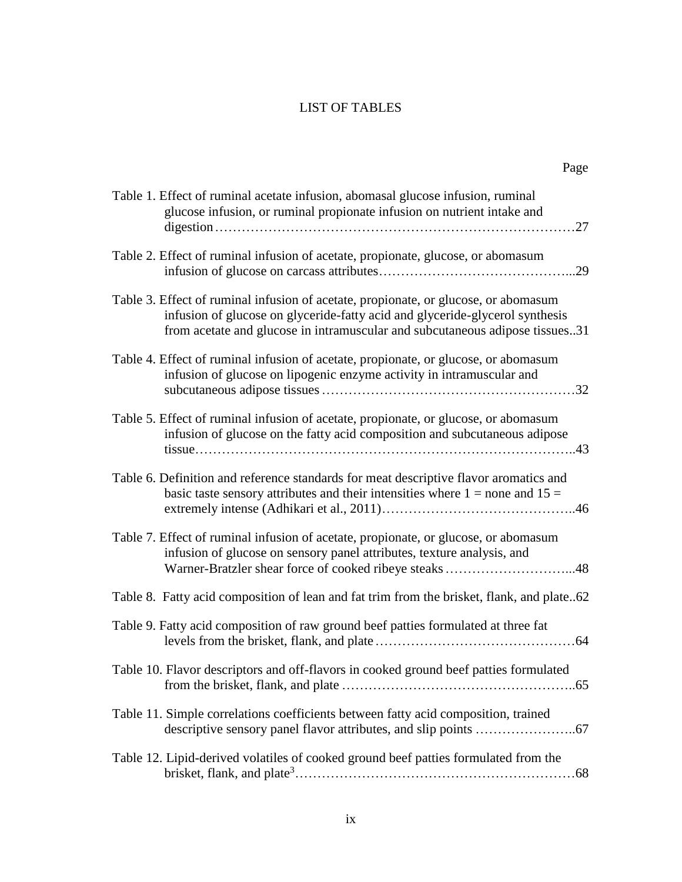# LIST OF TABLES

<span id="page-8-0"></span>

| Table 1. Effect of ruminal acetate infusion, abomasal glucose infusion, ruminal<br>glucose infusion, or ruminal propionate infusion on nutrient intake and                                                                                          |
|-----------------------------------------------------------------------------------------------------------------------------------------------------------------------------------------------------------------------------------------------------|
| Table 2. Effect of ruminal infusion of acetate, propionate, glucose, or abomasum<br>.29                                                                                                                                                             |
| Table 3. Effect of ruminal infusion of acetate, propionate, or glucose, or abomasum<br>infusion of glucose on glyceride-fatty acid and glyceride-glycerol synthesis<br>from acetate and glucose in intramuscular and subcutaneous adipose tissues31 |
| Table 4. Effect of ruminal infusion of acetate, propionate, or glucose, or abomasum<br>infusion of glucose on lipogenic enzyme activity in intramuscular and                                                                                        |
| Table 5. Effect of ruminal infusion of acetate, propionate, or glucose, or abomasum<br>infusion of glucose on the fatty acid composition and subcutaneous adipose                                                                                   |
| Table 6. Definition and reference standards for meat descriptive flavor aromatics and<br>basic taste sensory attributes and their intensities where $1 =$ none and $15 =$                                                                           |
| Table 7. Effect of ruminal infusion of acetate, propionate, or glucose, or abomasum<br>infusion of glucose on sensory panel attributes, texture analysis, and<br>Warner-Bratzler shear force of cooked ribeye steaks 48                             |
| Table 8. Fatty acid composition of lean and fat trim from the brisket, flank, and plate62                                                                                                                                                           |
| Table 9. Fatty acid composition of raw ground beef patties formulated at three fat                                                                                                                                                                  |
| Table 10. Flavor descriptors and off-flavors in cooked ground beef patties formulated                                                                                                                                                               |
| Table 11. Simple correlations coefficients between fatty acid composition, trained                                                                                                                                                                  |
| Table 12. Lipid-derived volatiles of cooked ground beef patties formulated from the                                                                                                                                                                 |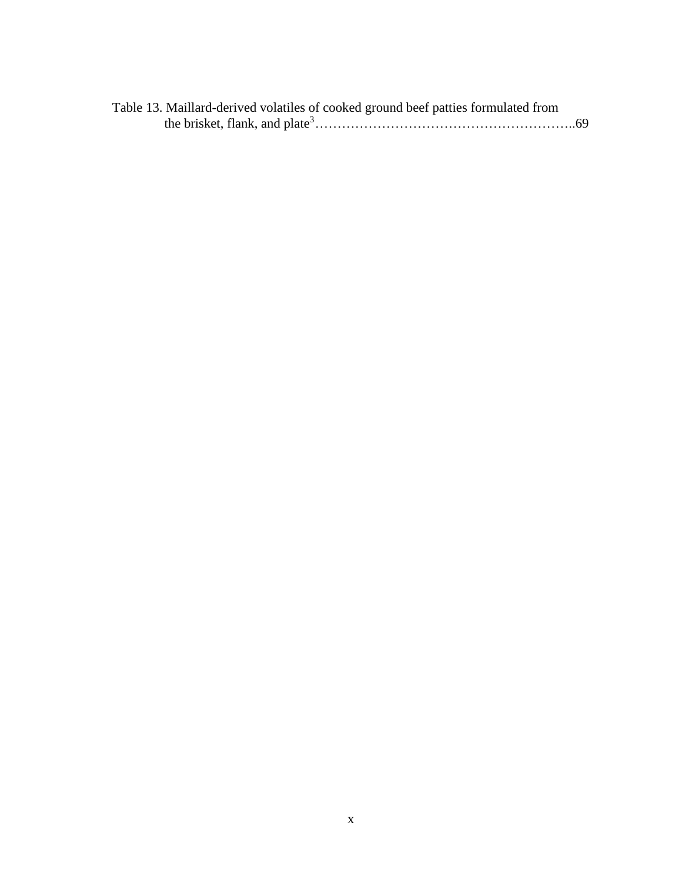| Table 13. Maillard-derived volatiles of cooked ground beef patties formulated from |  |
|------------------------------------------------------------------------------------|--|
|                                                                                    |  |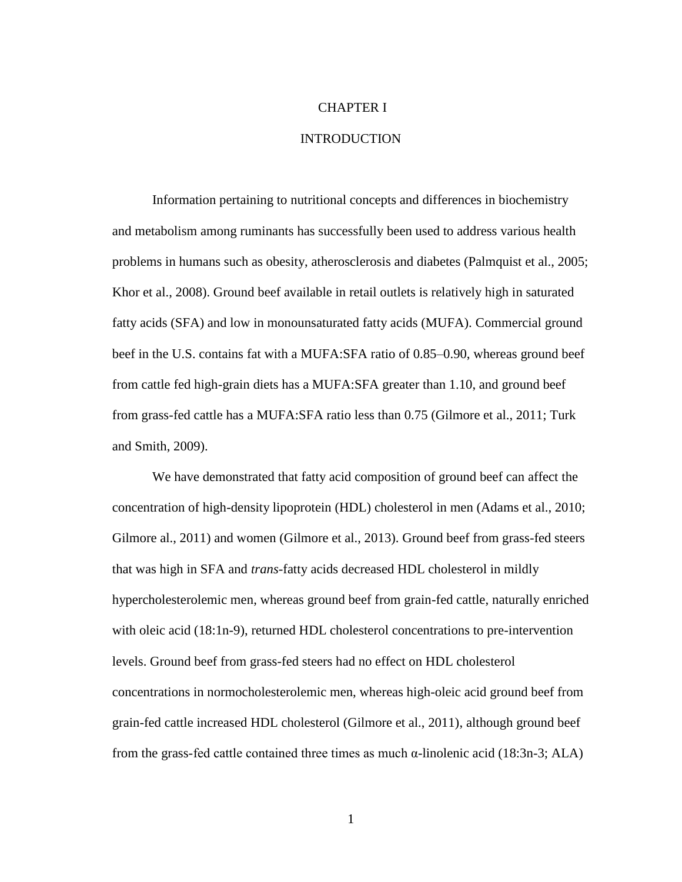# <span id="page-10-0"></span>CHAPTER I

#### INTRODUCTION

Information pertaining to nutritional concepts and differences in biochemistry and metabolism among ruminants has successfully been used to address various health problems in humans such as obesity, atherosclerosis and diabetes (Palmquist et al., 2005; Khor et al., 2008). Ground beef available in retail outlets is relatively high in saturated fatty acids (SFA) and low in monounsaturated fatty acids (MUFA). Commercial ground beef in the U.S. contains fat with a MUFA:SFA ratio of 0.85–0.90, whereas ground beef from cattle fed high-grain diets has a MUFA:SFA greater than 1.10, and ground beef from grass-fed cattle has a MUFA:SFA ratio less than 0.75 (Gilmore et al., 2011; Turk and Smith, 2009).

We have demonstrated that fatty acid composition of ground beef can affect the concentration of high-density lipoprotein (HDL) cholesterol in men (Adams et al., 2010; Gilmore al., 2011) and women (Gilmore et al., 2013). Ground beef from grass-fed steers that was high in SFA and *trans*-fatty acids decreased HDL cholesterol in mildly hypercholesterolemic men, whereas ground beef from grain-fed cattle, naturally enriched with oleic acid (18:1n-9), returned HDL cholesterol concentrations to pre-intervention levels. Ground beef from grass-fed steers had no effect on HDL cholesterol concentrations in normocholesterolemic men, whereas high-oleic acid ground beef from grain-fed cattle increased HDL cholesterol (Gilmore et al., 2011), although ground beef from the grass-fed cattle contained three times as much  $\alpha$ -linolenic acid (18:3n-3; ALA)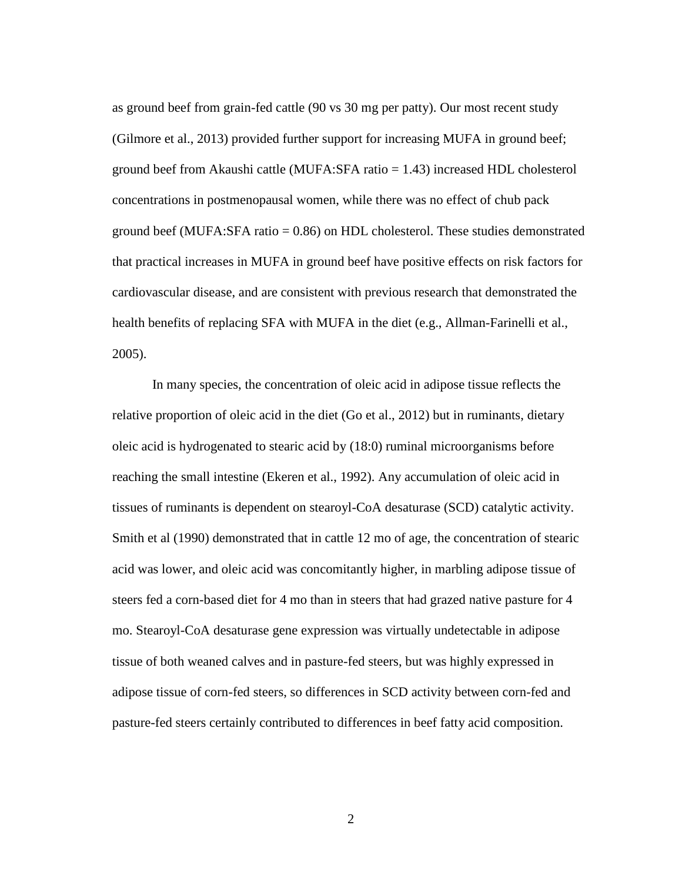as ground beef from grain-fed cattle (90 vs 30 mg per patty). Our most recent study (Gilmore et al., 2013) provided further support for increasing MUFA in ground beef; ground beef from Akaushi cattle (MUFA:SFA ratio = 1.43) increased HDL cholesterol concentrations in postmenopausal women, while there was no effect of chub pack ground beef (MUFA:SFA ratio = 0.86) on HDL cholesterol. These studies demonstrated that practical increases in MUFA in ground beef have positive effects on risk factors for cardiovascular disease, and are consistent with previous research that demonstrated the health benefits of replacing SFA with MUFA in the diet (e.g., Allman-Farinelli et al., 2005).

In many species, the concentration of oleic acid in adipose tissue reflects the relative proportion of oleic acid in the diet (Go et al., 2012) but in ruminants, dietary oleic acid is hydrogenated to stearic acid by (18:0) ruminal microorganisms before reaching the small intestine (Ekeren et al., 1992). Any accumulation of oleic acid in tissues of ruminants is dependent on stearoyl-CoA desaturase (SCD) catalytic activity. Smith et al (1990) demonstrated that in cattle 12 mo of age, the concentration of stearic acid was lower, and oleic acid was concomitantly higher, in marbling adipose tissue of steers fed a corn-based diet for 4 mo than in steers that had grazed native pasture for 4 mo. Stearoyl-CoA desaturase gene expression was virtually undetectable in adipose tissue of both weaned calves and in pasture-fed steers, but was highly expressed in adipose tissue of corn-fed steers, so differences in SCD activity between corn-fed and pasture-fed steers certainly contributed to differences in beef fatty acid composition.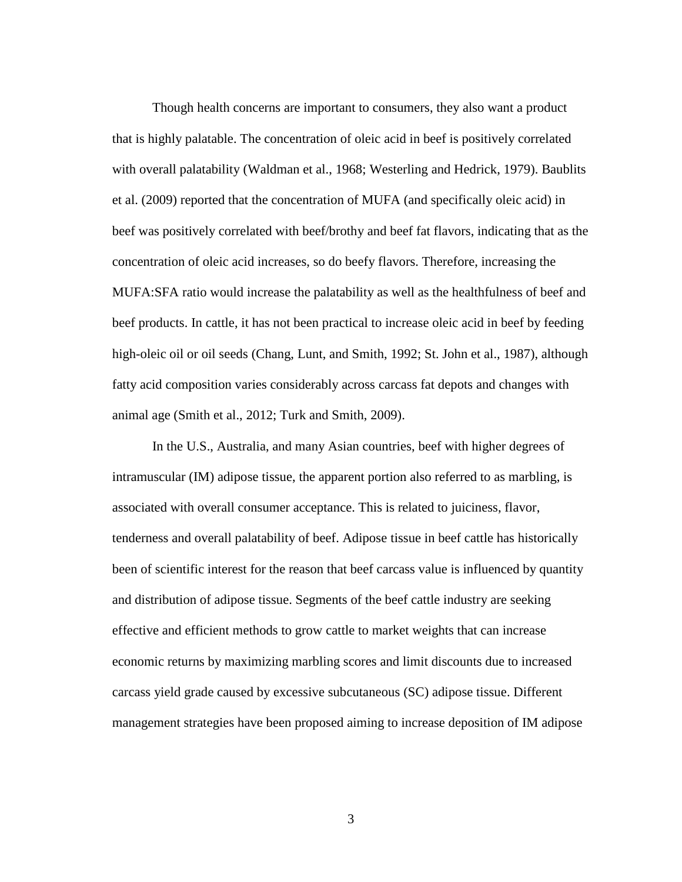Though health concerns are important to consumers, they also want a product that is highly palatable. The concentration of oleic acid in beef is positively correlated with overall palatability (Waldman et al., 1968; Westerling and Hedrick, 1979). Baublits et al. (2009) reported that the concentration of MUFA (and specifically oleic acid) in beef was positively correlated with beef/brothy and beef fat flavors, indicating that as the concentration of oleic acid increases, so do beefy flavors. Therefore, increasing the MUFA:SFA ratio would increase the palatability as well as the healthfulness of beef and beef products. In cattle, it has not been practical to increase oleic acid in beef by feeding high-oleic oil or oil seeds (Chang, Lunt, and Smith, 1992; St. John et al., 1987), although fatty acid composition varies considerably across carcass fat depots and changes with animal age (Smith et al., 2012; Turk and Smith, 2009).

In the U.S., Australia, and many Asian countries, beef with higher degrees of intramuscular (IM) adipose tissue, the apparent portion also referred to as marbling, is associated with overall consumer acceptance. This is related to juiciness, flavor, tenderness and overall palatability of beef. Adipose tissue in beef cattle has historically been of scientific interest for the reason that beef carcass value is influenced by quantity and distribution of adipose tissue. Segments of the beef cattle industry are seeking effective and efficient methods to grow cattle to market weights that can increase economic returns by maximizing marbling scores and limit discounts due to increased carcass yield grade caused by excessive subcutaneous (SC) adipose tissue. Different management strategies have been proposed aiming to increase deposition of IM adipose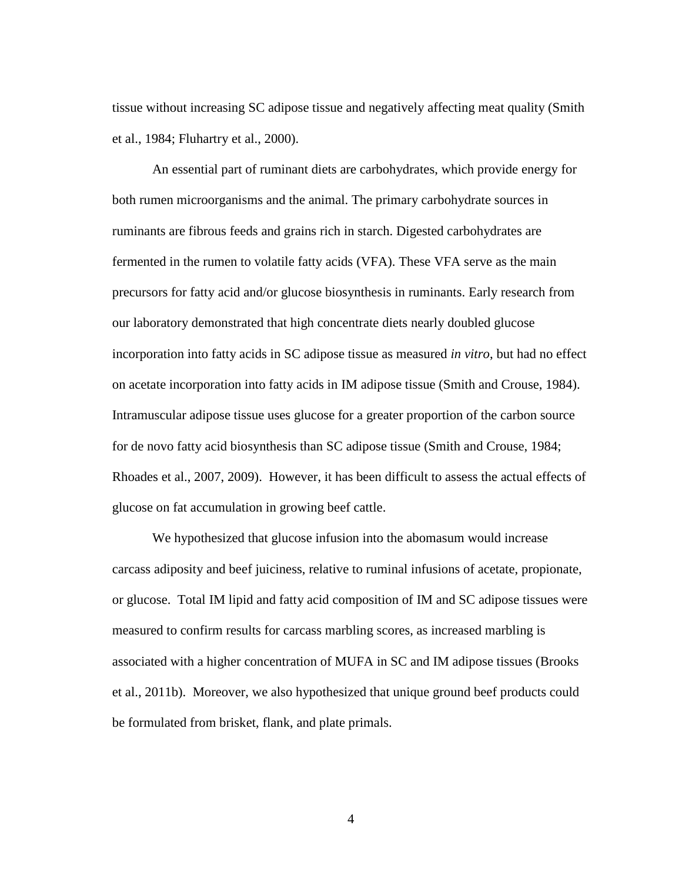tissue without increasing SC adipose tissue and negatively affecting meat quality (Smith et al., 1984; Fluhartry et al., 2000).

An essential part of ruminant diets are carbohydrates, which provide energy for both rumen microorganisms and the animal. The primary carbohydrate sources in ruminants are fibrous feeds and grains rich in starch. Digested carbohydrates are fermented in the rumen to volatile fatty acids (VFA). These VFA serve as the main precursors for fatty acid and/or glucose biosynthesis in ruminants. Early research from our laboratory demonstrated that high concentrate diets nearly doubled glucose incorporation into fatty acids in SC adipose tissue as measured *in vitro*, but had no effect on acetate incorporation into fatty acids in IM adipose tissue (Smith and Crouse, 1984). Intramuscular adipose tissue uses glucose for a greater proportion of the carbon source for de novo fatty acid biosynthesis than SC adipose tissue (Smith and Crouse, 1984; Rhoades et al., 2007, 2009). However, it has been difficult to assess the actual effects of glucose on fat accumulation in growing beef cattle.

We hypothesized that glucose infusion into the abomasum would increase carcass adiposity and beef juiciness, relative to ruminal infusions of acetate, propionate, or glucose. Total IM lipid and fatty acid composition of IM and SC adipose tissues were measured to confirm results for carcass marbling scores, as increased marbling is associated with a higher concentration of MUFA in SC and IM adipose tissues (Brooks et al., 2011b). Moreover, we also hypothesized that unique ground beef products could be formulated from brisket, flank, and plate primals.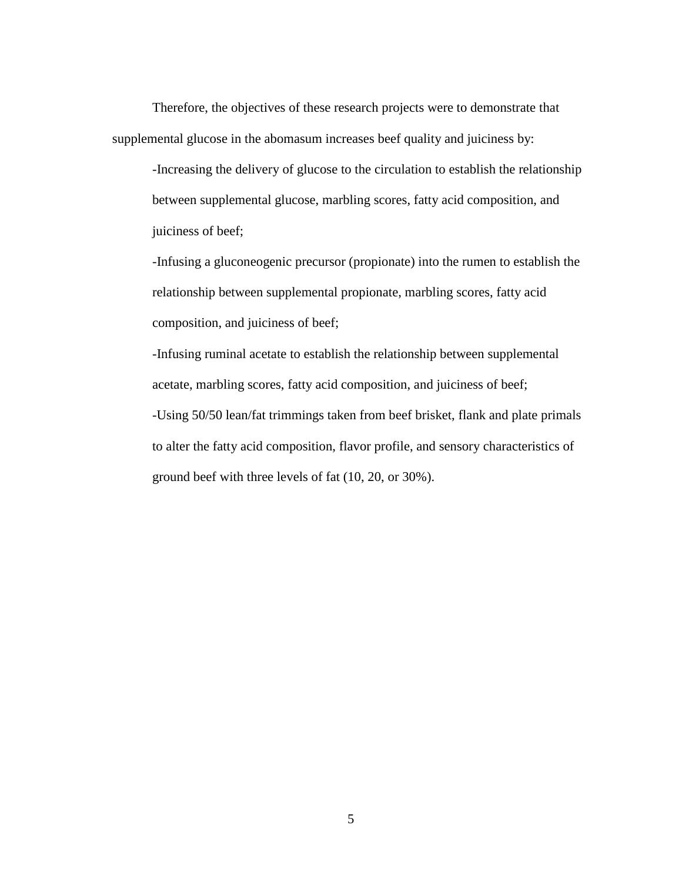Therefore, the objectives of these research projects were to demonstrate that supplemental glucose in the abomasum increases beef quality and juiciness by:

-Increasing the delivery of glucose to the circulation to establish the relationship between supplemental glucose, marbling scores, fatty acid composition, and juiciness of beef;

-Infusing a gluconeogenic precursor (propionate) into the rumen to establish the relationship between supplemental propionate, marbling scores, fatty acid composition, and juiciness of beef;

-Infusing ruminal acetate to establish the relationship between supplemental acetate, marbling scores, fatty acid composition, and juiciness of beef; -Using 50/50 lean/fat trimmings taken from beef brisket, flank and plate primals to alter the fatty acid composition, flavor profile, and sensory characteristics of ground beef with three levels of fat (10, 20, or 30%).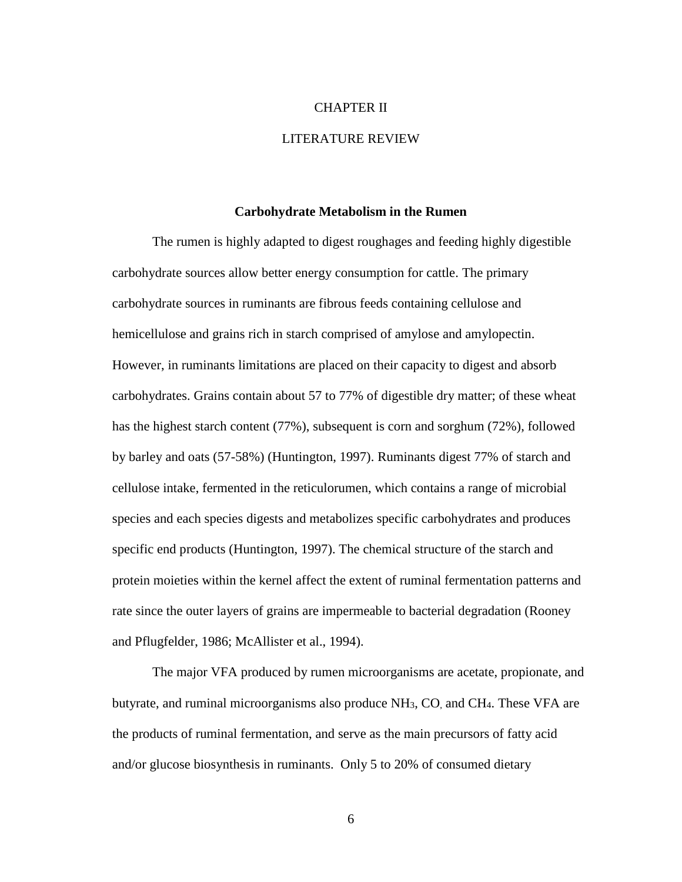## CHAPTER II

# LITERATURE REVIEW

#### **Carbohydrate Metabolism in the Rumen**

<span id="page-15-1"></span><span id="page-15-0"></span>The rumen is highly adapted to digest roughages and feeding highly digestible carbohydrate sources allow better energy consumption for cattle. The primary carbohydrate sources in ruminants are fibrous feeds containing cellulose and hemicellulose and grains rich in starch comprised of amylose and amylopectin. However, in ruminants limitations are placed on their capacity to digest and absorb carbohydrates. Grains contain about 57 to 77% of digestible dry matter; of these wheat has the highest starch content (77%), subsequent is corn and sorghum (72%), followed by barley and oats (57-58%) (Huntington, 1997). Ruminants digest 77% of starch and cellulose intake, fermented in the reticulorumen, which contains a range of microbial species and each species digests and metabolizes specific carbohydrates and produces specific end products (Huntington, 1997). The chemical structure of the starch and protein moieties within the kernel affect the extent of ruminal fermentation patterns and rate since the outer layers of grains are impermeable to bacterial degradation (Rooney and Pflugfelder, 1986; McAllister et al., 1994).

The major VFA produced by rumen microorganisms are acetate, propionate, and butyrate, and ruminal microorganisms also produce NH3, CO, and CH4. These VFA are the products of ruminal fermentation, and serve as the main precursors of fatty acid and/or glucose biosynthesis in ruminants. Only 5 to 20% of consumed dietary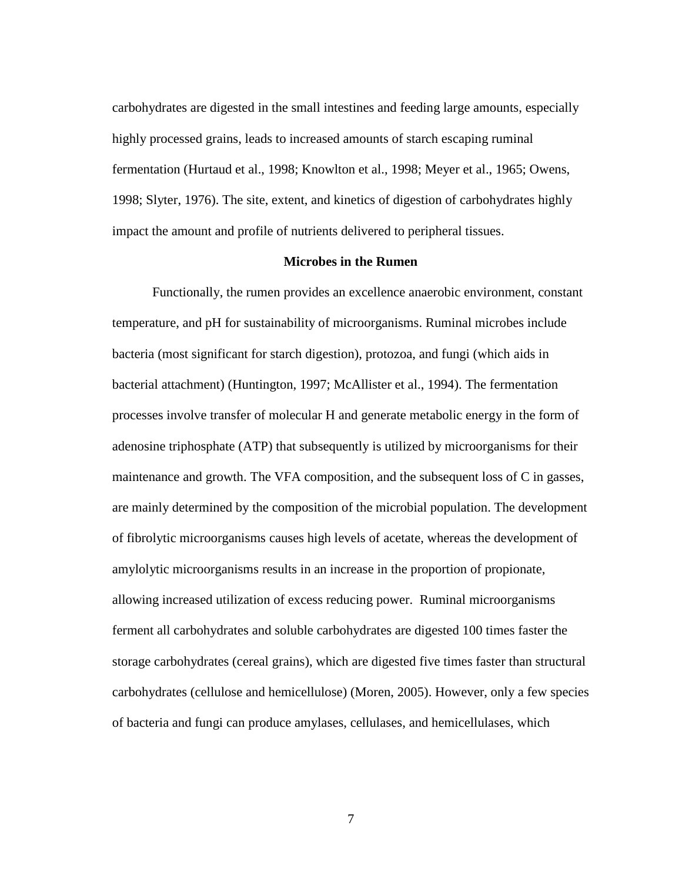carbohydrates are digested in the small intestines and feeding large amounts, especially highly processed grains, leads to increased amounts of starch escaping ruminal fermentation (Hurtaud et al., 1998; Knowlton et al., 1998; Meyer et al., 1965; Owens, 1998; Slyter, 1976). The site, extent, and kinetics of digestion of carbohydrates highly impact the amount and profile of nutrients delivered to peripheral tissues.

# **Microbes in the Rumen**

<span id="page-16-0"></span>Functionally, the rumen provides an excellence anaerobic environment, constant temperature, and pH for sustainability of microorganisms. Ruminal microbes include bacteria (most significant for starch digestion), protozoa, and fungi (which aids in bacterial attachment) (Huntington, 1997; McAllister et al., 1994). The fermentation processes involve transfer of molecular H and generate metabolic energy in the form of adenosine triphosphate (ATP) that subsequently is utilized by microorganisms for their maintenance and growth. The VFA composition, and the subsequent loss of C in gasses, are mainly determined by the composition of the microbial population. The development of fibrolytic microorganisms causes high levels of acetate, whereas the development of amylolytic microorganisms results in an increase in the proportion of propionate, allowing increased utilization of excess reducing power. Ruminal microorganisms ferment all carbohydrates and soluble carbohydrates are digested 100 times faster the storage carbohydrates (cereal grains), which are digested five times faster than structural carbohydrates (cellulose and hemicellulose) (Moren, 2005). However, only a few species of bacteria and fungi can produce amylases, cellulases, and hemicellulases, which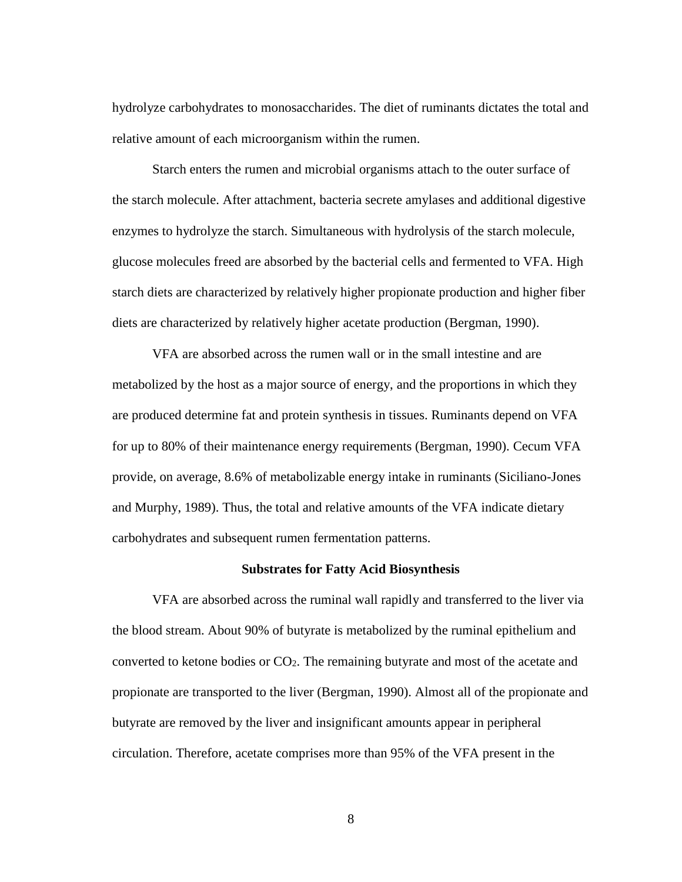hydrolyze carbohydrates to monosaccharides. The diet of ruminants dictates the total and relative amount of each microorganism within the rumen.

Starch enters the rumen and microbial organisms attach to the outer surface of the starch molecule. After attachment, bacteria secrete amylases and additional digestive enzymes to hydrolyze the starch. Simultaneous with hydrolysis of the starch molecule, glucose molecules freed are absorbed by the bacterial cells and fermented to VFA. High starch diets are characterized by relatively higher propionate production and higher fiber diets are characterized by relatively higher acetate production (Bergman, 1990).

VFA are absorbed across the rumen wall or in the small intestine and are metabolized by the host as a major source of energy, and the proportions in which they are produced determine fat and protein synthesis in tissues. Ruminants depend on VFA for up to 80% of their maintenance energy requirements (Bergman, 1990). Cecum VFA provide, on average, 8.6% of metabolizable energy intake in ruminants (Siciliano-Jones and Murphy, 1989). Thus, the total and relative amounts of the VFA indicate dietary carbohydrates and subsequent rumen fermentation patterns.

# **Substrates for Fatty Acid Biosynthesis**

<span id="page-17-0"></span>VFA are absorbed across the ruminal wall rapidly and transferred to the liver via the blood stream. About 90% of butyrate is metabolized by the ruminal epithelium and converted to ketone bodies or CO2. The remaining butyrate and most of the acetate and propionate are transported to the liver (Bergman, 1990). Almost all of the propionate and butyrate are removed by the liver and insignificant amounts appear in peripheral circulation. Therefore, acetate comprises more than 95% of the VFA present in the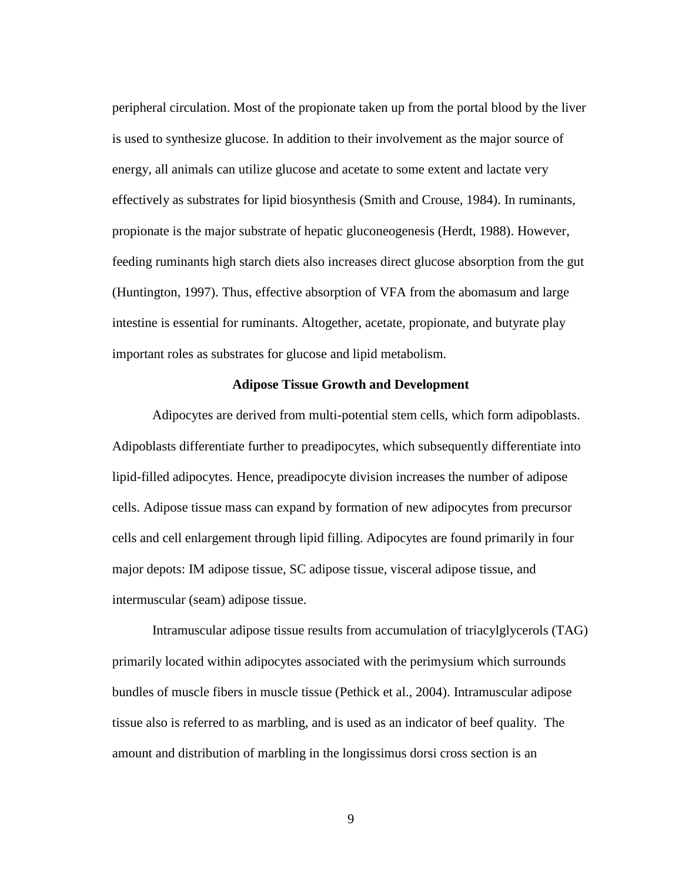peripheral circulation. Most of the propionate taken up from the portal blood by the liver is used to synthesize glucose. In addition to their involvement as the major source of energy, all animals can utilize glucose and acetate to some extent and lactate very effectively as substrates for lipid biosynthesis (Smith and Crouse, 1984). In ruminants, propionate is the major substrate of hepatic gluconeogenesis (Herdt, 1988). However, feeding ruminants high starch diets also increases direct glucose absorption from the gut (Huntington, 1997). Thus, effective absorption of VFA from the abomasum and large intestine is essential for ruminants. Altogether, acetate, propionate, and butyrate play important roles as substrates for glucose and lipid metabolism.

# **Adipose Tissue Growth and Development**

<span id="page-18-0"></span>Adipocytes are derived from multi-potential stem cells, which form adipoblasts. Adipoblasts differentiate further to preadipocytes, which subsequently differentiate into lipid-filled adipocytes. Hence, preadipocyte division increases the number of adipose cells. Adipose tissue mass can expand by formation of new adipocytes from precursor cells and cell enlargement through lipid filling. Adipocytes are found primarily in four major depots: IM adipose tissue, SC adipose tissue, visceral adipose tissue, and intermuscular (seam) adipose tissue.

Intramuscular adipose tissue results from accumulation of triacylglycerols (TAG) primarily located within adipocytes associated with the perimysium which surrounds bundles of muscle fibers in muscle tissue (Pethick et al., 2004). Intramuscular adipose tissue also is referred to as marbling, and is used as an indicator of beef quality. The amount and distribution of marbling in the longissimus dorsi cross section is an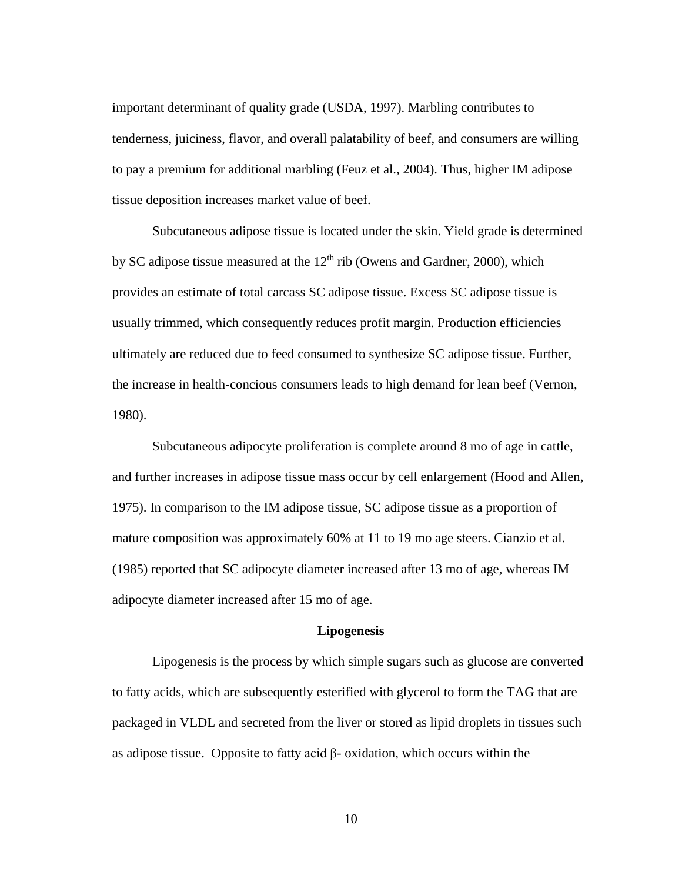important determinant of quality grade (USDA, 1997). Marbling contributes to tenderness, juiciness, flavor, and overall palatability of beef, and consumers are willing to pay a premium for additional marbling (Feuz et al., 2004). Thus, higher IM adipose tissue deposition increases market value of beef.

Subcutaneous adipose tissue is located under the skin. Yield grade is determined by SC adipose tissue measured at the  $12<sup>th</sup>$  rib (Owens and Gardner, 2000), which provides an estimate of total carcass SC adipose tissue. Excess SC adipose tissue is usually trimmed, which consequently reduces profit margin. Production efficiencies ultimately are reduced due to feed consumed to synthesize SC adipose tissue. Further, the increase in health-concious consumers leads to high demand for lean beef (Vernon, 1980).

Subcutaneous adipocyte proliferation is complete around 8 mo of age in cattle, and further increases in adipose tissue mass occur by cell enlargement (Hood and Allen, 1975). In comparison to the IM adipose tissue, SC adipose tissue as a proportion of mature composition was approximately 60% at 11 to 19 mo age steers. Cianzio et al. (1985) reported that SC adipocyte diameter increased after 13 mo of age, whereas IM adipocyte diameter increased after 15 mo of age.

# **Lipogenesis**

<span id="page-19-0"></span>Lipogenesis is the process by which simple sugars such as glucose are converted to fatty acids, which are subsequently esterified with glycerol to form the TAG that are packaged in VLDL and secreted from the liver or stored as lipid droplets in tissues such as adipose tissue. Opposite to fatty acid β- oxidation, which occurs within the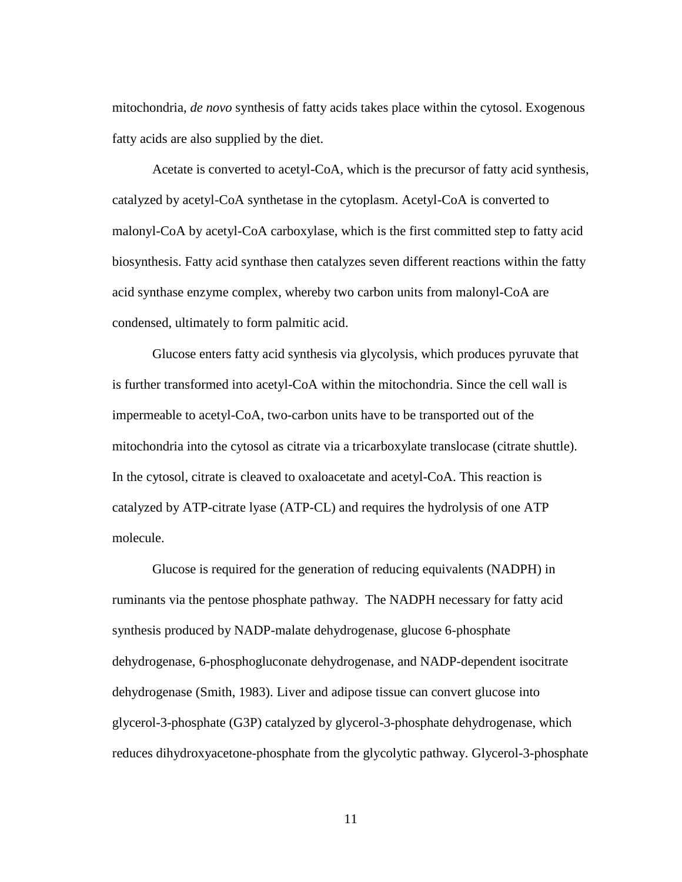mitochondria, *de novo* synthesis of fatty acids takes place within the cytosol. Exogenous fatty acids are also supplied by the diet.

Acetate is converted to acetyl-CoA, which is the precursor of fatty acid synthesis, catalyzed by acetyl-CoA synthetase in the cytoplasm. Acetyl-CoA is converted to malonyl-CoA by acetyl-CoA carboxylase, which is the first committed step to fatty acid biosynthesis. Fatty acid synthase then catalyzes seven different reactions within the fatty acid synthase enzyme complex, whereby two carbon units from malonyl-CoA are condensed, ultimately to form palmitic acid.

Glucose enters fatty acid synthesis via glycolysis, which produces pyruvate that is further transformed into acetyl-CoA within the mitochondria. Since the cell wall is impermeable to acetyl-CoA, two-carbon units have to be transported out of the mitochondria into the cytosol as citrate via a tricarboxylate translocase (citrate shuttle). In the cytosol, citrate is cleaved to oxaloacetate and acetyl-CoA. This reaction is catalyzed by ATP-citrate lyase (ATP-CL) and requires the hydrolysis of one ATP molecule.

Glucose is required for the generation of reducing equivalents (NADPH) in ruminants via the pentose phosphate pathway. The NADPH necessary for fatty acid synthesis produced by NADP-malate dehydrogenase, glucose 6-phosphate dehydrogenase, 6-phosphogluconate dehydrogenase, and NADP-dependent isocitrate dehydrogenase (Smith, 1983). Liver and adipose tissue can convert glucose into glycerol-3-phosphate (G3P) catalyzed by glycerol-3-phosphate dehydrogenase, which reduces dihydroxyacetone-phosphate from the glycolytic pathway. Glycerol-3-phosphate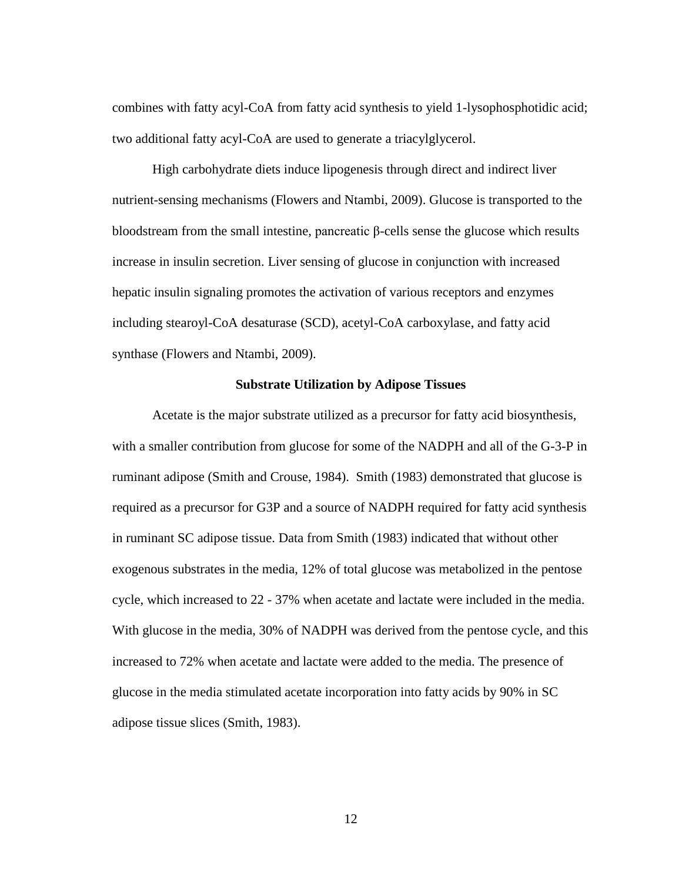combines with fatty acyl-CoA from fatty acid synthesis to yield 1-lysophosphotidic acid; two additional fatty acyl-CoA are used to generate a triacylglycerol.

High carbohydrate diets induce lipogenesis through direct and indirect liver nutrient-sensing mechanisms (Flowers and Ntambi, 2009). Glucose is transported to the bloodstream from the small intestine, pancreatic β-cells sense the glucose which results increase in insulin secretion. Liver sensing of glucose in conjunction with increased hepatic insulin signaling promotes the activation of various receptors and enzymes including stearoyl-CoA desaturase (SCD), acetyl-CoA carboxylase, and fatty acid synthase (Flowers and Ntambi, 2009).

# **Substrate Utilization by Adipose Tissues**

<span id="page-21-0"></span>Acetate is the major substrate utilized as a precursor for fatty acid biosynthesis, with a smaller contribution from glucose for some of the NADPH and all of the G-3-P in ruminant adipose (Smith and Crouse, 1984). Smith (1983) demonstrated that glucose is required as a precursor for G3P and a source of NADPH required for fatty acid synthesis in ruminant SC adipose tissue. Data from Smith (1983) indicated that without other exogenous substrates in the media, 12% of total glucose was metabolized in the pentose cycle, which increased to 22 - 37% when acetate and lactate were included in the media. With glucose in the media, 30% of NADPH was derived from the pentose cycle, and this increased to 72% when acetate and lactate were added to the media. The presence of glucose in the media stimulated acetate incorporation into fatty acids by 90% in SC adipose tissue slices (Smith, 1983).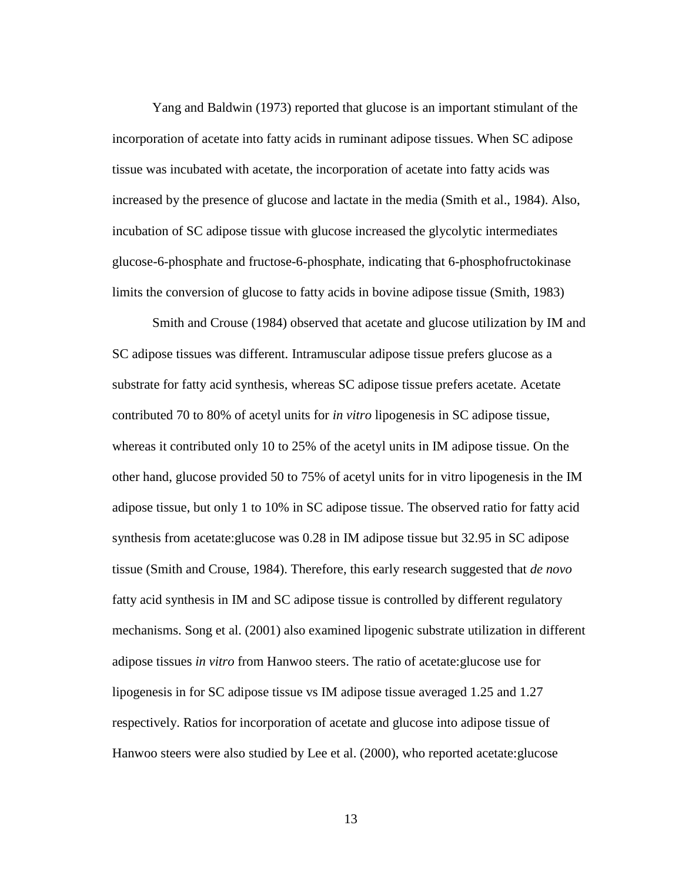Yang and Baldwin (1973) reported that glucose is an important stimulant of the incorporation of acetate into fatty acids in ruminant adipose tissues. When SC adipose tissue was incubated with acetate, the incorporation of acetate into fatty acids was increased by the presence of glucose and lactate in the media (Smith et al., 1984). Also, incubation of SC adipose tissue with glucose increased the glycolytic intermediates glucose-6-phosphate and fructose-6-phosphate, indicating that 6-phosphofructokinase limits the conversion of glucose to fatty acids in bovine adipose tissue (Smith, 1983)

Smith and Crouse (1984) observed that acetate and glucose utilization by IM and SC adipose tissues was different. Intramuscular adipose tissue prefers glucose as a substrate for fatty acid synthesis, whereas SC adipose tissue prefers acetate. Acetate contributed 70 to 80% of acetyl units for *in vitro* lipogenesis in SC adipose tissue, whereas it contributed only 10 to 25% of the acetyl units in IM adipose tissue. On the other hand, glucose provided 50 to 75% of acetyl units for in vitro lipogenesis in the IM adipose tissue, but only 1 to 10% in SC adipose tissue. The observed ratio for fatty acid synthesis from acetate:glucose was 0.28 in IM adipose tissue but 32.95 in SC adipose tissue (Smith and Crouse, 1984). Therefore, this early research suggested that *de novo* fatty acid synthesis in IM and SC adipose tissue is controlled by different regulatory mechanisms. Song et al. (2001) also examined lipogenic substrate utilization in different adipose tissues *in vitro* from Hanwoo steers. The ratio of acetate:glucose use for lipogenesis in for SC adipose tissue vs IM adipose tissue averaged 1.25 and 1.27 respectively. Ratios for incorporation of acetate and glucose into adipose tissue of Hanwoo steers were also studied by Lee et al. (2000), who reported acetate:glucose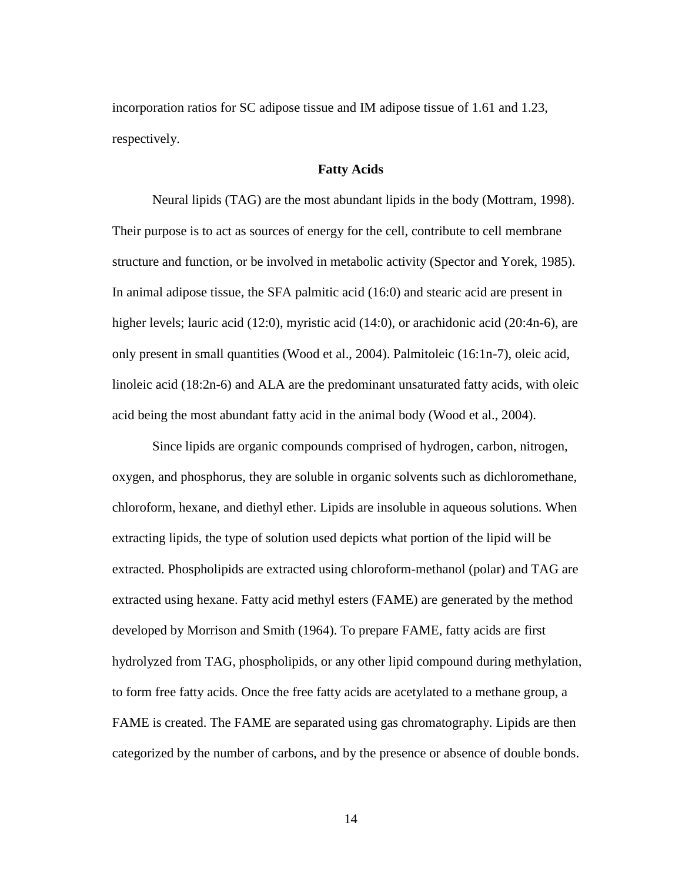incorporation ratios for SC adipose tissue and IM adipose tissue of 1.61 and 1.23, respectively.

# **Fatty Acids**

<span id="page-23-0"></span>Neural lipids (TAG) are the most abundant lipids in the body (Mottram, 1998). Their purpose is to act as sources of energy for the cell, contribute to cell membrane structure and function, or be involved in metabolic activity (Spector and Yorek, 1985). In animal adipose tissue, the SFA palmitic acid (16:0) and stearic acid are present in higher levels; lauric acid (12:0), myristic acid (14:0), or arachidonic acid (20:4n-6), are only present in small quantities (Wood et al., 2004). Palmitoleic (16:1n-7), oleic acid, linoleic acid (18:2n-6) and ALA are the predominant unsaturated fatty acids, with oleic acid being the most abundant fatty acid in the animal body (Wood et al., 2004).

Since lipids are organic compounds comprised of hydrogen, carbon, nitrogen, oxygen, and phosphorus, they are soluble in organic solvents such as dichloromethane, chloroform, hexane, and diethyl ether. Lipids are insoluble in aqueous solutions. When extracting lipids, the type of solution used depicts what portion of the lipid will be extracted. Phospholipids are extracted using chloroform-methanol (polar) and TAG are extracted using hexane. Fatty acid methyl esters (FAME) are generated by the method developed by Morrison and Smith (1964). To prepare FAME, fatty acids are first hydrolyzed from TAG, phospholipids, or any other lipid compound during methylation, to form free fatty acids. Once the free fatty acids are acetylated to a methane group, a FAME is created. The FAME are separated using gas chromatography. Lipids are then categorized by the number of carbons, and by the presence or absence of double bonds.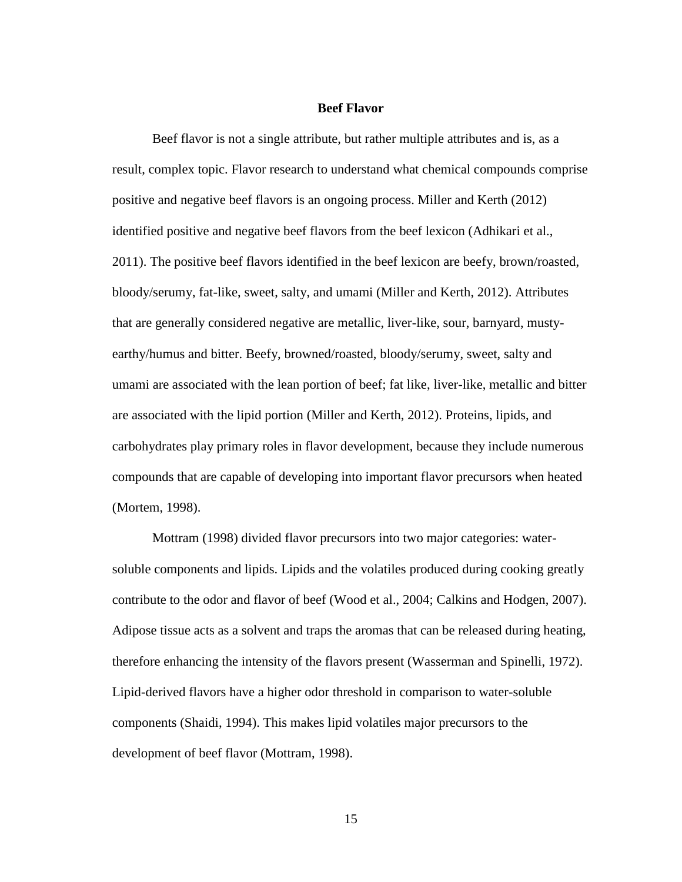#### **Beef Flavor**

<span id="page-24-0"></span>Beef flavor is not a single attribute, but rather multiple attributes and is, as a result, complex topic. Flavor research to understand what chemical compounds comprise positive and negative beef flavors is an ongoing process. Miller and Kerth (2012) identified positive and negative beef flavors from the beef lexicon (Adhikari et al., 2011). The positive beef flavors identified in the beef lexicon are beefy, brown/roasted, bloody/serumy, fat-like, sweet, salty, and umami (Miller and Kerth, 2012). Attributes that are generally considered negative are metallic, liver-like, sour, barnyard, mustyearthy/humus and bitter. Beefy, browned/roasted, bloody/serumy, sweet, salty and umami are associated with the lean portion of beef; fat like, liver-like, metallic and bitter are associated with the lipid portion (Miller and Kerth, 2012). Proteins, lipids, and carbohydrates play primary roles in flavor development, because they include numerous compounds that are capable of developing into important flavor precursors when heated (Mortem, 1998).

Mottram (1998) divided flavor precursors into two major categories: watersoluble components and lipids. Lipids and the volatiles produced during cooking greatly contribute to the odor and flavor of beef (Wood et al., 2004; Calkins and Hodgen, 2007). Adipose tissue acts as a solvent and traps the aromas that can be released during heating, therefore enhancing the intensity of the flavors present (Wasserman and Spinelli, 1972). Lipid-derived flavors have a higher odor threshold in comparison to water-soluble components (Shaidi, 1994). This makes lipid volatiles major precursors to the development of beef flavor (Mottram, 1998).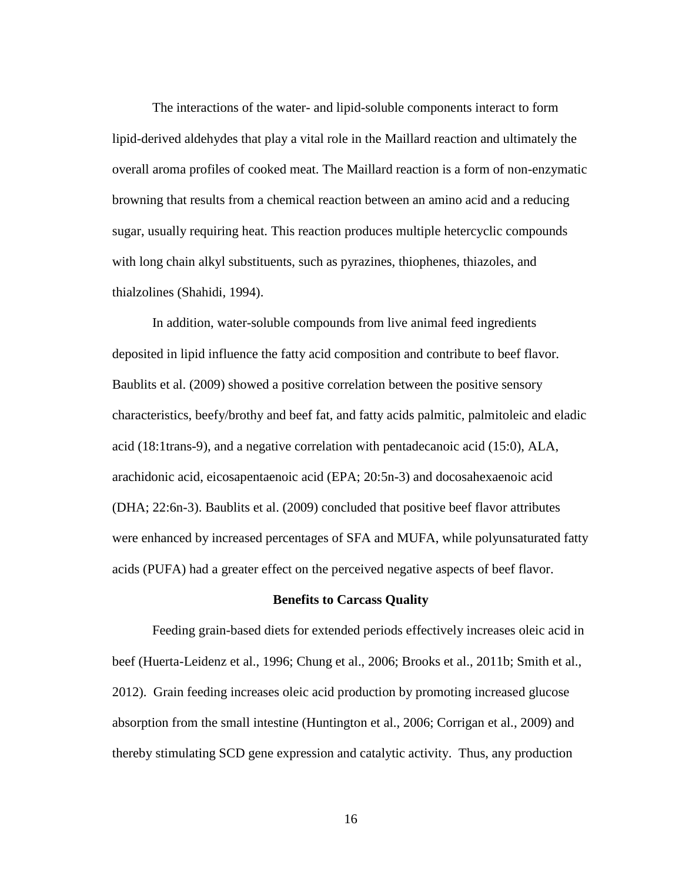The interactions of the water- and lipid-soluble components interact to form lipid-derived aldehydes that play a vital role in the Maillard reaction and ultimately the overall aroma profiles of cooked meat. The Maillard reaction is a form of non-enzymatic browning that results from a chemical reaction between an amino acid and a reducing sugar, usually requiring heat. This reaction produces multiple hetercyclic compounds with long chain alkyl substituents, such as pyrazines, thiophenes, thiazoles, and thialzolines (Shahidi, 1994).

In addition, water-soluble compounds from live animal feed ingredients deposited in lipid influence the fatty acid composition and contribute to beef flavor. Baublits et al. (2009) showed a positive correlation between the positive sensory characteristics, beefy/brothy and beef fat, and fatty acids palmitic, palmitoleic and eladic acid (18:1trans-9), and a negative correlation with pentadecanoic acid (15:0), ALA, arachidonic acid, eicosapentaenoic acid (EPA; 20:5n-3) and docosahexaenoic acid (DHA; 22:6n-3). Baublits et al. (2009) concluded that positive beef flavor attributes were enhanced by increased percentages of SFA and MUFA, while polyunsaturated fatty acids (PUFA) had a greater effect on the perceived negative aspects of beef flavor.

# **Benefits to Carcass Quality**

<span id="page-25-0"></span>Feeding grain-based diets for extended periods effectively increases oleic acid in beef (Huerta-Leidenz et al., 1996; Chung et al., 2006; Brooks et al., 2011b; Smith et al., 2012). Grain feeding increases oleic acid production by promoting increased glucose absorption from the small intestine (Huntington et al., 2006; Corrigan et al., 2009) and thereby stimulating SCD gene expression and catalytic activity. Thus, any production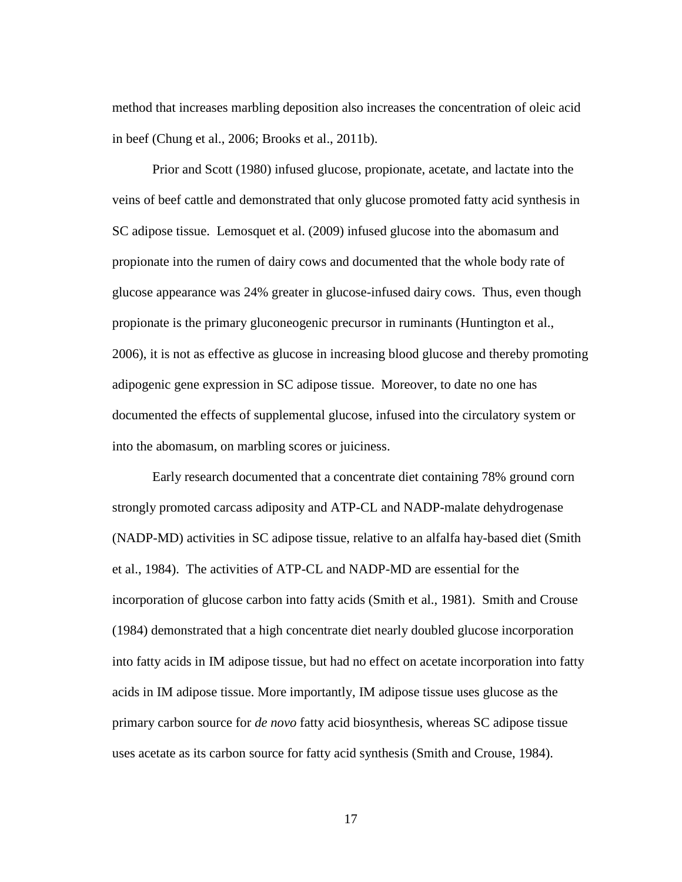method that increases marbling deposition also increases the concentration of oleic acid in beef (Chung et al., 2006; Brooks et al., 2011b).

Prior and Scott (1980) infused glucose, propionate, acetate, and lactate into the veins of beef cattle and demonstrated that only glucose promoted fatty acid synthesis in SC adipose tissue. Lemosquet et al. (2009) infused glucose into the abomasum and propionate into the rumen of dairy cows and documented that the whole body rate of glucose appearance was 24% greater in glucose-infused dairy cows. Thus, even though propionate is the primary gluconeogenic precursor in ruminants (Huntington et al., 2006), it is not as effective as glucose in increasing blood glucose and thereby promoting adipogenic gene expression in SC adipose tissue. Moreover, to date no one has documented the effects of supplemental glucose, infused into the circulatory system or into the abomasum, on marbling scores or juiciness.

Early research documented that a concentrate diet containing 78% ground corn strongly promoted carcass adiposity and ATP-CL and NADP-malate dehydrogenase (NADP-MD) activities in SC adipose tissue, relative to an alfalfa hay-based diet (Smith et al., 1984). The activities of ATP-CL and NADP-MD are essential for the incorporation of glucose carbon into fatty acids (Smith et al., 1981). Smith and Crouse (1984) demonstrated that a high concentrate diet nearly doubled glucose incorporation into fatty acids in IM adipose tissue, but had no effect on acetate incorporation into fatty acids in IM adipose tissue. More importantly, IM adipose tissue uses glucose as the primary carbon source for *de novo* fatty acid biosynthesis, whereas SC adipose tissue uses acetate as its carbon source for fatty acid synthesis (Smith and Crouse, 1984).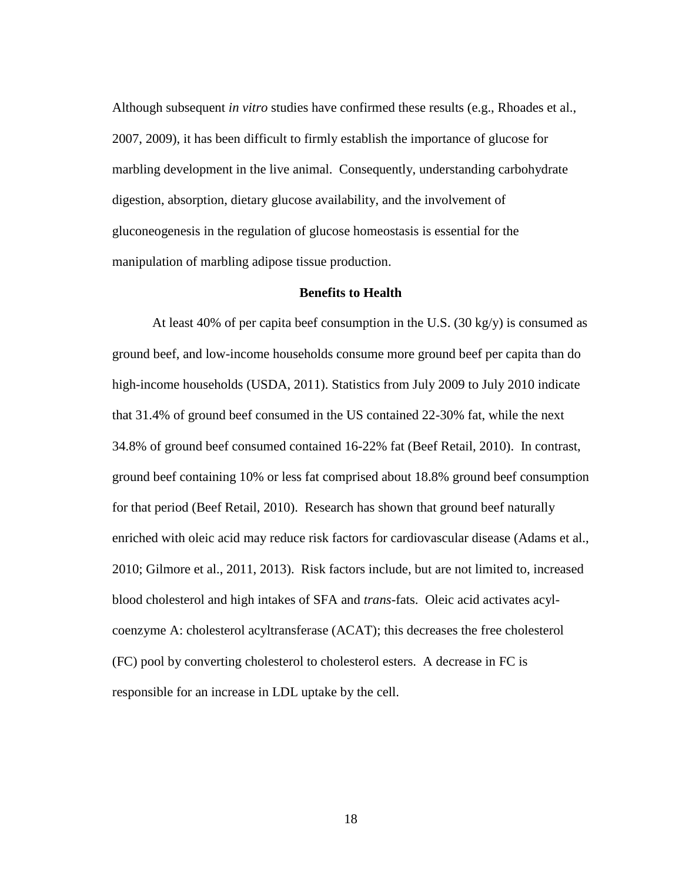Although subsequent *in vitro* studies have confirmed these results (e.g., Rhoades et al., 2007, 2009), it has been difficult to firmly establish the importance of glucose for marbling development in the live animal. Consequently, understanding carbohydrate digestion, absorption, dietary glucose availability, and the involvement of gluconeogenesis in the regulation of glucose homeostasis is essential for the manipulation of marbling adipose tissue production.

# **Benefits to Health**

<span id="page-27-0"></span>At least 40% of per capita beef consumption in the U.S. (30 kg/y) is consumed as ground beef, and low-income households consume more ground beef per capita than do high-income households (USDA, 2011). Statistics from July 2009 to July 2010 indicate that 31.4% of ground beef consumed in the US contained 22-30% fat, while the next 34.8% of ground beef consumed contained 16-22% fat (Beef Retail, 2010). In contrast, ground beef containing 10% or less fat comprised about 18.8% ground beef consumption for that period (Beef Retail, 2010). Research has shown that ground beef naturally enriched with oleic acid may reduce risk factors for cardiovascular disease (Adams et al., 2010; Gilmore et al., 2011, 2013). Risk factors include, but are not limited to, increased blood cholesterol and high intakes of SFA and *trans*-fats. Oleic acid activates acylcoenzyme A: cholesterol acyltransferase (ACAT); this decreases the free cholesterol (FC) pool by converting cholesterol to cholesterol esters. A decrease in FC is responsible for an increase in LDL uptake by the cell.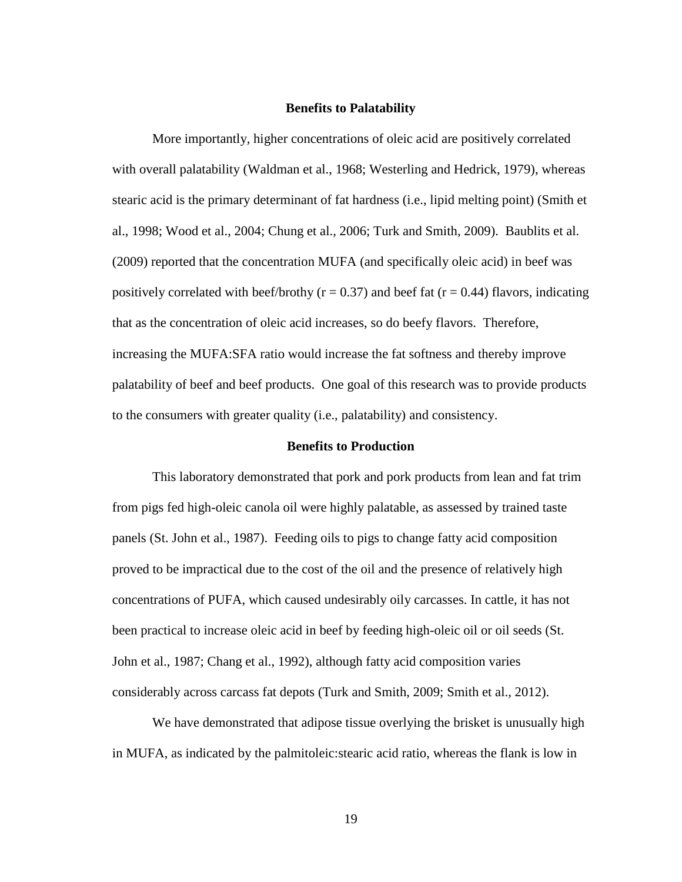#### **Benefits to Palatability**

<span id="page-28-0"></span>More importantly, higher concentrations of oleic acid are positively correlated with overall palatability (Waldman et al., 1968; Westerling and Hedrick, 1979), whereas stearic acid is the primary determinant of fat hardness (i.e., lipid melting point) (Smith et al., 1998; Wood et al., 2004; Chung et al., 2006; Turk and Smith, 2009). Baublits et al. (2009) reported that the concentration MUFA (and specifically oleic acid) in beef was positively correlated with beef/brothy ( $r = 0.37$ ) and beef fat ( $r = 0.44$ ) flavors, indicating that as the concentration of oleic acid increases, so do beefy flavors. Therefore, increasing the MUFA:SFA ratio would increase the fat softness and thereby improve palatability of beef and beef products. One goal of this research was to provide products to the consumers with greater quality (i.e., palatability) and consistency.

#### **Benefits to Production**

<span id="page-28-1"></span>This laboratory demonstrated that pork and pork products from lean and fat trim from pigs fed high-oleic canola oil were highly palatable, as assessed by trained taste panels (St. John et al., 1987). Feeding oils to pigs to change fatty acid composition proved to be impractical due to the cost of the oil and the presence of relatively high concentrations of PUFA, which caused undesirably oily carcasses. In cattle, it has not been practical to increase oleic acid in beef by feeding high-oleic oil or oil seeds (St. John et al., 1987; Chang et al., 1992), although fatty acid composition varies considerably across carcass fat depots (Turk and Smith, 2009; Smith et al., 2012).

We have demonstrated that adipose tissue overlying the brisket is unusually high in MUFA, as indicated by the palmitoleic:stearic acid ratio, whereas the flank is low in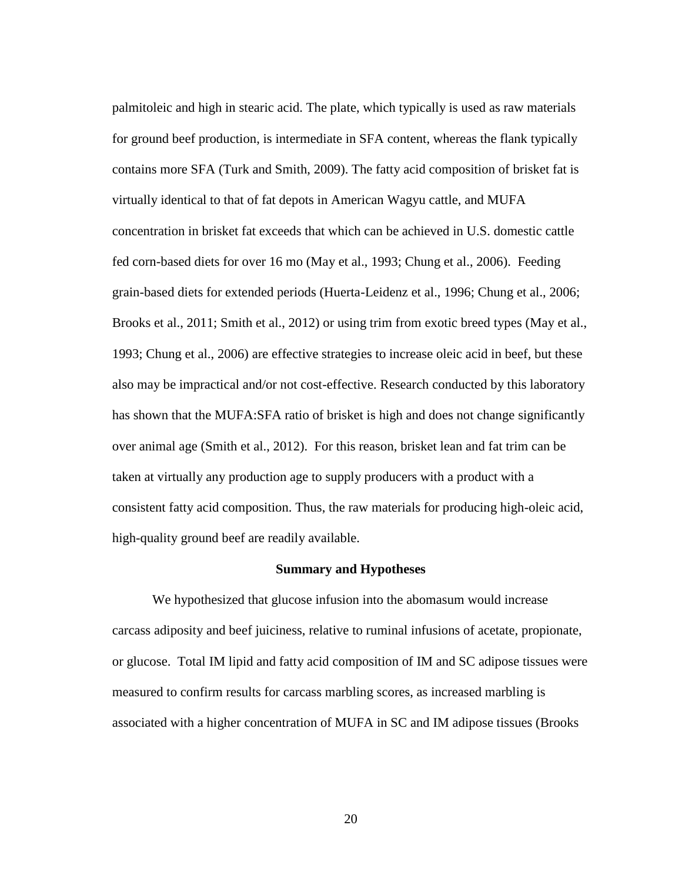palmitoleic and high in stearic acid. The plate, which typically is used as raw materials for ground beef production, is intermediate in SFA content, whereas the flank typically contains more SFA (Turk and Smith, 2009). The fatty acid composition of brisket fat is virtually identical to that of fat depots in American Wagyu cattle, and MUFA concentration in brisket fat exceeds that which can be achieved in U.S. domestic cattle fed corn-based diets for over 16 mo (May et al., 1993; Chung et al., 2006). Feeding grain-based diets for extended periods (Huerta-Leidenz et al., 1996; Chung et al., 2006; Brooks et al., 2011; Smith et al., 2012) or using trim from exotic breed types (May et al., 1993; Chung et al., 2006) are effective strategies to increase oleic acid in beef, but these also may be impractical and/or not cost-effective. Research conducted by this laboratory has shown that the MUFA:SFA ratio of brisket is high and does not change significantly over animal age (Smith et al., 2012). For this reason, brisket lean and fat trim can be taken at virtually any production age to supply producers with a product with a consistent fatty acid composition. Thus, the raw materials for producing high-oleic acid, high-quality ground beef are readily available.

# **Summary and Hypotheses**

<span id="page-29-0"></span>We hypothesized that glucose infusion into the abomasum would increase carcass adiposity and beef juiciness, relative to ruminal infusions of acetate, propionate, or glucose. Total IM lipid and fatty acid composition of IM and SC adipose tissues were measured to confirm results for carcass marbling scores, as increased marbling is associated with a higher concentration of MUFA in SC and IM adipose tissues (Brooks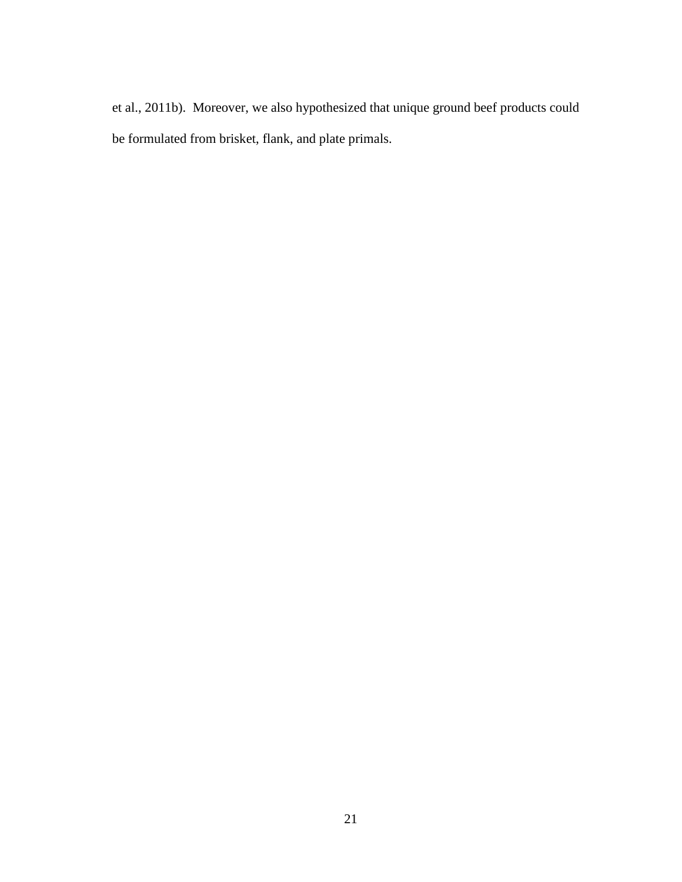et al., 2011b). Moreover, we also hypothesized that unique ground beef products could be formulated from brisket, flank, and plate primals.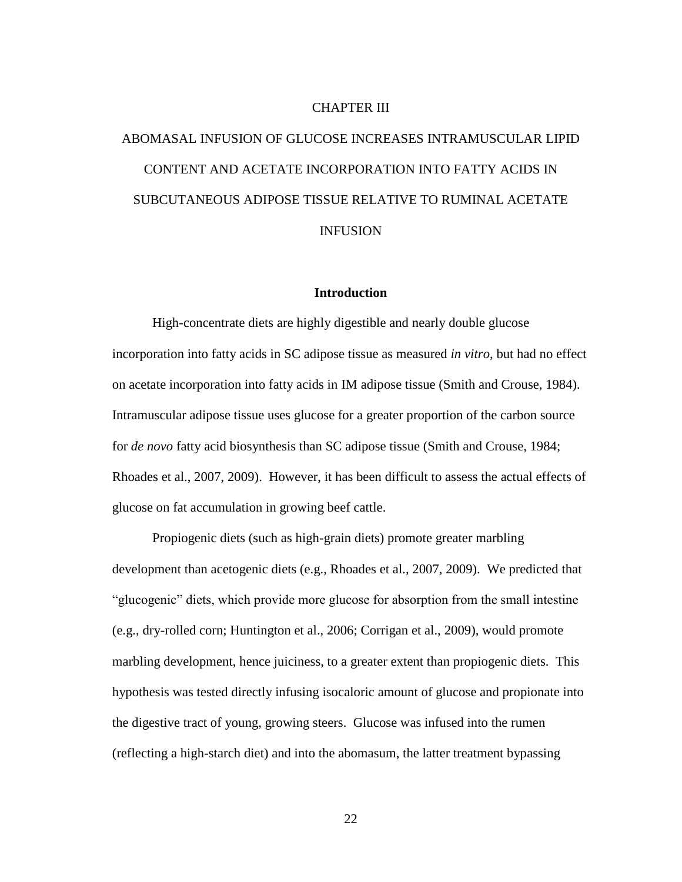# CHAPTER III

# <span id="page-31-0"></span>ABOMASAL INFUSION OF GLUCOSE INCREASES INTRAMUSCULAR LIPID CONTENT AND ACETATE INCORPORATION INTO FATTY ACIDS IN SUBCUTANEOUS ADIPOSE TISSUE RELATIVE TO RUMINAL ACETATE INFUSION

## **Introduction**

<span id="page-31-1"></span>High-concentrate diets are highly digestible and nearly double glucose incorporation into fatty acids in SC adipose tissue as measured *in vitro*, but had no effect on acetate incorporation into fatty acids in IM adipose tissue (Smith and Crouse, 1984). Intramuscular adipose tissue uses glucose for a greater proportion of the carbon source for *de novo* fatty acid biosynthesis than SC adipose tissue (Smith and Crouse, 1984; Rhoades et al., 2007, 2009). However, it has been difficult to assess the actual effects of glucose on fat accumulation in growing beef cattle.

Propiogenic diets (such as high-grain diets) promote greater marbling development than acetogenic diets (e.g., Rhoades et al., 2007, 2009). We predicted that "glucogenic" diets, which provide more glucose for absorption from the small intestine (e.g., dry-rolled corn; Huntington et al., 2006; Corrigan et al., 2009), would promote marbling development, hence juiciness, to a greater extent than propiogenic diets. This hypothesis was tested directly infusing isocaloric amount of glucose and propionate into the digestive tract of young, growing steers. Glucose was infused into the rumen (reflecting a high-starch diet) and into the abomasum, the latter treatment bypassing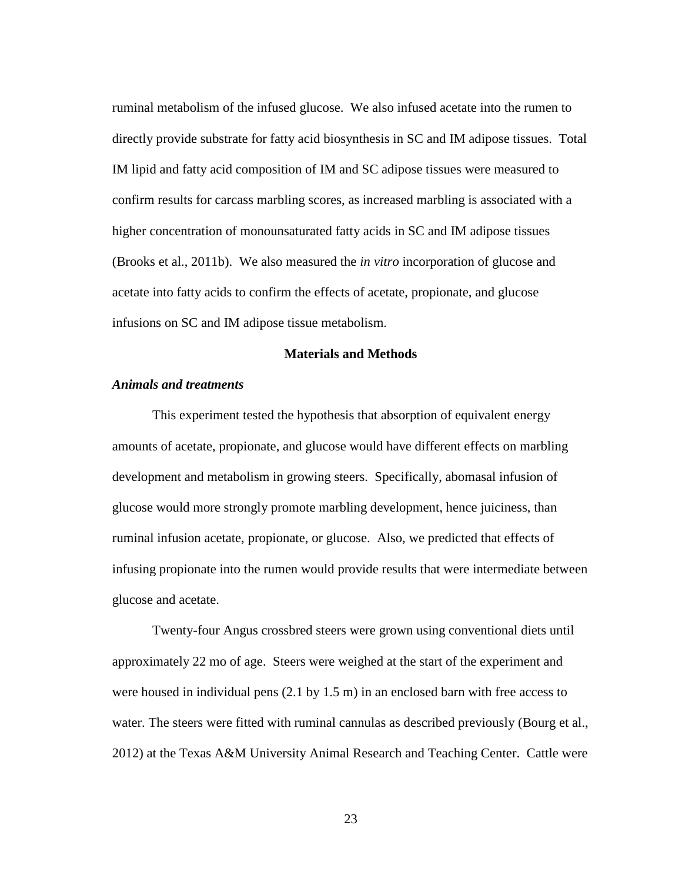ruminal metabolism of the infused glucose. We also infused acetate into the rumen to directly provide substrate for fatty acid biosynthesis in SC and IM adipose tissues. Total IM lipid and fatty acid composition of IM and SC adipose tissues were measured to confirm results for carcass marbling scores, as increased marbling is associated with a higher concentration of monounsaturated fatty acids in SC and IM adipose tissues (Brooks et al., 2011b). We also measured the *in vitro* incorporation of glucose and acetate into fatty acids to confirm the effects of acetate, propionate, and glucose infusions on SC and IM adipose tissue metabolism.

# **Materials and Methods**

# <span id="page-32-0"></span>*Animals and treatments*

This experiment tested the hypothesis that absorption of equivalent energy amounts of acetate, propionate, and glucose would have different effects on marbling development and metabolism in growing steers. Specifically, abomasal infusion of glucose would more strongly promote marbling development, hence juiciness, than ruminal infusion acetate, propionate, or glucose. Also, we predicted that effects of infusing propionate into the rumen would provide results that were intermediate between glucose and acetate.

Twenty-four Angus crossbred steers were grown using conventional diets until approximately 22 mo of age. Steers were weighed at the start of the experiment and were housed in individual pens (2.1 by 1.5 m) in an enclosed barn with free access to water. The steers were fitted with ruminal cannulas as described previously (Bourg et al., 2012) at the Texas A&M University Animal Research and Teaching Center. Cattle were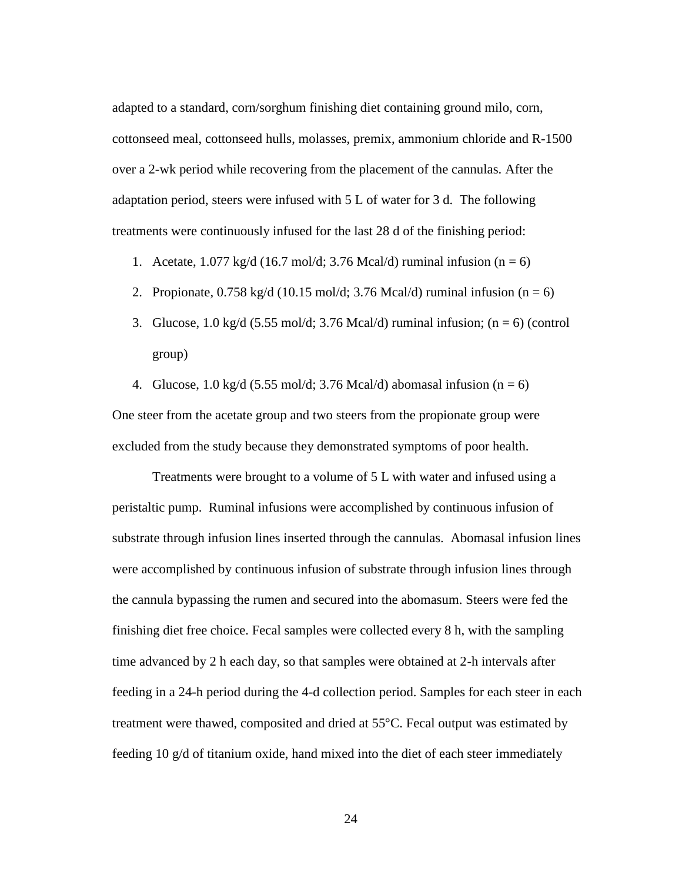adapted to a standard, corn/sorghum finishing diet containing ground milo, corn, cottonseed meal, cottonseed hulls, molasses, premix, ammonium chloride and R-1500 over a 2-wk period while recovering from the placement of the cannulas. After the adaptation period, steers were infused with 5 L of water for 3 d. The following treatments were continuously infused for the last 28 d of the finishing period:

- 1. Acetate,  $1.077 \text{ kg/d}$  (16.7 mol/d; 3.76 Mcal/d) ruminal infusion (n = 6)
- 2. Propionate,  $0.758 \text{ kg/d}$  (10.15 mol/d; 3.76 Mcal/d) ruminal infusion (n = 6)
- 3. Glucose, 1.0 kg/d (5.55 mol/d; 3.76 Mcal/d) ruminal infusion;  $(n = 6)$  (control group)
- 4. Glucose, 1.0 kg/d (5.55 mol/d; 3.76 Mcal/d) abomasal infusion (n = 6) One steer from the acetate group and two steers from the propionate group were

excluded from the study because they demonstrated symptoms of poor health.

Treatments were brought to a volume of 5 L with water and infused using a peristaltic pump. Ruminal infusions were accomplished by continuous infusion of substrate through infusion lines inserted through the cannulas. Abomasal infusion lines were accomplished by continuous infusion of substrate through infusion lines through the cannula bypassing the rumen and secured into the abomasum. Steers were fed the finishing diet free choice. Fecal samples were collected every 8 h, with the sampling time advanced by 2 h each day, so that samples were obtained at 2-h intervals after feeding in a 24-h period during the 4-d collection period. Samples for each steer in each treatment were thawed, composited and dried at 55°C. Fecal output was estimated by feeding 10 g/d of titanium oxide, hand mixed into the diet of each steer immediately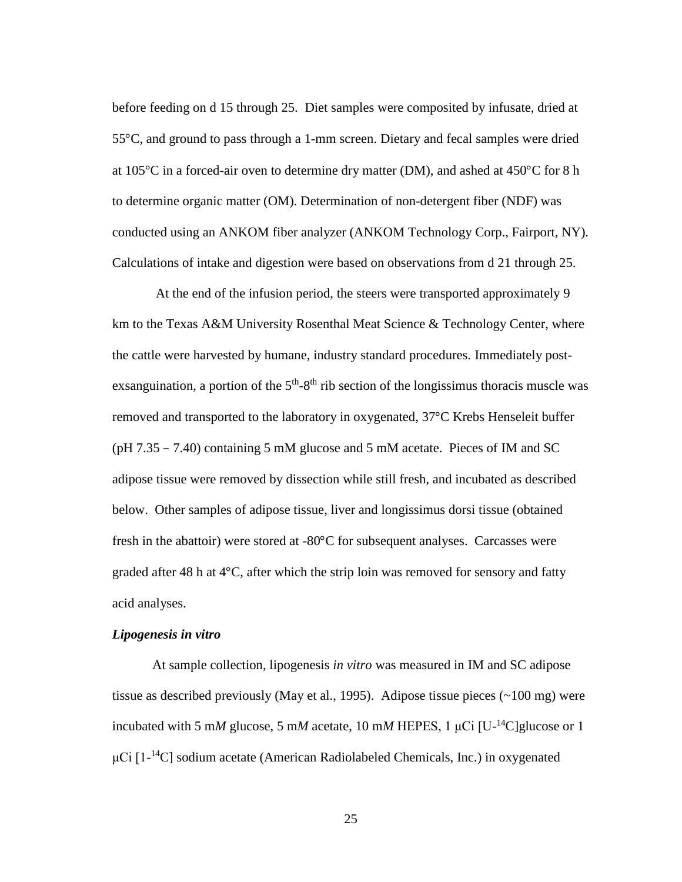before feeding on d 15 through 25. Diet samples were composited by infusate, dried at 55°C, and ground to pass through a 1-mm screen. Dietary and fecal samples were dried at 105°C in a forced-air oven to determine dry matter (DM), and ashed at 450°C for 8 h to determine organic matter (OM). Determination of non-detergent fiber (NDF) was conducted using an ANKOM fiber analyzer (ANKOM Technology Corp., Fairport, NY). Calculations of intake and digestion were based on observations from d 21 through 25.

At the end of the infusion period, the steers were transported approximately 9 km to the Texas A&M University Rosenthal Meat Science & Technology Center, where the cattle were harvested by humane, industry standard procedures. Immediately postexsanguination, a portion of the  $5<sup>th</sup>-8<sup>th</sup>$  rib section of the longissimus thoracis muscle was removed and transported to the laboratory in oxygenated, 37°C Krebs Henseleit buffer (pH 7.35 – 7.40) containing 5 mM glucose and 5 mM acetate. Pieces of IM and SC adipose tissue were removed by dissection while still fresh, and incubated as described below. Other samples of adipose tissue, liver and longissimus dorsi tissue (obtained fresh in the abattoir) were stored at -80°C for subsequent analyses. Carcasses were graded after 48 h at 4°C, after which the strip loin was removed for sensory and fatty acid analyses.

# *Lipogenesis in vitro*

At sample collection, lipogenesis *in vitro* was measured in IM and SC adipose tissue as described previously (May et al., 1995). Adipose tissue pieces (~100 mg) were incubated with 5 mM glucose, 5 mM acetate, 10 mM HEPES, 1  $\mu$ Ci [U<sup>-14</sup>C]glucose or 1 μCi [1- <sup>14</sup>C] sodium acetate (American Radiolabeled Chemicals, Inc.) in oxygenated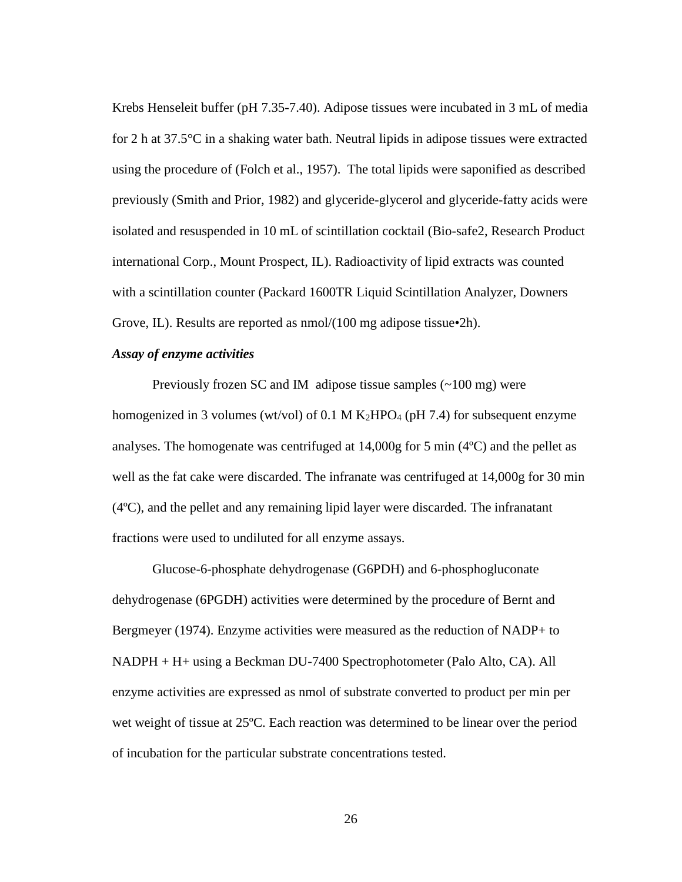Krebs Henseleit buffer (pH 7.35-7.40). Adipose tissues were incubated in 3 mL of media for 2 h at 37.5°C in a shaking water bath. Neutral lipids in adipose tissues were extracted using the procedure of (Folch et al., 1957). The total lipids were saponified as described previously (Smith and Prior, 1982) and glyceride-glycerol and glyceride-fatty acids were isolated and resuspended in 10 mL of scintillation cocktail (Bio-safe2, Research Product international Corp., Mount Prospect, IL). Radioactivity of lipid extracts was counted with a scintillation counter (Packard 1600TR Liquid Scintillation Analyzer, Downers Grove, IL). Results are reported as nmol/(100 mg adipose tissue•2h).

#### *Assay of enzyme activities*

Previously frozen SC and IM adipose tissue samples (~100 mg) were homogenized in 3 volumes (wt/vol) of 0.1 M  $K_2HPO_4$  (pH 7.4) for subsequent enzyme analyses. The homogenate was centrifuged at  $14,000$ g for 5 min (4 $\degree$ C) and the pellet as well as the fat cake were discarded. The infranate was centrifuged at 14,000g for 30 min (4ºC), and the pellet and any remaining lipid layer were discarded. The infranatant fractions were used to undiluted for all enzyme assays.

Glucose-6-phosphate dehydrogenase (G6PDH) and 6-phosphogluconate dehydrogenase (6PGDH) activities were determined by the procedure of Bernt and Bergmeyer (1974). Enzyme activities were measured as the reduction of NADP+ to NADPH + H+ using a Beckman DU-7400 Spectrophotometer (Palo Alto, CA). All enzyme activities are expressed as nmol of substrate converted to product per min per wet weight of tissue at 25ºC. Each reaction was determined to be linear over the period of incubation for the particular substrate concentrations tested.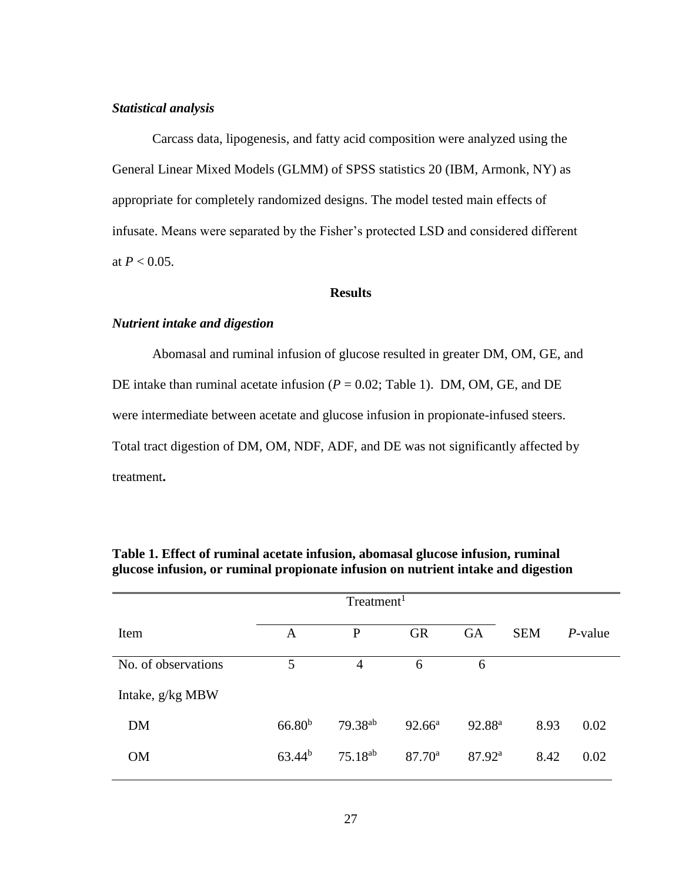## *Statistical analysis*

Carcass data, lipogenesis, and fatty acid composition were analyzed using the General Linear Mixed Models (GLMM) of SPSS statistics 20 (IBM, Armonk, NY) as appropriate for completely randomized designs. The model tested main effects of infusate. Means were separated by the Fisher's protected LSD and considered different at  $P < 0.05$ .

# **Results**

### *Nutrient intake and digestion*

Abomasal and ruminal infusion of glucose resulted in greater DM, OM, GE, and DE intake than ruminal acetate infusion  $(P = 0.02$ ; Table 1). DM, OM, GE, and DE were intermediate between acetate and glucose infusion in propionate-infused steers. Total tract digestion of DM, OM, NDF, ADF, and DE was not significantly affected by treatment**.**

| Treatment <sup>1</sup> |                    |                     |                    |                    |            |         |  |  |  |
|------------------------|--------------------|---------------------|--------------------|--------------------|------------|---------|--|--|--|
| Item                   | A                  | $\mathbf{P}$        | <b>GR</b>          | GA                 | <b>SEM</b> | P-value |  |  |  |
| No. of observations    | 5                  | 4                   | 6                  | 6                  |            |         |  |  |  |
| Intake, g/kg MBW       |                    |                     |                    |                    |            |         |  |  |  |
| <b>DM</b>              | 66.80 <sup>b</sup> | 79.38 <sup>ab</sup> | $92.66^{\text{a}}$ | 92.88 <sup>a</sup> | 8.93       | 0.02    |  |  |  |
| <b>OM</b>              | $63.44^{b}$        | $75.18^{ab}$        | $87.70^{\circ}$    | 87.92 <sup>a</sup> | 8.42       | 0.02    |  |  |  |

# **Table 1. Effect of ruminal acetate infusion, abomasal glucose infusion, ruminal glucose infusion, or ruminal propionate infusion on nutrient intake and digestion**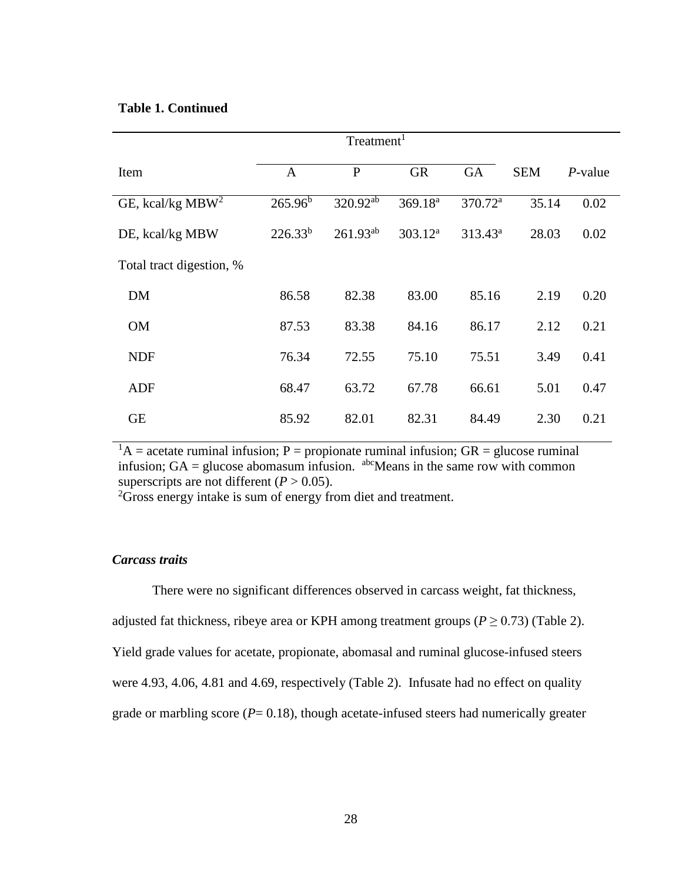# **Table 1. Continued**

|                          | Treatment <sup>1</sup> |               |                     |                     |            |            |  |  |  |  |
|--------------------------|------------------------|---------------|---------------------|---------------------|------------|------------|--|--|--|--|
| Item                     | $\mathbf{A}$           | $\mathbf{P}$  | <b>GR</b>           | <b>GA</b>           | <b>SEM</b> | $P$ -value |  |  |  |  |
| GE, kcal/kg $MBW2$       | $265.96^{b}$           | $320.92^{ab}$ | 369.18 <sup>a</sup> | 370.72 <sup>a</sup> | 35.14      | 0.02       |  |  |  |  |
| DE, kcal/kg MBW          | $226.33^{b}$           | $261.93^{ab}$ | $303.12^a$          | $313.43^a$          | 28.03      | 0.02       |  |  |  |  |
| Total tract digestion, % |                        |               |                     |                     |            |            |  |  |  |  |
| <b>DM</b>                | 86.58                  | 82.38         | 83.00               | 85.16               | 2.19       | 0.20       |  |  |  |  |
| <b>OM</b>                | 87.53                  | 83.38         | 84.16               | 86.17               | 2.12       | 0.21       |  |  |  |  |
| <b>NDF</b>               | 76.34                  | 72.55         | 75.10               | 75.51               | 3.49       | 0.41       |  |  |  |  |
| ADF                      | 68.47                  | 63.72         | 67.78               | 66.61               | 5.01       | 0.47       |  |  |  |  |
| <b>GE</b>                | 85.92                  | 82.01         | 82.31               | 84.49               | 2.30       | 0.21       |  |  |  |  |

 ${}^{1}A$  = acetate ruminal infusion; P = propionate ruminal infusion; GR = glucose ruminal infusion;  $GA =$  glucose abomasum infusion. <sup>abc</sup>Means in the same row with common superscripts are not different  $(P > 0.05)$ .

<sup>2</sup>Gross energy intake is sum of energy from diet and treatment.

# *Carcass traits*

There were no significant differences observed in carcass weight, fat thickness, adjusted fat thickness, ribeye area or KPH among treatment groups ( $P \ge 0.73$ ) (Table 2). Yield grade values for acetate, propionate, abomasal and ruminal glucose-infused steers were 4.93, 4.06, 4.81 and 4.69, respectively (Table 2). Infusate had no effect on quality grade or marbling score  $(P= 0.18)$ , though acetate-infused steers had numerically greater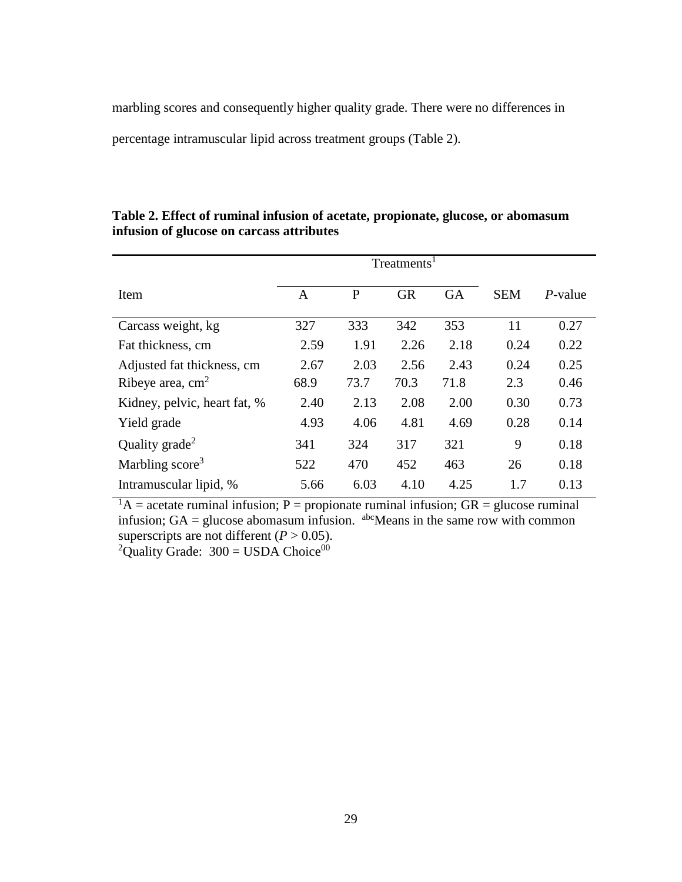marbling scores and consequently higher quality grade. There were no differences in percentage intramuscular lipid across treatment groups (Table 2).

|                              | Treatments <sup>1</sup> |      |           |           |            |            |  |  |  |
|------------------------------|-------------------------|------|-----------|-----------|------------|------------|--|--|--|
| Item                         | A                       | P    | <b>GR</b> | <b>GA</b> | <b>SEM</b> | $P$ -value |  |  |  |
| Carcass weight, kg           | 327                     | 333  | 342       | 353       | 11         | 0.27       |  |  |  |
| Fat thickness, cm            | 2.59                    | 1.91 | 2.26      | 2.18      | 0.24       | 0.22       |  |  |  |
| Adjusted fat thickness, cm   | 2.67                    | 2.03 | 2.56      | 2.43      | 0.24       | 0.25       |  |  |  |
| Ribeye area, $cm2$           | 68.9                    | 73.7 | 70.3      | 71.8      | 2.3        | 0.46       |  |  |  |
| Kidney, pelvic, heart fat, % | 2.40                    | 2.13 | 2.08      | 2.00      | 0.30       | 0.73       |  |  |  |
| Yield grade                  | 4.93                    | 4.06 | 4.81      | 4.69      | 0.28       | 0.14       |  |  |  |
| Quality grade <sup>2</sup>   | 341                     | 324  | 317       | 321       | 9          | 0.18       |  |  |  |
| Marbling score <sup>3</sup>  | 522                     | 470  | 452       | 463       | 26         | 0.18       |  |  |  |
| Intramuscular lipid, %       | 5.66                    | 6.03 | 4.10      | 4.25      | 1.7        | 0.13       |  |  |  |

**Table 2. Effect of ruminal infusion of acetate, propionate, glucose, or abomasum infusion of glucose on carcass attributes**

 $1_A =$  acetate ruminal infusion; P = propionate ruminal infusion; GR = glucose ruminal infusion;  $GA =$  glucose abomasum infusion. <sup>abc</sup>Means in the same row with common superscripts are not different ( $P > 0.05$ ). <sup>2</sup>Quality Grade:  $300 =$  USDA Choice<sup>00</sup>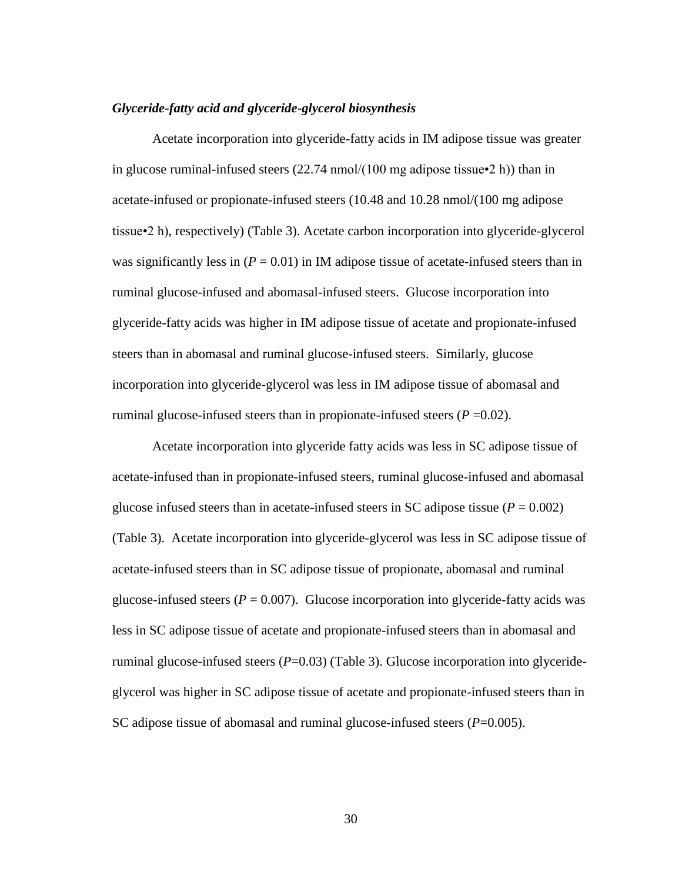## *Glyceride-fatty acid and glyceride-glycerol biosynthesis*

Acetate incorporation into glyceride-fatty acids in IM adipose tissue was greater in glucose ruminal-infused steers  $(22.74 \text{ nmol}/(100 \text{ mg})$  adipose tissue $\cdot$ 2 h)) than in acetate-infused or propionate-infused steers (10.48 and 10.28 nmol/(100 mg adipose tissue•2 h), respectively) (Table 3). Acetate carbon incorporation into glyceride-glycerol was significantly less in  $(P = 0.01)$  in IM adipose tissue of acetate-infused steers than in ruminal glucose-infused and abomasal-infused steers. Glucose incorporation into glyceride-fatty acids was higher in IM adipose tissue of acetate and propionate-infused steers than in abomasal and ruminal glucose-infused steers. Similarly, glucose incorporation into glyceride-glycerol was less in IM adipose tissue of abomasal and ruminal glucose-infused steers than in propionate-infused steers  $(P=0.02)$ .

Acetate incorporation into glyceride fatty acids was less in SC adipose tissue of acetate-infused than in propionate-infused steers, ruminal glucose-infused and abomasal glucose infused steers than in acetate-infused steers in SC adipose tissue ( $P = 0.002$ ) (Table 3). Acetate incorporation into glyceride-glycerol was less in SC adipose tissue of acetate-infused steers than in SC adipose tissue of propionate, abomasal and ruminal glucose-infused steers ( $P = 0.007$ ). Glucose incorporation into glyceride-fatty acids was less in SC adipose tissue of acetate and propionate-infused steers than in abomasal and ruminal glucose-infused steers (*P*=0.03) (Table 3). Glucose incorporation into glycerideglycerol was higher in SC adipose tissue of acetate and propionate-infused steers than in SC adipose tissue of abomasal and ruminal glucose-infused steers (*P*=0.005).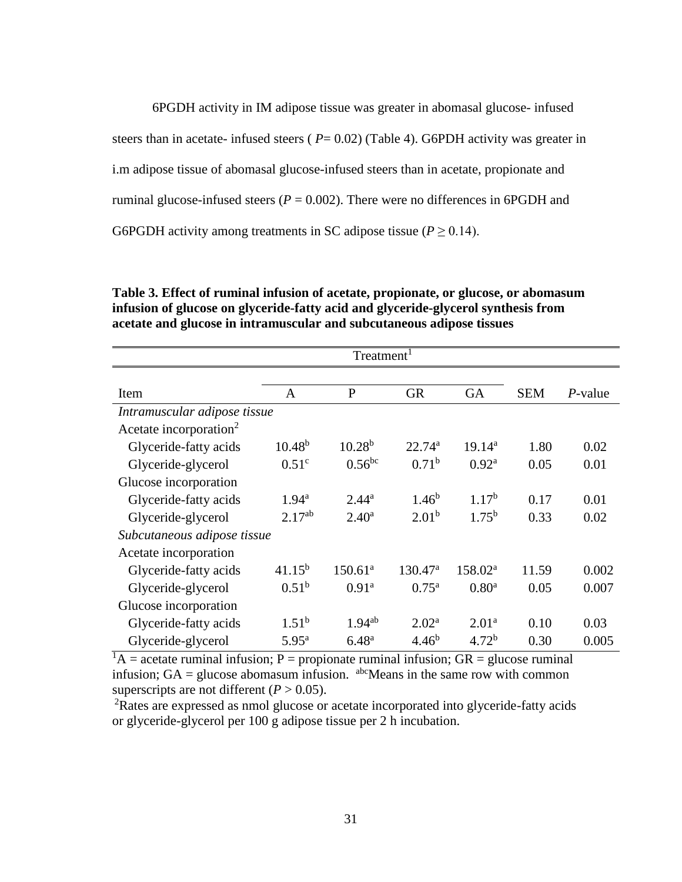6PGDH activity in IM adipose tissue was greater in abomasal glucose- infused steers than in acetate- infused steers ( $P = 0.02$ ) (Table 4). G6PDH activity was greater in i.m adipose tissue of abomasal glucose-infused steers than in acetate, propionate and ruminal glucose-infused steers ( $P = 0.002$ ). There were no differences in 6PGDH and G6PGDH activity among treatments in SC adipose tissue ( $P \ge 0.14$ ).

**Table 3. Effect of ruminal infusion of acetate, propionate, or glucose, or abomasum infusion of glucose on glyceride-fatty acid and glyceride-glycerol synthesis from acetate and glucose in intramuscular and subcutaneous adipose tissues**

| Treatment <sup>1</sup>             |                   |                   |                   |                   |            |            |  |  |
|------------------------------------|-------------------|-------------------|-------------------|-------------------|------------|------------|--|--|
|                                    |                   |                   |                   |                   |            |            |  |  |
| Item                               | A                 | $\mathbf{P}$      | <b>GR</b>         | <b>GA</b>         | <b>SEM</b> | $P$ -value |  |  |
| Intramuscular adipose tissue       |                   |                   |                   |                   |            |            |  |  |
| Acetate incorporation <sup>2</sup> |                   |                   |                   |                   |            |            |  |  |
| Glyceride-fatty acids              | $10.48^{b}$       | $10.28^{b}$       | $22.74^a$         | $19.14^{a}$       | 1.80       | 0.02       |  |  |
| Glyceride-glycerol                 | 0.51 <sup>c</sup> | $0.56$ bc         | $0.71^{\rm b}$    | 0.92 <sup>a</sup> | 0.05       | 0.01       |  |  |
| Glucose incorporation              |                   |                   |                   |                   |            |            |  |  |
| Glyceride-fatty acids              | $1.94^{\rm a}$    | $2.44^{\rm a}$    | $1.46^b$          | 1.17 <sup>b</sup> | 0.17       | 0.01       |  |  |
| Glyceride-glycerol                 | $2.17^{ab}$       | $2.40^{\rm a}$    | 2.01 <sup>b</sup> | $1.75^{b}$        | 0.33       | 0.02       |  |  |
| Subcutaneous adipose tissue        |                   |                   |                   |                   |            |            |  |  |
| Acetate incorporation              |                   |                   |                   |                   |            |            |  |  |
| Glyceride-fatty acids              | $41.15^{b}$       | $150.61^{\circ}$  | $130.47^{\rm a}$  | $158.02^{\rm a}$  | 11.59      | 0.002      |  |  |
| Glyceride-glycerol                 | $0.51^{b}$        | 0.91 <sup>a</sup> | $0.75^{\rm a}$    | 0.80 <sup>a</sup> | 0.05       | 0.007      |  |  |
| Glucose incorporation              |                   |                   |                   |                   |            |            |  |  |
| Glyceride-fatty acids              | $1.51^{\rm b}$    | $1.94^{ab}$       | $2.02^{\rm a}$    | $2.01^a$          | 0.10       | 0.03       |  |  |
| Glyceride-glycerol                 | $5.95^{\rm a}$    | $6.48^{a}$        | $4.46^{b}$        | 4.72 <sup>b</sup> | 0.30       | 0.005      |  |  |

 ${}^{1}A$  = acetate ruminal infusion; P = propionate ruminal infusion; GR = glucose ruminal infusion;  $GA =$  glucose abomasum infusion.  $a^{bc}$ Means in the same row with common superscripts are not different  $(P > 0.05)$ .

<sup>2</sup>Rates are expressed as nmol glucose or acetate incorporated into glyceride-fatty acids or glyceride-glycerol per 100 g adipose tissue per 2 h incubation.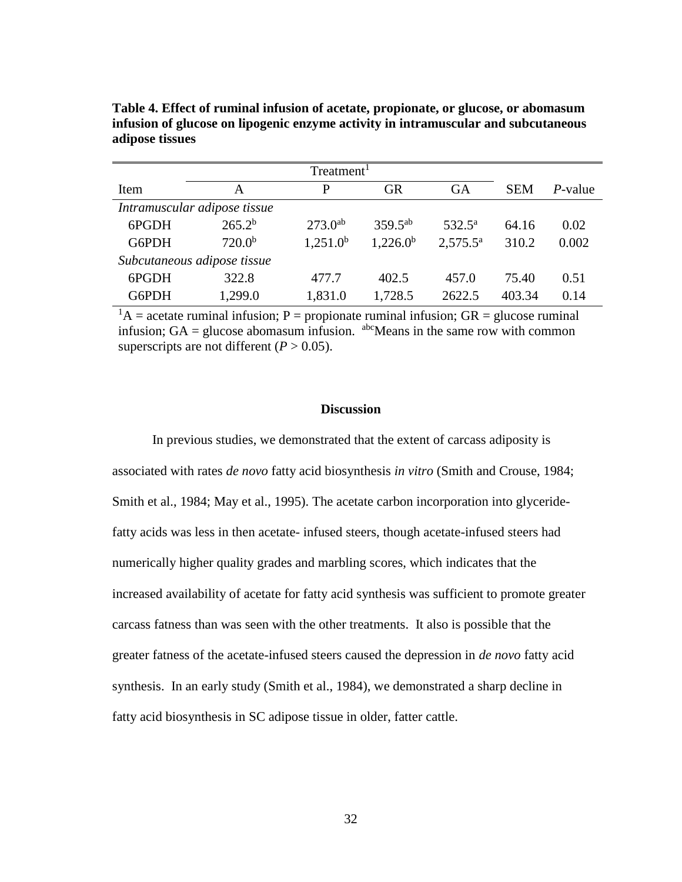| Item  | A                            | P            | <b>GR</b>    | <b>GA</b>         | <b>SEM</b> | $P$ -value |
|-------|------------------------------|--------------|--------------|-------------------|------------|------------|
|       | Intramuscular adipose tissue |              |              |                   |            |            |
| 6PGDH | $265.2^{b}$                  | $273.0^{ab}$ | $359.5^{ab}$ | $532.5^{\rm a}$   | 64.16      | 0.02       |
| G6PDH | $720.0^{b}$                  | $1,251.0^b$  | $1,226.0^b$  | $2,575.5^{\circ}$ | 310.2      | 0.002      |
|       | Subcutaneous adipose tissue  |              |              |                   |            |            |
| 6PGDH | 322.8                        | 477.7        | 402.5        | 457.0             | 75.40      | 0.51       |
| G6PDH | 1,299.0                      | 1,831.0      | 1,728.5      | 2622.5            | 403.34     | 0.14       |

**Table 4. Effect of ruminal infusion of acetate, propionate, or glucose, or abomasum infusion of glucose on lipogenic enzyme activity in intramuscular and subcutaneous adipose tissues**

 ${}^{1}A$  = acetate ruminal infusion; P = propionate ruminal infusion; GR = glucose ruminal infusion;  $GA =$  glucose abomasum infusion.  $a^{bc}$ Means in the same row with common superscripts are not different  $(P > 0.05)$ .

## **Discussion**

In previous studies, we demonstrated that the extent of carcass adiposity is associated with rates *de novo* fatty acid biosynthesis *in vitro* (Smith and Crouse, 1984; Smith et al., 1984; May et al., 1995). The acetate carbon incorporation into glyceridefatty acids was less in then acetate- infused steers, though acetate-infused steers had numerically higher quality grades and marbling scores, which indicates that the increased availability of acetate for fatty acid synthesis was sufficient to promote greater carcass fatness than was seen with the other treatments. It also is possible that the greater fatness of the acetate-infused steers caused the depression in *de novo* fatty acid synthesis. In an early study (Smith et al., 1984), we demonstrated a sharp decline in fatty acid biosynthesis in SC adipose tissue in older, fatter cattle.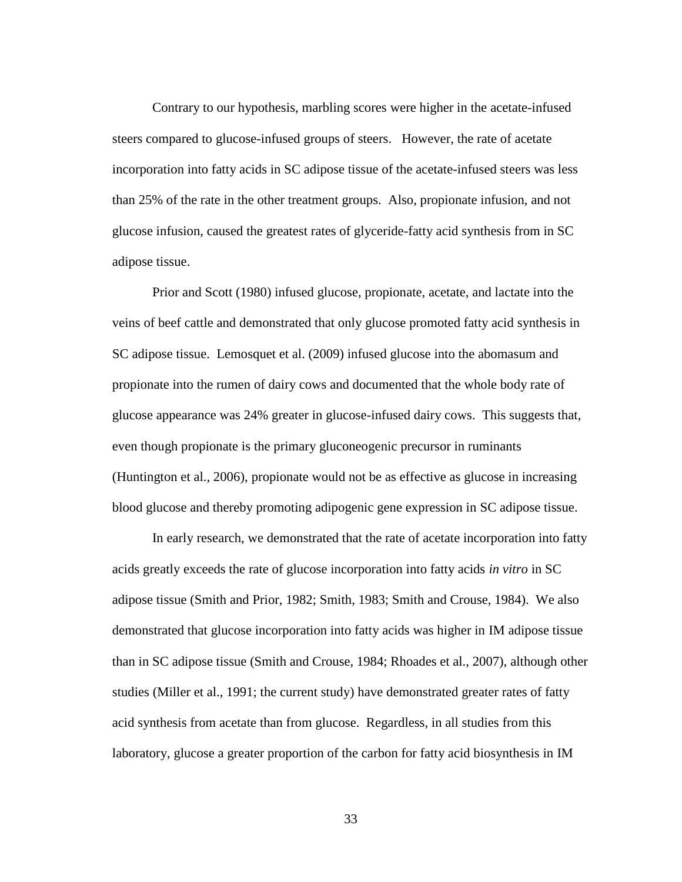Contrary to our hypothesis, marbling scores were higher in the acetate-infused steers compared to glucose-infused groups of steers. However, the rate of acetate incorporation into fatty acids in SC adipose tissue of the acetate-infused steers was less than 25% of the rate in the other treatment groups. Also, propionate infusion, and not glucose infusion, caused the greatest rates of glyceride-fatty acid synthesis from in SC adipose tissue.

Prior and Scott (1980) infused glucose, propionate, acetate, and lactate into the veins of beef cattle and demonstrated that only glucose promoted fatty acid synthesis in SC adipose tissue. Lemosquet et al. (2009) infused glucose into the abomasum and propionate into the rumen of dairy cows and documented that the whole body rate of glucose appearance was 24% greater in glucose-infused dairy cows. This suggests that, even though propionate is the primary gluconeogenic precursor in ruminants (Huntington et al., 2006), propionate would not be as effective as glucose in increasing blood glucose and thereby promoting adipogenic gene expression in SC adipose tissue.

In early research, we demonstrated that the rate of acetate incorporation into fatty acids greatly exceeds the rate of glucose incorporation into fatty acids *in vitro* in SC adipose tissue (Smith and Prior, 1982; Smith, 1983; Smith and Crouse, 1984). We also demonstrated that glucose incorporation into fatty acids was higher in IM adipose tissue than in SC adipose tissue (Smith and Crouse, 1984; Rhoades et al., 2007), although other studies (Miller et al., 1991; the current study) have demonstrated greater rates of fatty acid synthesis from acetate than from glucose. Regardless, in all studies from this laboratory, glucose a greater proportion of the carbon for fatty acid biosynthesis in IM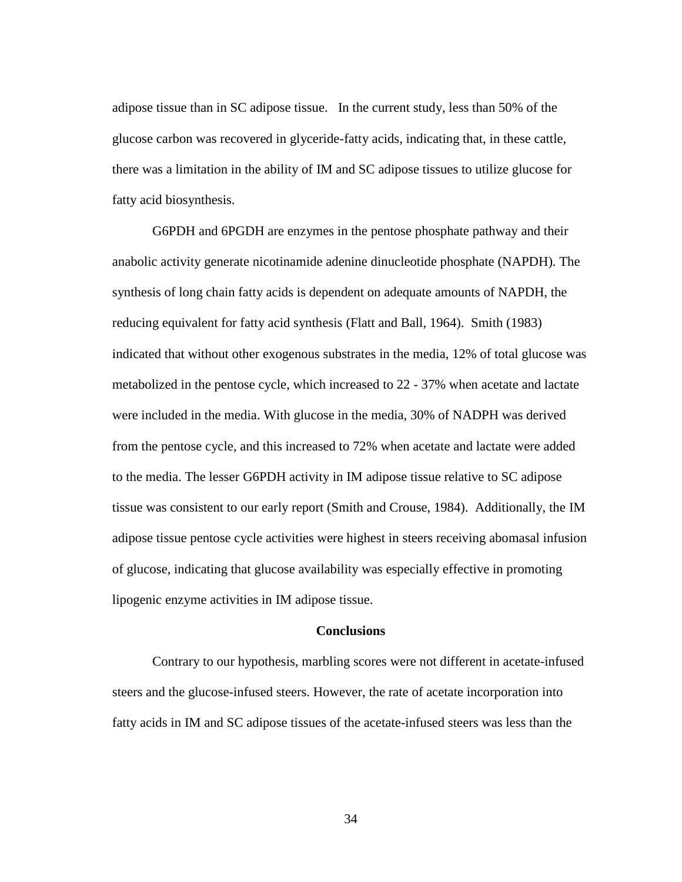adipose tissue than in SC adipose tissue. In the current study, less than 50% of the glucose carbon was recovered in glyceride-fatty acids, indicating that, in these cattle, there was a limitation in the ability of IM and SC adipose tissues to utilize glucose for fatty acid biosynthesis.

G6PDH and 6PGDH are enzymes in the pentose phosphate pathway and their anabolic activity generate nicotinamide adenine dinucleotide phosphate (NAPDH). The synthesis of long chain fatty acids is dependent on adequate amounts of NAPDH, the reducing equivalent for fatty acid synthesis (Flatt and Ball, 1964). Smith (1983) indicated that without other exogenous substrates in the media, 12% of total glucose was metabolized in the pentose cycle, which increased to 22 - 37% when acetate and lactate were included in the media. With glucose in the media, 30% of NADPH was derived from the pentose cycle, and this increased to 72% when acetate and lactate were added to the media. The lesser G6PDH activity in IM adipose tissue relative to SC adipose tissue was consistent to our early report (Smith and Crouse, 1984). Additionally, the IM adipose tissue pentose cycle activities were highest in steers receiving abomasal infusion of glucose, indicating that glucose availability was especially effective in promoting lipogenic enzyme activities in IM adipose tissue.

# **Conclusions**

Contrary to our hypothesis, marbling scores were not different in acetate-infused steers and the glucose-infused steers. However, the rate of acetate incorporation into fatty acids in IM and SC adipose tissues of the acetate-infused steers was less than the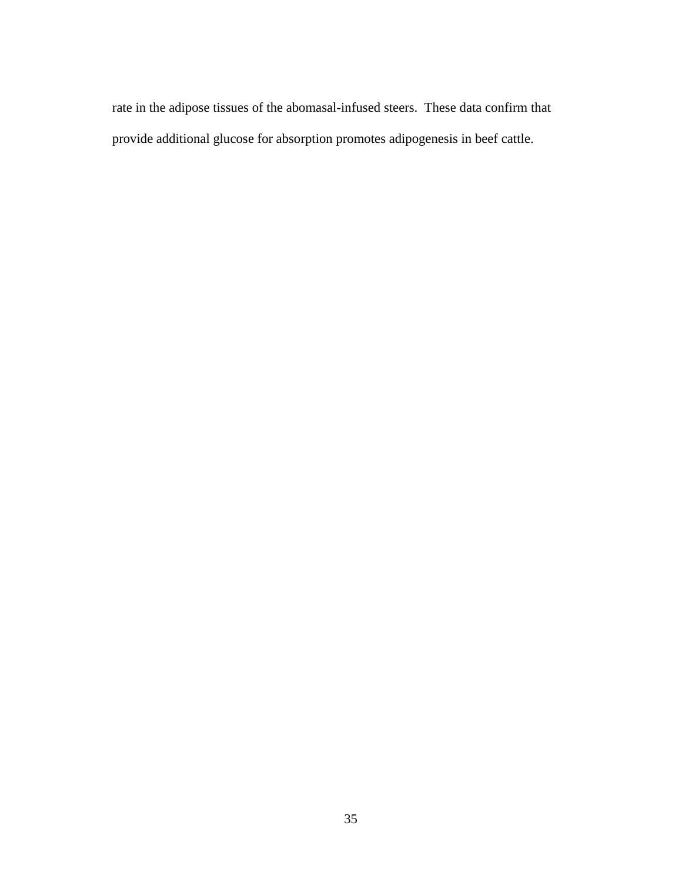rate in the adipose tissues of the abomasal-infused steers. These data confirm that provide additional glucose for absorption promotes adipogenesis in beef cattle.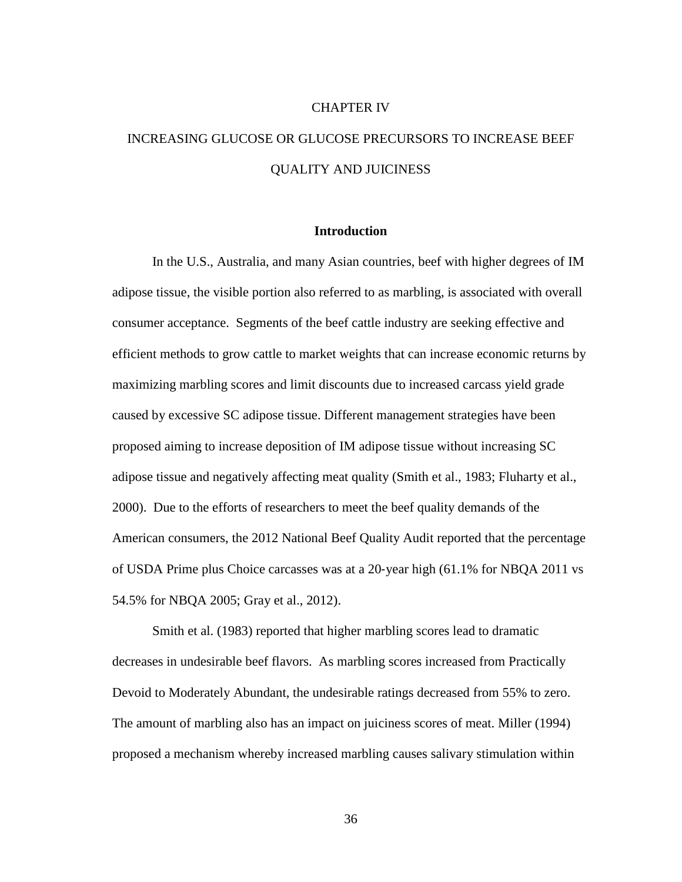## CHAPTER IV

# INCREASING GLUCOSE OR GLUCOSE PRECURSORS TO INCREASE BEEF QUALITY AND JUICINESS

## **Introduction**

In the U.S., Australia, and many Asian countries, beef with higher degrees of IM adipose tissue, the visible portion also referred to as marbling, is associated with overall consumer acceptance. Segments of the beef cattle industry are seeking effective and efficient methods to grow cattle to market weights that can increase economic returns by maximizing marbling scores and limit discounts due to increased carcass yield grade caused by excessive SC adipose tissue. Different management strategies have been proposed aiming to increase deposition of IM adipose tissue without increasing SC adipose tissue and negatively affecting meat quality (Smith et al., 1983; Fluharty et al., 2000). Due to the efforts of researchers to meet the beef quality demands of the American consumers, the 2012 National Beef Quality Audit reported that the percentage of USDA Prime plus Choice carcasses was at a 20‐year high (61.1% for NBQA 2011 vs 54.5% for NBQA 2005; Gray et al., 2012).

Smith et al. (1983) reported that higher marbling scores lead to dramatic decreases in undesirable beef flavors. As marbling scores increased from Practically Devoid to Moderately Abundant, the undesirable ratings decreased from 55% to zero. The amount of marbling also has an impact on juiciness scores of meat. Miller (1994) proposed a mechanism whereby increased marbling causes salivary stimulation within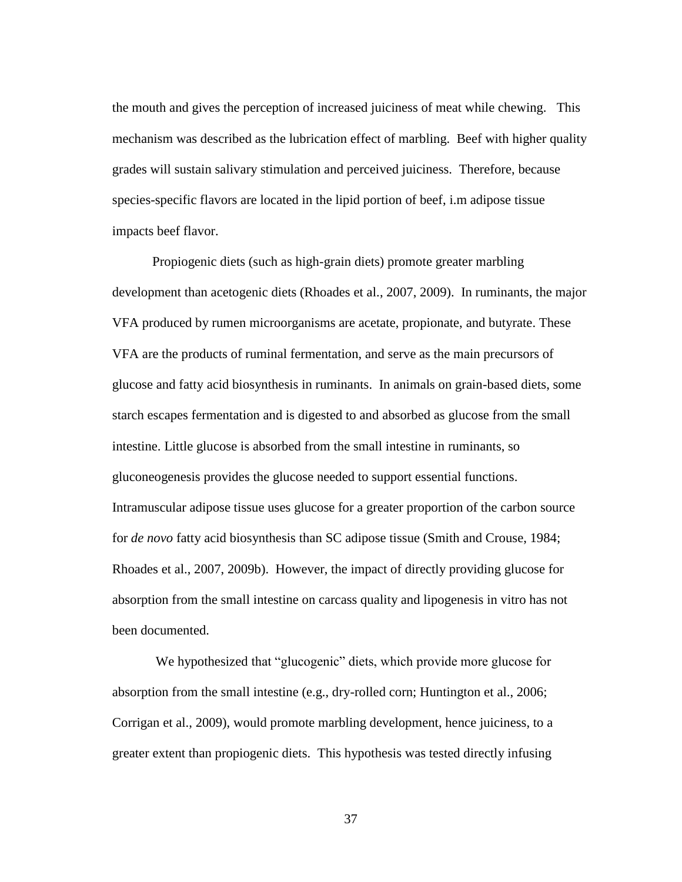the mouth and gives the perception of increased juiciness of meat while chewing. This mechanism was described as the lubrication effect of marbling. Beef with higher quality grades will sustain salivary stimulation and perceived juiciness. Therefore, because species-specific flavors are located in the lipid portion of beef, i.m adipose tissue impacts beef flavor.

Propiogenic diets (such as high-grain diets) promote greater marbling development than acetogenic diets (Rhoades et al., 2007, 2009). In ruminants, the major VFA produced by rumen microorganisms are acetate, propionate, and butyrate. These VFA are the products of ruminal fermentation, and serve as the main precursors of glucose and fatty acid biosynthesis in ruminants. In animals on grain-based diets, some starch escapes fermentation and is digested to and absorbed as glucose from the small intestine. Little glucose is absorbed from the small intestine in ruminants, so gluconeogenesis provides the glucose needed to support essential functions. Intramuscular adipose tissue uses glucose for a greater proportion of the carbon source for *de novo* fatty acid biosynthesis than SC adipose tissue (Smith and Crouse, 1984; Rhoades et al., 2007, 2009b). However, the impact of directly providing glucose for absorption from the small intestine on carcass quality and lipogenesis in vitro has not been documented.

We hypothesized that "glucogenic" diets, which provide more glucose for absorption from the small intestine (e.g., dry-rolled corn; Huntington et al., 2006; Corrigan et al., 2009), would promote marbling development, hence juiciness, to a greater extent than propiogenic diets. This hypothesis was tested directly infusing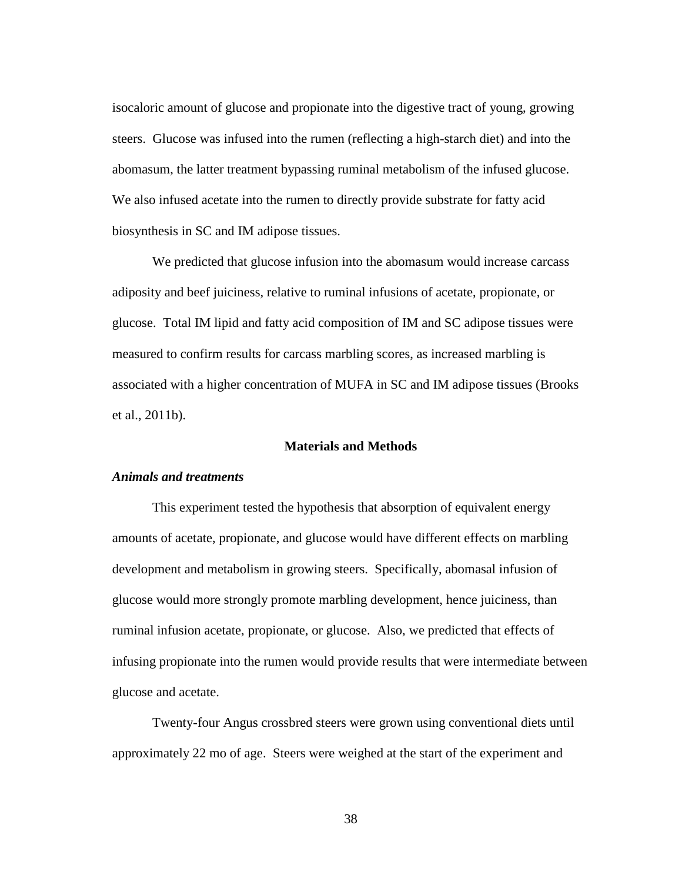isocaloric amount of glucose and propionate into the digestive tract of young, growing steers. Glucose was infused into the rumen (reflecting a high-starch diet) and into the abomasum, the latter treatment bypassing ruminal metabolism of the infused glucose. We also infused acetate into the rumen to directly provide substrate for fatty acid biosynthesis in SC and IM adipose tissues.

We predicted that glucose infusion into the abomasum would increase carcass adiposity and beef juiciness, relative to ruminal infusions of acetate, propionate, or glucose. Total IM lipid and fatty acid composition of IM and SC adipose tissues were measured to confirm results for carcass marbling scores, as increased marbling is associated with a higher concentration of MUFA in SC and IM adipose tissues (Brooks et al., 2011b).

# **Materials and Methods**

## *Animals and treatments*

This experiment tested the hypothesis that absorption of equivalent energy amounts of acetate, propionate, and glucose would have different effects on marbling development and metabolism in growing steers. Specifically, abomasal infusion of glucose would more strongly promote marbling development, hence juiciness, than ruminal infusion acetate, propionate, or glucose. Also, we predicted that effects of infusing propionate into the rumen would provide results that were intermediate between glucose and acetate.

Twenty-four Angus crossbred steers were grown using conventional diets until approximately 22 mo of age. Steers were weighed at the start of the experiment and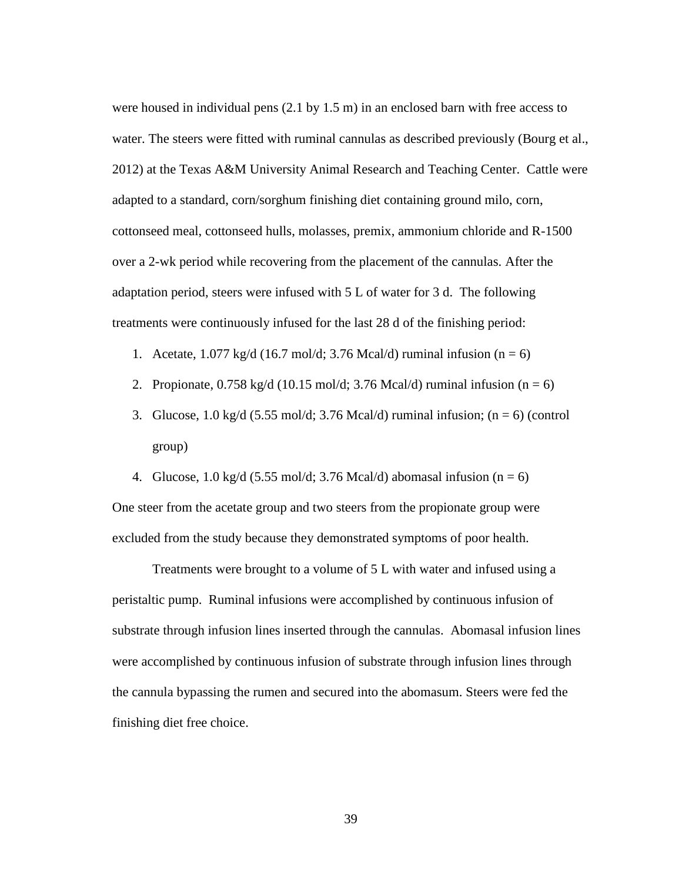were housed in individual pens (2.1 by 1.5 m) in an enclosed barn with free access to water. The steers were fitted with ruminal cannulas as described previously (Bourg et al., 2012) at the Texas A&M University Animal Research and Teaching Center. Cattle were adapted to a standard, corn/sorghum finishing diet containing ground milo, corn, cottonseed meal, cottonseed hulls, molasses, premix, ammonium chloride and R-1500 over a 2-wk period while recovering from the placement of the cannulas. After the adaptation period, steers were infused with 5 L of water for 3 d. The following treatments were continuously infused for the last 28 d of the finishing period:

- 1. Acetate,  $1.077 \text{ kg/d}$  (16.7 mol/d; 3.76 Mcal/d) ruminal infusion (n = 6)
- 2. Propionate,  $0.758 \text{ kg/d}$  (10.15 mol/d; 3.76 Mcal/d) ruminal infusion (n = 6)
- 3. Glucose, 1.0 kg/d (5.55 mol/d; 3.76 Mcal/d) ruminal infusion;  $(n = 6)$  (control group)
- 4. Glucose, 1.0 kg/d (5.55 mol/d; 3.76 Mcal/d) abomasal infusion (n = 6)

One steer from the acetate group and two steers from the propionate group were excluded from the study because they demonstrated symptoms of poor health.

Treatments were brought to a volume of 5 L with water and infused using a peristaltic pump. Ruminal infusions were accomplished by continuous infusion of substrate through infusion lines inserted through the cannulas. Abomasal infusion lines were accomplished by continuous infusion of substrate through infusion lines through the cannula bypassing the rumen and secured into the abomasum. Steers were fed the finishing diet free choice.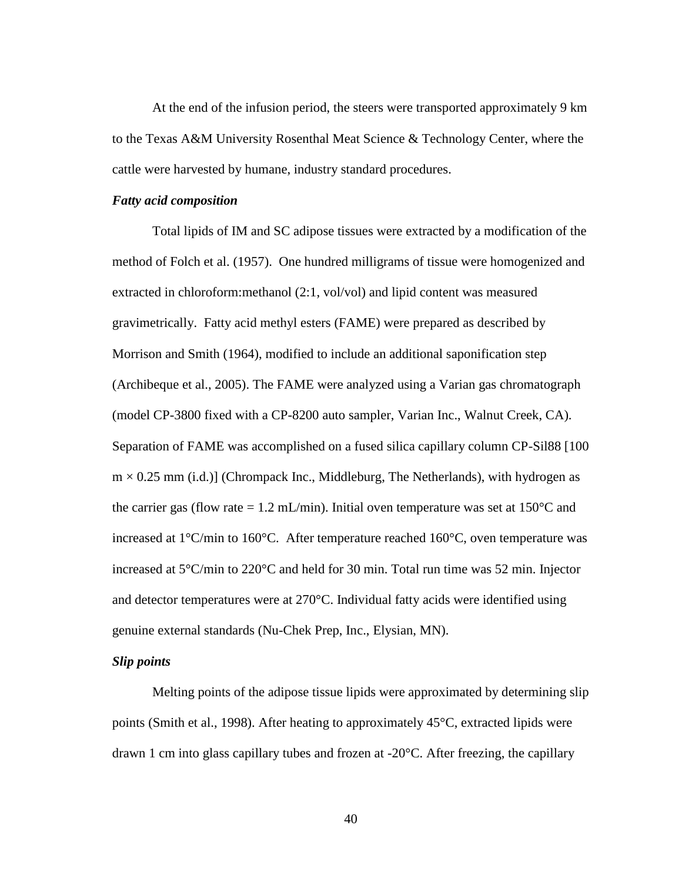At the end of the infusion period, the steers were transported approximately 9 km to the Texas A&M University Rosenthal Meat Science & Technology Center, where the cattle were harvested by humane, industry standard procedures.

#### *Fatty acid composition*

Total lipids of IM and SC adipose tissues were extracted by a modification of the method of Folch et al. (1957). One hundred milligrams of tissue were homogenized and extracted in chloroform:methanol (2:1, vol/vol) and lipid content was measured gravimetrically. Fatty acid methyl esters (FAME) were prepared as described by Morrison and Smith (1964), modified to include an additional saponification step (Archibeque et al., 2005). The FAME were analyzed using a Varian gas chromatograph (model CP-3800 fixed with a CP-8200 auto sampler, Varian Inc., Walnut Creek, CA). Separation of FAME was accomplished on a fused silica capillary column CP-Sil88 [100  $m \times 0.25$  mm (i.d.)] (Chrompack Inc., Middleburg, The Netherlands), with hydrogen as the carrier gas (flow rate = 1.2 mL/min). Initial oven temperature was set at  $150^{\circ}$ C and increased at 1°C/min to 160°C. After temperature reached 160°C, oven temperature was increased at 5°C/min to 220°C and held for 30 min. Total run time was 52 min. Injector and detector temperatures were at 270°C. Individual fatty acids were identified using genuine external standards (Nu-Chek Prep, Inc., Elysian, MN).

# *Slip points*

Melting points of the adipose tissue lipids were approximated by determining slip points (Smith et al., 1998). After heating to approximately 45°C, extracted lipids were drawn 1 cm into glass capillary tubes and frozen at -20°C. After freezing, the capillary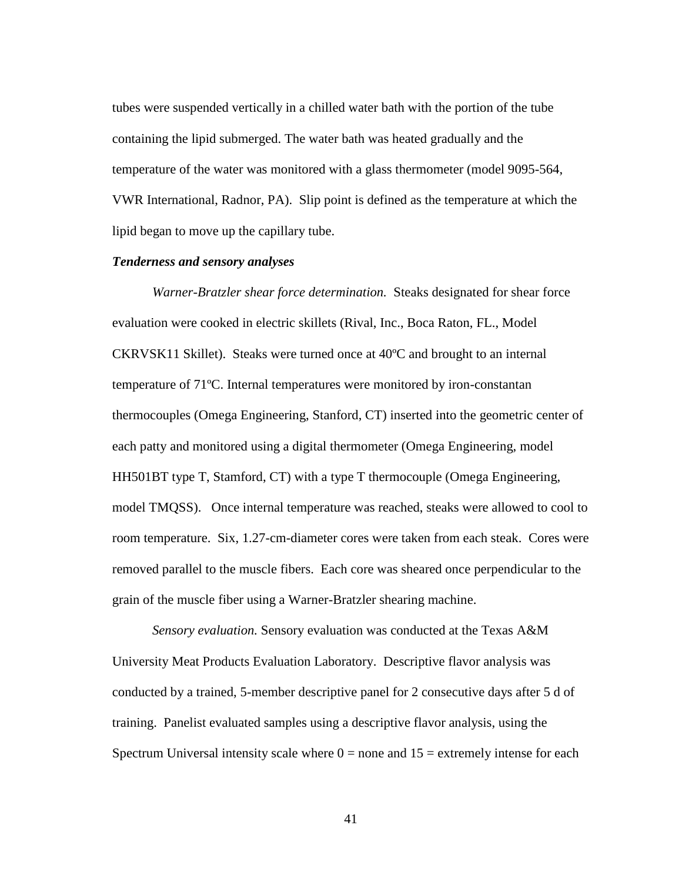tubes were suspended vertically in a chilled water bath with the portion of the tube containing the lipid submerged. The water bath was heated gradually and the temperature of the water was monitored with a glass thermometer (model 9095-564, VWR International, Radnor, PA). Slip point is defined as the temperature at which the lipid began to move up the capillary tube.

## *Tenderness and sensory analyses*

*Warner-Bratzler shear force determination.* Steaks designated for shear force evaluation were cooked in electric skillets (Rival, Inc., Boca Raton, FL., Model CKRVSK11 Skillet). Steaks were turned once at 40ºC and brought to an internal temperature of 71ºC. Internal temperatures were monitored by iron-constantan thermocouples (Omega Engineering, Stanford, CT) inserted into the geometric center of each patty and monitored using a digital thermometer (Omega Engineering, model HH501BT type T, Stamford, CT) with a type T thermocouple (Omega Engineering, model TMQSS). Once internal temperature was reached, steaks were allowed to cool to room temperature. Six, 1.27-cm-diameter cores were taken from each steak. Cores were removed parallel to the muscle fibers. Each core was sheared once perpendicular to the grain of the muscle fiber using a Warner-Bratzler shearing machine.

*Sensory evaluation.* Sensory evaluation was conducted at the Texas A&M University Meat Products Evaluation Laboratory. Descriptive flavor analysis was conducted by a trained, 5-member descriptive panel for 2 consecutive days after 5 d of training. Panelist evaluated samples using a descriptive flavor analysis, using the Spectrum Universal intensity scale where  $0 =$  none and  $15 =$  extremely intense for each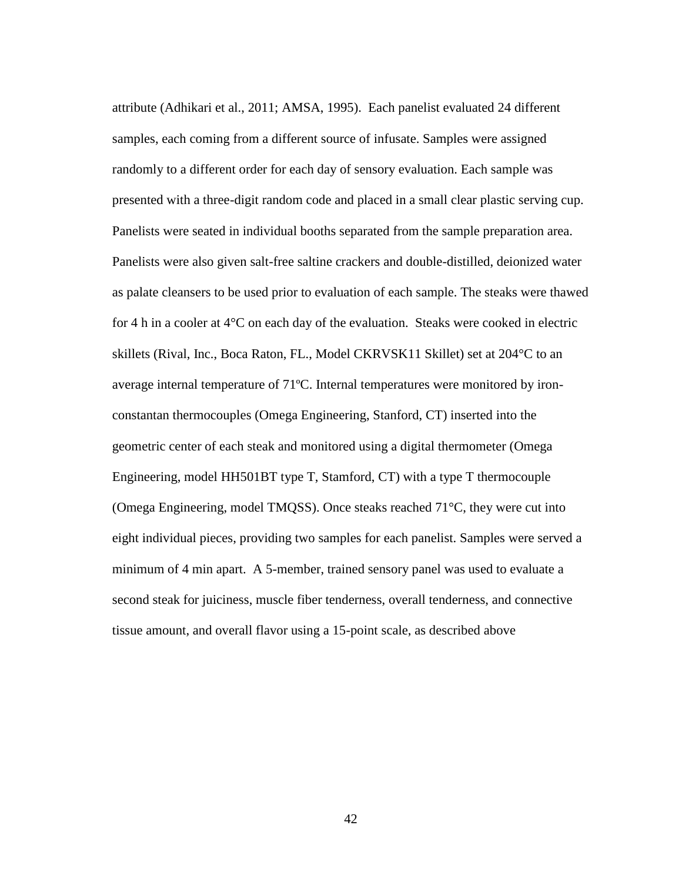attribute (Adhikari et al., 2011; AMSA, 1995). Each panelist evaluated 24 different samples, each coming from a different source of infusate. Samples were assigned randomly to a different order for each day of sensory evaluation. Each sample was presented with a three-digit random code and placed in a small clear plastic serving cup. Panelists were seated in individual booths separated from the sample preparation area. Panelists were also given salt-free saltine crackers and double-distilled, deionized water as palate cleansers to be used prior to evaluation of each sample. The steaks were thawed for 4 h in a cooler at  $4^{\circ}$ C on each day of the evaluation. Steaks were cooked in electric skillets (Rival, Inc., Boca Raton, FL., Model CKRVSK11 Skillet) set at 204°C to an average internal temperature of 71ºC. Internal temperatures were monitored by ironconstantan thermocouples (Omega Engineering, Stanford, CT) inserted into the geometric center of each steak and monitored using a digital thermometer (Omega Engineering, model HH501BT type T, Stamford, CT) with a type T thermocouple (Omega Engineering, model TMQSS). Once steaks reached 71°C, they were cut into eight individual pieces, providing two samples for each panelist. Samples were served a minimum of 4 min apart. A 5-member, trained sensory panel was used to evaluate a second steak for juiciness, muscle fiber tenderness, overall tenderness, and connective tissue amount, and overall flavor using a 15-point scale, as described above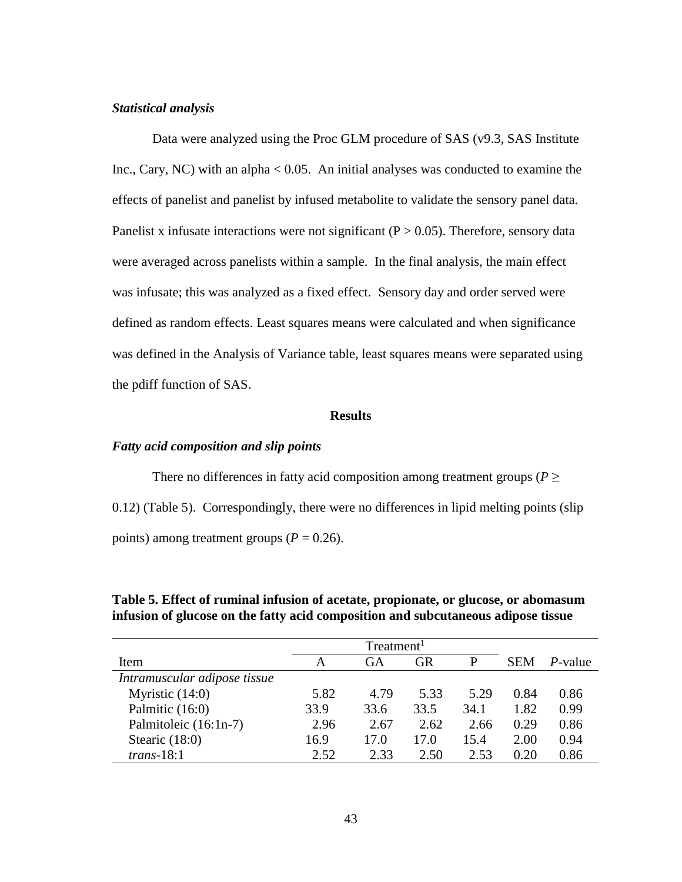## *Statistical analysis*

Data were analyzed using the Proc GLM procedure of SAS (v9.3, SAS Institute Inc., Cary, NC) with an alpha  $< 0.05$ . An initial analyses was conducted to examine the effects of panelist and panelist by infused metabolite to validate the sensory panel data. Panelist x infusate interactions were not significant ( $P > 0.05$ ). Therefore, sensory data were averaged across panelists within a sample. In the final analysis, the main effect was infusate; this was analyzed as a fixed effect. Sensory day and order served were defined as random effects. Least squares means were calculated and when significance was defined in the Analysis of Variance table, least squares means were separated using the pdiff function of SAS.

## **Results**

# *Fatty acid composition and slip points*

There no differences in fatty acid composition among treatment groups ( $P \geq$ 0.12) (Table 5). Correspondingly, there were no differences in lipid melting points (slip points) among treatment groups  $(P = 0.26)$ .

| Item                         | A    | GA   | GR   |      | <b>SEM</b> | <i>P</i> -value |
|------------------------------|------|------|------|------|------------|-----------------|
| Intramuscular adipose tissue |      |      |      |      |            |                 |
| Myristic $(14:0)$            | 5.82 | 4.79 | 5.33 | 5.29 | 0.84       | 0.86            |
| Palmitic (16:0)              | 33.9 | 33.6 | 33.5 | 34.1 | 1.82       | 0.99            |
| Palmitoleic (16:1n-7)        | 2.96 | 2.67 | 2.62 | 2.66 | 0.29       | 0.86            |
| Stearic $(18:0)$             | 16.9 | 17.0 | 17.0 | 15.4 | 2.00       | 0.94            |
| $trans-18:1$                 | 2.52 | 2.33 | 2.50 | 2.53 | 0.20       | 0.86            |

**Table 5. Effect of ruminal infusion of acetate, propionate, or glucose, or abomasum infusion of glucose on the fatty acid composition and subcutaneous adipose tissue**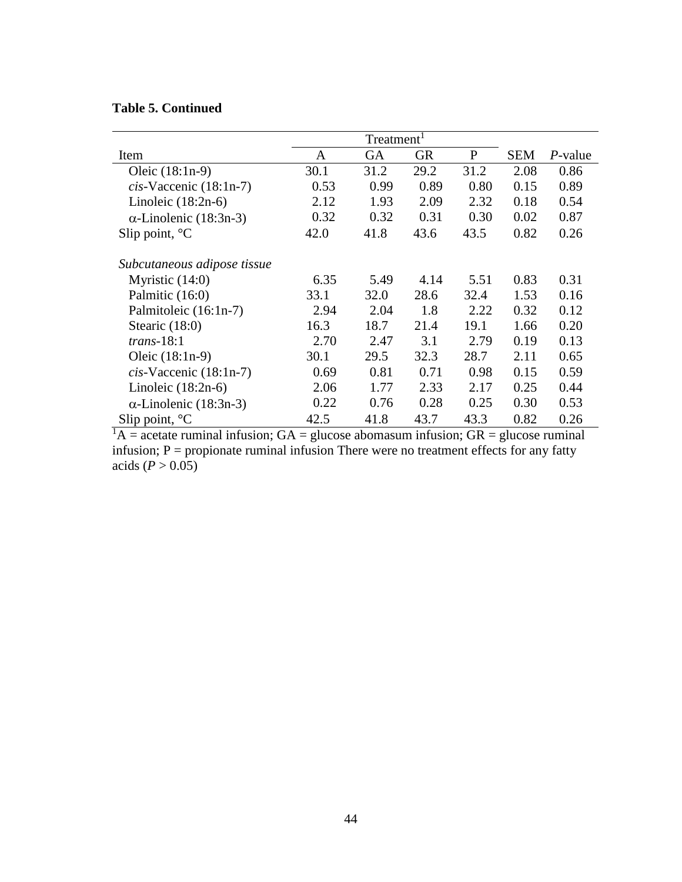# **Table 5. Continued**

|                               |      | Treatment <sup>1</sup> |           |      |            |            |
|-------------------------------|------|------------------------|-----------|------|------------|------------|
| Item                          | A    | GA                     | <b>GR</b> | P    | <b>SEM</b> | $P$ -value |
| Oleic $(18:1n-9)$             | 30.1 | 31.2                   | 29.2      | 31.2 | 2.08       | 0.86       |
| $cis$ -Vaccenic (18:1n-7)     | 0.53 | 0.99                   | 0.89      | 0.80 | 0.15       | 0.89       |
| Linoleic $(18:2n-6)$          | 2.12 | 1.93                   | 2.09      | 2.32 | 0.18       | 0.54       |
| $\alpha$ -Linolenic (18:3n-3) | 0.32 | 0.32                   | 0.31      | 0.30 | 0.02       | 0.87       |
| Slip point, $^{\circ}C$       | 42.0 | 41.8                   | 43.6      | 43.5 | 0.82       | 0.26       |
| Subcutaneous adipose tissue   |      |                        |           |      |            |            |
| Myristic $(14:0)$             | 6.35 | 5.49                   | 4.14      | 5.51 | 0.83       | 0.31       |
| Palmitic (16:0)               | 33.1 | 32.0                   | 28.6      | 32.4 | 1.53       | 0.16       |
| Palmitoleic (16:1n-7)         | 2.94 | 2.04                   | 1.8       | 2.22 | 0.32       | 0.12       |
| Stearic $(18:0)$              | 16.3 | 18.7                   | 21.4      | 19.1 | 1.66       | 0.20       |
| $trans-18:1$                  | 2.70 | 2.47                   | 3.1       | 2.79 | 0.19       | 0.13       |
| Oleic $(18:1n-9)$             | 30.1 | 29.5                   | 32.3      | 28.7 | 2.11       | 0.65       |
| $cis$ -Vaccenic (18:1n-7)     | 0.69 | 0.81                   | 0.71      | 0.98 | 0.15       | 0.59       |
| Linoleic $(18:2n-6)$          | 2.06 | 1.77                   | 2.33      | 2.17 | 0.25       | 0.44       |
| $\alpha$ -Linolenic (18:3n-3) | 0.22 | 0.76                   | 0.28      | 0.25 | 0.30       | 0.53       |
| Slip point, $^{\circ}C$       | 42.5 | 41.8                   | 43.7      | 43.3 | 0.82       | 0.26       |

 ${}^{1}A$  = acetate ruminal infusion; GA = glucose abomasum infusion; GR = glucose ruminal infusion;  $P =$  propionate ruminal infusion There were no treatment effects for any fatty acids ( $\vec{P} > 0.05$ )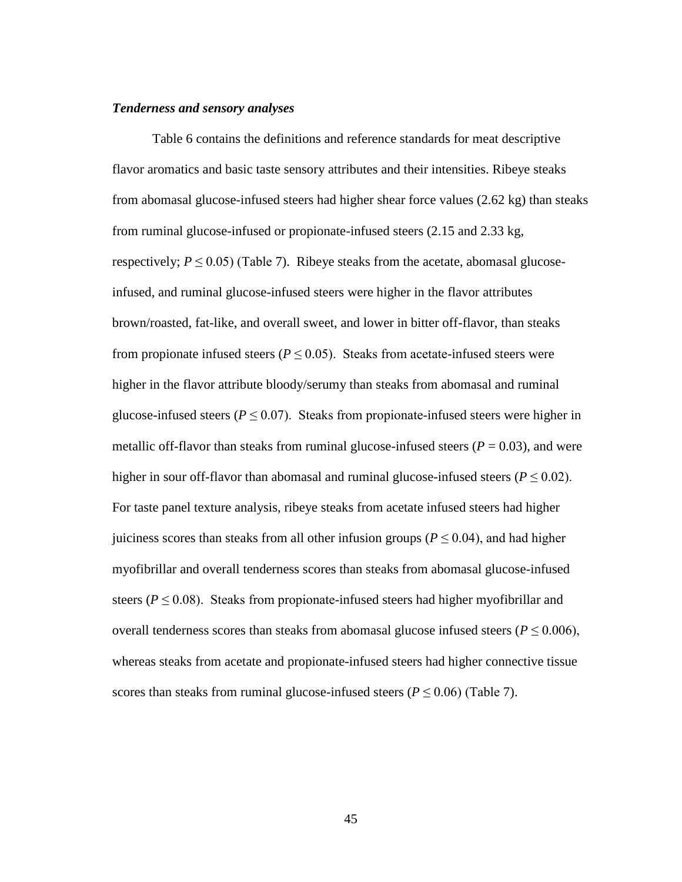### *Tenderness and sensory analyses*

Table 6 contains the definitions and reference standards for meat descriptive flavor aromatics and basic taste sensory attributes and their intensities. Ribeye steaks from abomasal glucose-infused steers had higher shear force values (2.62 kg) than steaks from ruminal glucose-infused or propionate-infused steers (2.15 and 2.33 kg, respectively;  $P \leq 0.05$ ) (Table 7). Ribeye steaks from the acetate, abomasal glucoseinfused, and ruminal glucose-infused steers were higher in the flavor attributes brown/roasted, fat-like, and overall sweet, and lower in bitter off-flavor, than steaks from propionate infused steers ( $P \leq 0.05$ ). Steaks from acetate-infused steers were higher in the flavor attribute bloody/serumy than steaks from abomasal and ruminal glucose-infused steers ( $P \le 0.07$ ). Steaks from propionate-infused steers were higher in metallic off-flavor than steaks from ruminal glucose-infused steers  $(P = 0.03)$ , and were higher in sour off-flavor than abomasal and ruminal glucose-infused steers ( $P \le 0.02$ ). For taste panel texture analysis, ribeye steaks from acetate infused steers had higher juiciness scores than steaks from all other infusion groups ( $P \le 0.04$ ), and had higher myofibrillar and overall tenderness scores than steaks from abomasal glucose-infused steers ( $P \le 0.08$ ). Steaks from propionate-infused steers had higher myofibrillar and overall tenderness scores than steaks from abomasal glucose infused steers ( $P \le 0.006$ ), whereas steaks from acetate and propionate-infused steers had higher connective tissue scores than steaks from ruminal glucose-infused steers ( $P \le 0.06$ ) (Table 7).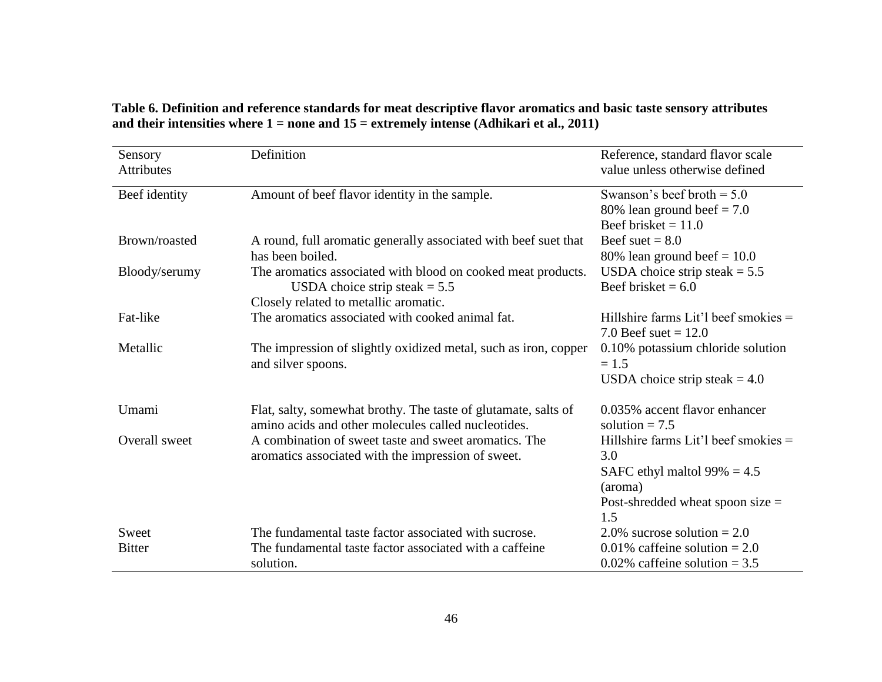| Table 6. Definition and reference standards for meat descriptive flavor aromatics and basic taste sensory attributes |
|----------------------------------------------------------------------------------------------------------------------|
| and their intensities where $1 =$ none and $15 =$ extremely intense (Adhikari et al., 2011)                          |

| Sensory<br><b>Attributes</b> | Definition                                                                                                                               | Reference, standard flavor scale<br>value unless otherwise defined                                                                    |
|------------------------------|------------------------------------------------------------------------------------------------------------------------------------------|---------------------------------------------------------------------------------------------------------------------------------------|
| Beef identity                | Amount of beef flavor identity in the sample.                                                                                            | Swanson's beef broth $= 5.0$<br>80% lean ground beef $= 7.0$<br>Beef brisket $= 11.0$                                                 |
| Brown/roasted                | A round, full aromatic generally associated with beef suet that<br>has been boiled.                                                      | Beef suet $= 8.0$<br>80% lean ground beef $= 10.0$                                                                                    |
| Bloody/serumy                | The aromatics associated with blood on cooked meat products.<br>USDA choice strip steak $= 5.5$<br>Closely related to metallic aromatic. | USDA choice strip steak $= 5.5$<br>Beef brisket $= 6.0$                                                                               |
| Fat-like                     | The aromatics associated with cooked animal fat.                                                                                         | Hillshire farms Lit'l beef smokies $=$<br>7.0 Beef suet = $12.0$                                                                      |
| Metallic                     | The impression of slightly oxidized metal, such as iron, copper<br>and silver spoons.                                                    | 0.10% potassium chloride solution<br>$= 1.5$<br>USDA choice strip steak $= 4.0$                                                       |
| Umami                        | Flat, salty, somewhat brothy. The taste of glutamate, salts of<br>amino acids and other molecules called nucleotides.                    | 0.035% accent flavor enhancer<br>solution $= 7.5$                                                                                     |
| Overall sweet                | A combination of sweet taste and sweet aromatics. The<br>aromatics associated with the impression of sweet.                              | Hillshire farms Lit'l beef smokies =<br>3.0<br>SAFC ethyl maltol $99\% = 4.5$<br>(aroma)<br>Post-shredded wheat spoon size $=$<br>1.5 |
| Sweet                        | The fundamental taste factor associated with sucrose.                                                                                    | 2.0% sucrose solution = $2.0$                                                                                                         |
| <b>Bitter</b>                | The fundamental taste factor associated with a caffeine<br>solution.                                                                     | 0.01% caffeine solution = $2.0$<br>0.02% caffeine solution = $3.5$                                                                    |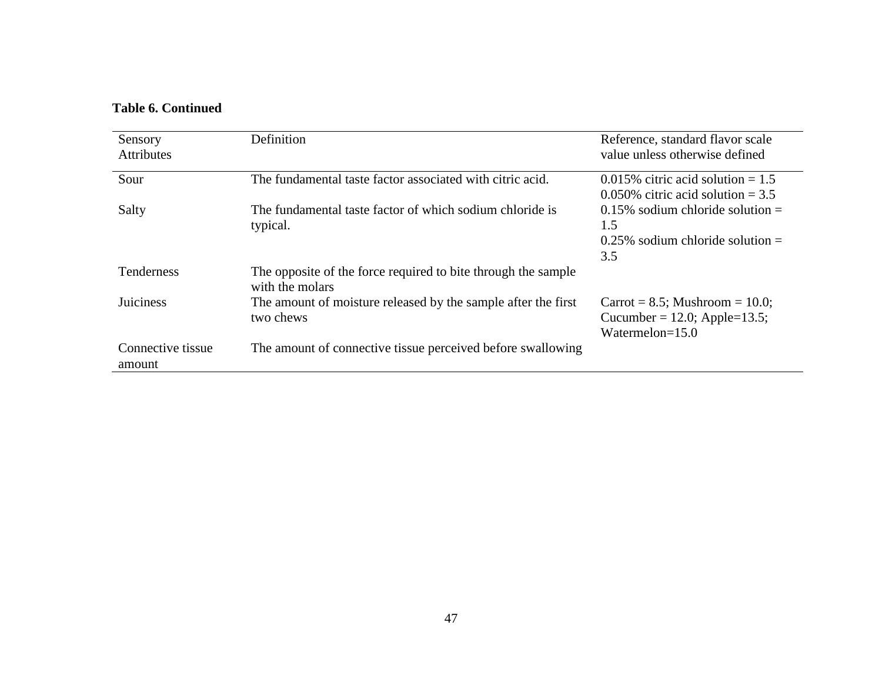# **Table 6. Continued**

| Sensory<br><b>Attributes</b> | Definition                                                                       | Reference, standard flavor scale<br>value unless otherwise defined                       |
|------------------------------|----------------------------------------------------------------------------------|------------------------------------------------------------------------------------------|
| Sour                         | The fundamental taste factor associated with citric acid.                        | $0.015\%$ citric acid solution = 1.5<br>$0.050\%$ citric acid solution = 3.5             |
| Salty                        | The fundamental taste factor of which sodium chloride is<br>typical.             | $0.15\%$ sodium chloride solution =<br>1.5<br>$0.25\%$ sodium chloride solution =<br>3.5 |
| Tenderness                   | The opposite of the force required to bite through the sample<br>with the molars |                                                                                          |
| <b>Juiciness</b>             | The amount of moisture released by the sample after the first<br>two chews       | Carrot = $8.5$ ; Mushroom = 10.0;<br>Cucumber = 12.0; Apple=13.5;<br>Watermelon= $15.0$  |
| Connective tissue<br>amount  | The amount of connective tissue perceived before swallowing                      |                                                                                          |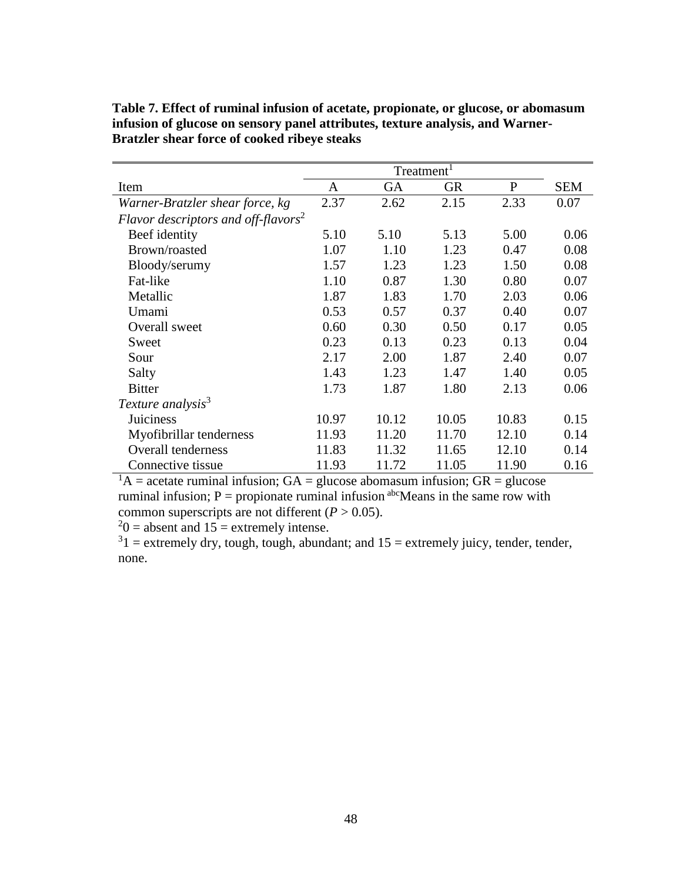| Item                                            | A     | <b>GA</b> | <b>GR</b> | $\mathbf{P}$ | <b>SEM</b> |
|-------------------------------------------------|-------|-----------|-----------|--------------|------------|
| Warner-Bratzler shear force, kg                 | 2.37  | 2.62      | 2.15      | 2.33         | 0.07       |
| Flavor descriptors and off-flavors <sup>2</sup> |       |           |           |              |            |
| Beef identity                                   | 5.10  | 5.10      | 5.13      | 5.00         | 0.06       |
| Brown/roasted                                   | 1.07  | 1.10      | 1.23      | 0.47         | 0.08       |
| Bloody/serumy                                   | 1.57  | 1.23      | 1.23      | 1.50         | 0.08       |
| Fat-like                                        | 1.10  | 0.87      | 1.30      | 0.80         | 0.07       |
| Metallic                                        | 1.87  | 1.83      | 1.70      | 2.03         | 0.06       |
| Umami                                           | 0.53  | 0.57      | 0.37      | 0.40         | 0.07       |
| Overall sweet                                   | 0.60  | 0.30      | 0.50      | 0.17         | 0.05       |
| Sweet                                           | 0.23  | 0.13      | 0.23      | 0.13         | 0.04       |
| Sour                                            | 2.17  | 2.00      | 1.87      | 2.40         | 0.07       |
| Salty                                           | 1.43  | 1.23      | 1.47      | 1.40         | 0.05       |
| <b>Bitter</b>                                   | 1.73  | 1.87      | 1.80      | 2.13         | 0.06       |
| Texture analysis <sup>3</sup>                   |       |           |           |              |            |
| Juiciness                                       | 10.97 | 10.12     | 10.05     | 10.83        | 0.15       |
| Myofibrillar tenderness                         | 11.93 | 11.20     | 11.70     | 12.10        | 0.14       |
| <b>Overall tenderness</b>                       | 11.83 | 11.32     | 11.65     | 12.10        | 0.14       |
| Connective tissue                               | 11.93 | 11.72     | 11.05     | 11.90        | 0.16       |

**Table 7. Effect of ruminal infusion of acetate, propionate, or glucose, or abomasum infusion of glucose on sensory panel attributes, texture analysis, and Warner-Bratzler shear force of cooked ribeye steaks** 

 $1_A$  = acetate ruminal infusion; GA = glucose abomasum infusion; GR = glucose ruminal infusion;  $P =$  propionate ruminal infusion  $\alpha^{abc}$ Means in the same row with common superscripts are not different  $(P > 0.05)$ .

 $20$  = absent and 15 = extremely intense.

 $31$  = extremely dry, tough, tough, abundant; and  $15$  = extremely juicy, tender, tender, none.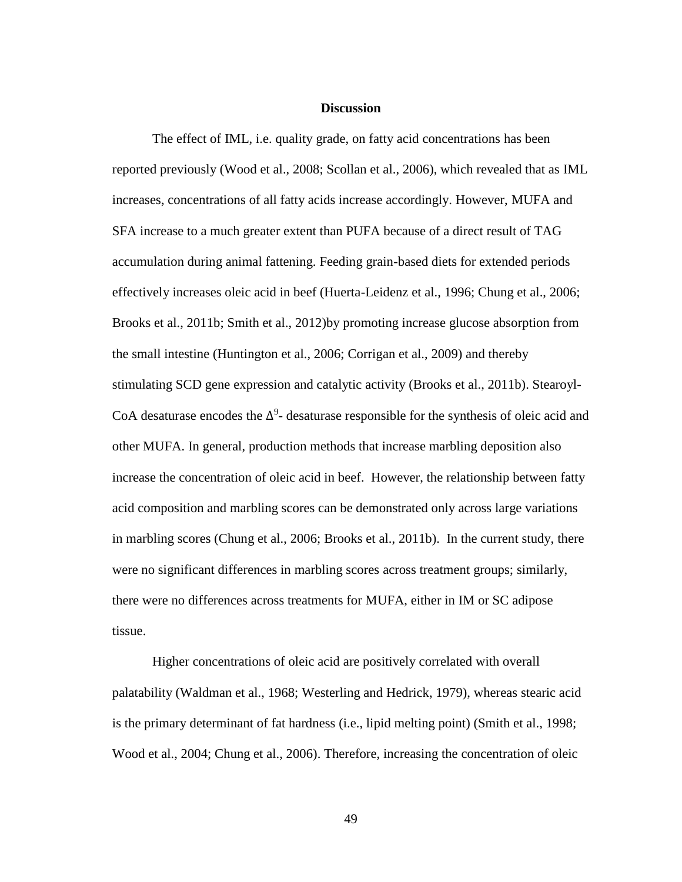### **Discussion**

The effect of IML, i.e. quality grade, on fatty acid concentrations has been reported previously (Wood et al., 2008; Scollan et al., 2006), which revealed that as IML increases, concentrations of all fatty acids increase accordingly. However, MUFA and SFA increase to a much greater extent than PUFA because of a direct result of TAG accumulation during animal fattening. Feeding grain-based diets for extended periods effectively increases oleic acid in beef (Huerta-Leidenz et al., 1996; Chung et al., 2006; Brooks et al., 2011b; Smith et al., 2012)by promoting increase glucose absorption from the small intestine (Huntington et al., 2006; Corrigan et al., 2009) and thereby stimulating SCD gene expression and catalytic activity (Brooks et al., 2011b). Stearoyl-CoA desaturase encodes the  $\Delta^9$ - desaturase responsible for the synthesis of oleic acid and other MUFA. In general, production methods that increase marbling deposition also increase the concentration of oleic acid in beef. However, the relationship between fatty acid composition and marbling scores can be demonstrated only across large variations in marbling scores (Chung et al., 2006; Brooks et al., 2011b). In the current study, there were no significant differences in marbling scores across treatment groups; similarly, there were no differences across treatments for MUFA, either in IM or SC adipose tissue.

Higher concentrations of oleic acid are positively correlated with overall palatability (Waldman et al., 1968; Westerling and Hedrick, 1979), whereas stearic acid is the primary determinant of fat hardness (i.e., lipid melting point) (Smith et al., 1998; Wood et al., 2004; Chung et al., 2006). Therefore, increasing the concentration of oleic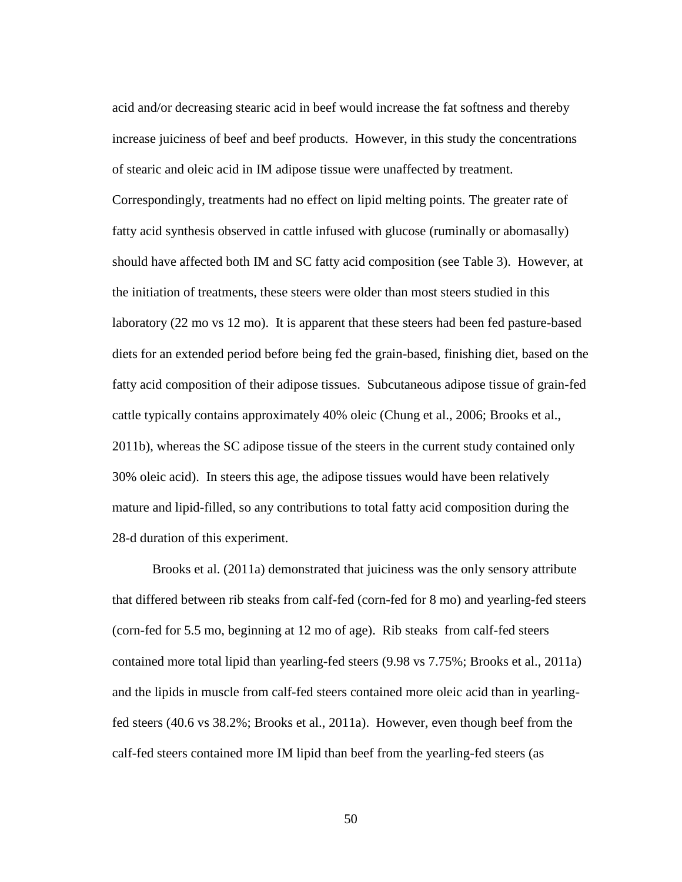acid and/or decreasing stearic acid in beef would increase the fat softness and thereby increase juiciness of beef and beef products. However, in this study the concentrations of stearic and oleic acid in IM adipose tissue were unaffected by treatment.

Correspondingly, treatments had no effect on lipid melting points. The greater rate of fatty acid synthesis observed in cattle infused with glucose (ruminally or abomasally) should have affected both IM and SC fatty acid composition (see Table 3). However, at the initiation of treatments, these steers were older than most steers studied in this laboratory (22 mo vs 12 mo). It is apparent that these steers had been fed pasture-based diets for an extended period before being fed the grain-based, finishing diet, based on the fatty acid composition of their adipose tissues. Subcutaneous adipose tissue of grain-fed cattle typically contains approximately 40% oleic (Chung et al., 2006; Brooks et al., 2011b), whereas the SC adipose tissue of the steers in the current study contained only 30% oleic acid). In steers this age, the adipose tissues would have been relatively mature and lipid-filled, so any contributions to total fatty acid composition during the 28-d duration of this experiment.

Brooks et al. (2011a) demonstrated that juiciness was the only sensory attribute that differed between rib steaks from calf-fed (corn-fed for 8 mo) and yearling-fed steers (corn-fed for 5.5 mo, beginning at 12 mo of age). Rib steaks from calf-fed steers contained more total lipid than yearling-fed steers (9.98 vs 7.75%; Brooks et al., 2011a) and the lipids in muscle from calf-fed steers contained more oleic acid than in yearlingfed steers (40.6 vs 38.2%; Brooks et al., 2011a). However, even though beef from the calf-fed steers contained more IM lipid than beef from the yearling-fed steers (as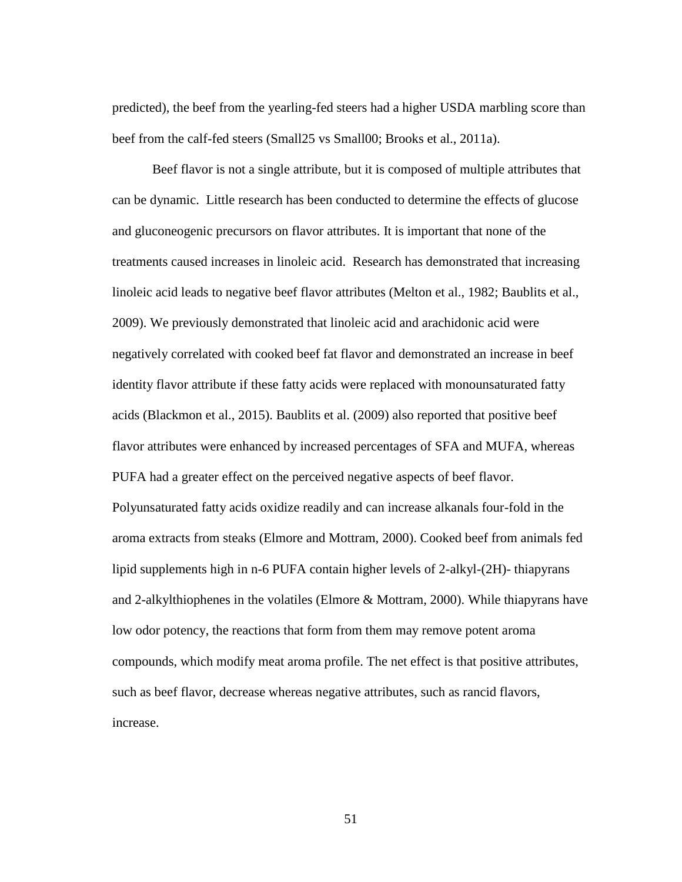predicted), the beef from the yearling-fed steers had a higher USDA marbling score than beef from the calf-fed steers (Small25 vs Small00; Brooks et al., 2011a).

Beef flavor is not a single attribute, but it is composed of multiple attributes that can be dynamic. Little research has been conducted to determine the effects of glucose and gluconeogenic precursors on flavor attributes. It is important that none of the treatments caused increases in linoleic acid. Research has demonstrated that increasing linoleic acid leads to negative beef flavor attributes (Melton et al., 1982; Baublits et al., 2009). We previously demonstrated that linoleic acid and arachidonic acid were negatively correlated with cooked beef fat flavor and demonstrated an increase in beef identity flavor attribute if these fatty acids were replaced with monounsaturated fatty acids (Blackmon et al., 2015). Baublits et al. (2009) also reported that positive beef flavor attributes were enhanced by increased percentages of SFA and MUFA, whereas PUFA had a greater effect on the perceived negative aspects of beef flavor. Polyunsaturated fatty acids oxidize readily and can increase alkanals four-fold in the aroma extracts from steaks (Elmore and Mottram, 2000). Cooked beef from animals fed lipid supplements high in n-6 PUFA contain higher levels of 2-alkyl-(2H)- thiapyrans and 2-alkylthiophenes in the volatiles (Elmore & Mottram, 2000). While thiapyrans have low odor potency, the reactions that form from them may remove potent aroma compounds, which modify meat aroma profile. The net effect is that positive attributes, such as beef flavor, decrease whereas negative attributes, such as rancid flavors, increase.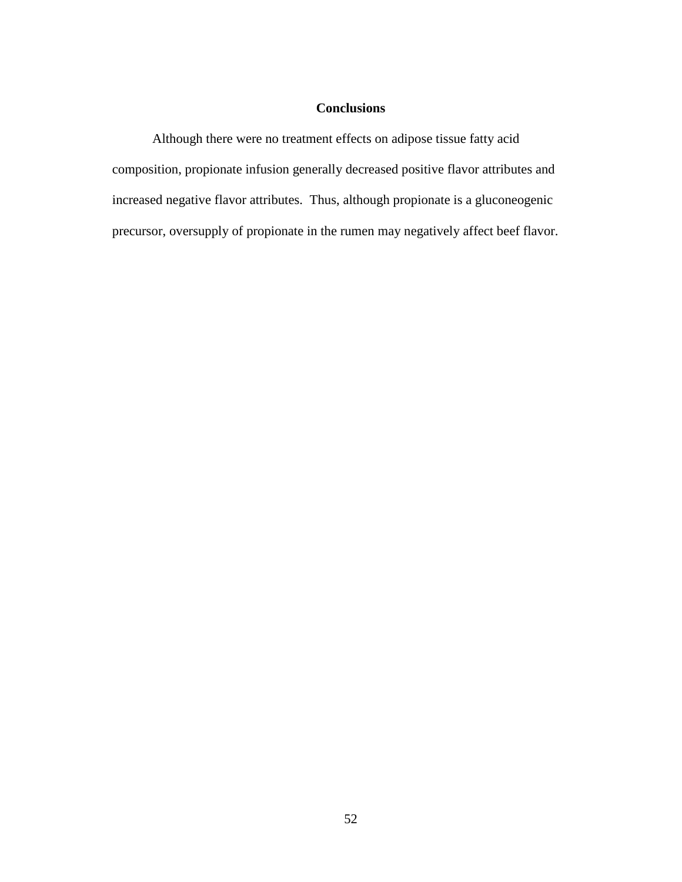# **Conclusions**

Although there were no treatment effects on adipose tissue fatty acid composition, propionate infusion generally decreased positive flavor attributes and increased negative flavor attributes. Thus, although propionate is a gluconeogenic precursor, oversupply of propionate in the rumen may negatively affect beef flavor.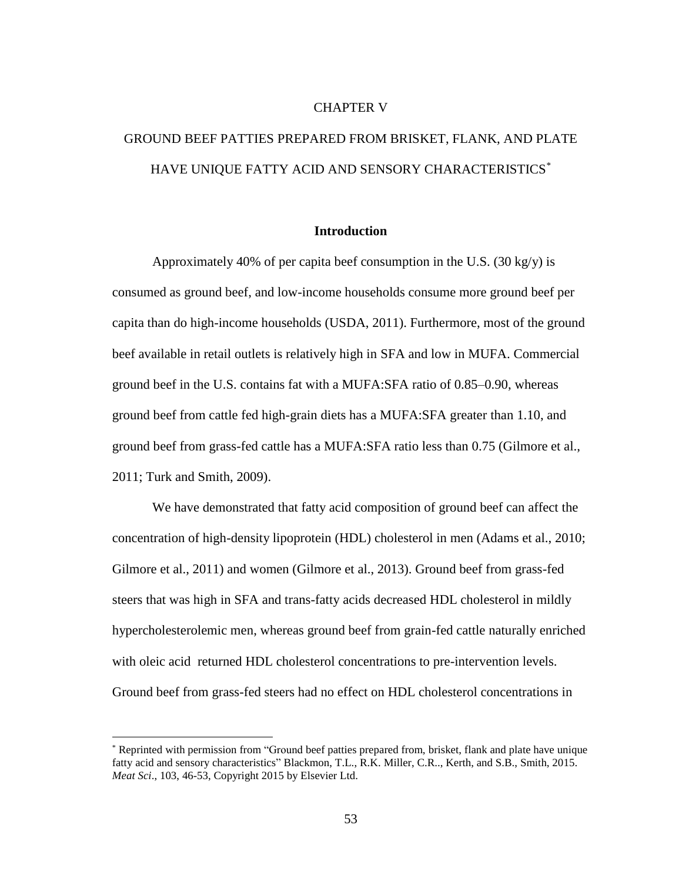## CHAPTER V

# GROUND BEEF PATTIES PREPARED FROM BRISKET, FLANK, AND PLATE HAVE UNIQUE FATTY ACID AND SENSORY CHARACTERISTICS<sup>\*</sup>

## **Introduction**

Approximately 40% of per capita beef consumption in the U.S.  $(30 \text{ kg/y})$  is consumed as ground beef, and low-income households consume more ground beef per capita than do high-income households (USDA, 2011). Furthermore, most of the ground beef available in retail outlets is relatively high in SFA and low in MUFA. Commercial ground beef in the U.S. contains fat with a MUFA:SFA ratio of 0.85–0.90, whereas ground beef from cattle fed high-grain diets has a MUFA:SFA greater than 1.10, and ground beef from grass-fed cattle has a MUFA:SFA ratio less than 0.75 (Gilmore et al., 2011; Turk and Smith, 2009).

We have demonstrated that fatty acid composition of ground beef can affect the concentration of high-density lipoprotein (HDL) cholesterol in men (Adams et al., 2010; Gilmore et al., 2011) and women (Gilmore et al., 2013). Ground beef from grass-fed steers that was high in SFA and trans-fatty acids decreased HDL cholesterol in mildly hypercholesterolemic men, whereas ground beef from grain-fed cattle naturally enriched with oleic acid returned HDL cholesterol concentrations to pre-intervention levels. Ground beef from grass-fed steers had no effect on HDL cholesterol concentrations in

 $\overline{a}$ 

<sup>\*</sup> Reprinted with permission from "Ground beef patties prepared from, brisket, flank and plate have unique fatty acid and sensory characteristics" Blackmon, T.L., R.K. Miller, C.R.., Kerth, and S.B., Smith, 2015. *Meat Sci*., 103, 46-53, Copyright 2015 by Elsevier Ltd.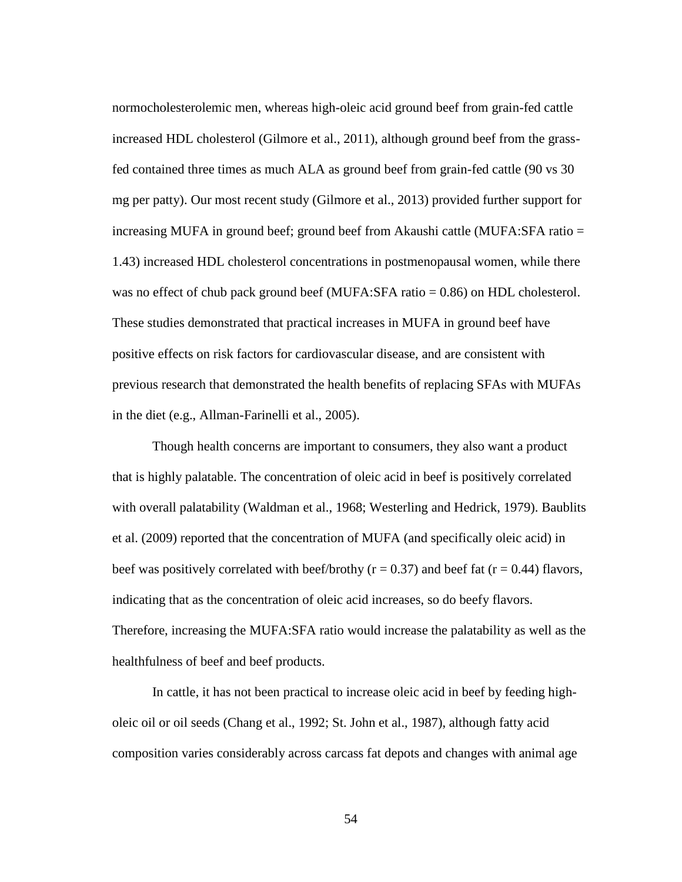normocholesterolemic men, whereas high-oleic acid ground beef from grain-fed cattle increased HDL cholesterol (Gilmore et al., 2011), although ground beef from the grassfed contained three times as much ALA as ground beef from grain-fed cattle (90 vs 30 mg per patty). Our most recent study (Gilmore et al., 2013) provided further support for increasing MUFA in ground beef; ground beef from Akaushi cattle (MUFA:SFA ratio = 1.43) increased HDL cholesterol concentrations in postmenopausal women, while there was no effect of chub pack ground beef (MUFA:SFA ratio = 0.86) on HDL cholesterol. These studies demonstrated that practical increases in MUFA in ground beef have positive effects on risk factors for cardiovascular disease, and are consistent with previous research that demonstrated the health benefits of replacing SFAs with MUFAs in the diet (e.g., Allman-Farinelli et al., 2005).

Though health concerns are important to consumers, they also want a product that is highly palatable. The concentration of oleic acid in beef is positively correlated with overall palatability (Waldman et al., 1968; Westerling and Hedrick, 1979). Baublits et al. (2009) reported that the concentration of MUFA (and specifically oleic acid) in beef was positively correlated with beef/brothy ( $r = 0.37$ ) and beef fat ( $r = 0.44$ ) flavors, indicating that as the concentration of oleic acid increases, so do beefy flavors. Therefore, increasing the MUFA:SFA ratio would increase the palatability as well as the healthfulness of beef and beef products.

In cattle, it has not been practical to increase oleic acid in beef by feeding higholeic oil or oil seeds (Chang et al., 1992; St. John et al., 1987), although fatty acid composition varies considerably across carcass fat depots and changes with animal age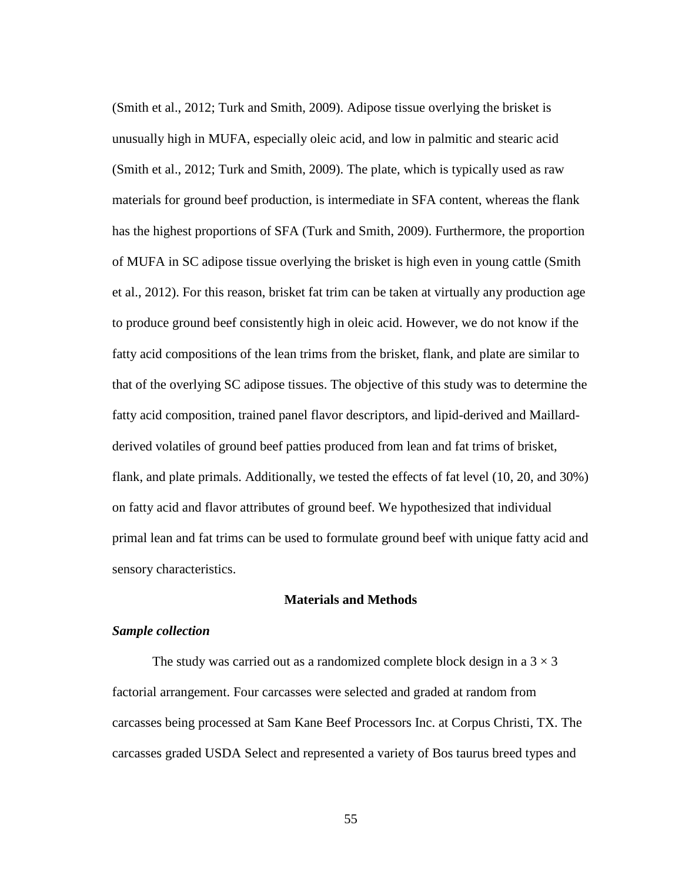(Smith et al., 2012; Turk and Smith, 2009). Adipose tissue overlying the brisket is unusually high in MUFA, especially oleic acid, and low in palmitic and stearic acid (Smith et al., 2012; Turk and Smith, 2009). The plate, which is typically used as raw materials for ground beef production, is intermediate in SFA content, whereas the flank has the highest proportions of SFA (Turk and Smith, 2009). Furthermore, the proportion of MUFA in SC adipose tissue overlying the brisket is high even in young cattle (Smith et al., 2012). For this reason, brisket fat trim can be taken at virtually any production age to produce ground beef consistently high in oleic acid. However, we do not know if the fatty acid compositions of the lean trims from the brisket, flank, and plate are similar to that of the overlying SC adipose tissues. The objective of this study was to determine the fatty acid composition, trained panel flavor descriptors, and lipid-derived and Maillardderived volatiles of ground beef patties produced from lean and fat trims of brisket, flank, and plate primals. Additionally, we tested the effects of fat level (10, 20, and 30%) on fatty acid and flavor attributes of ground beef. We hypothesized that individual primal lean and fat trims can be used to formulate ground beef with unique fatty acid and sensory characteristics.

## **Materials and Methods**

# *Sample collection*

The study was carried out as a randomized complete block design in a  $3 \times 3$ factorial arrangement. Four carcasses were selected and graded at random from carcasses being processed at Sam Kane Beef Processors Inc. at Corpus Christi, TX. The carcasses graded USDA Select and represented a variety of Bos taurus breed types and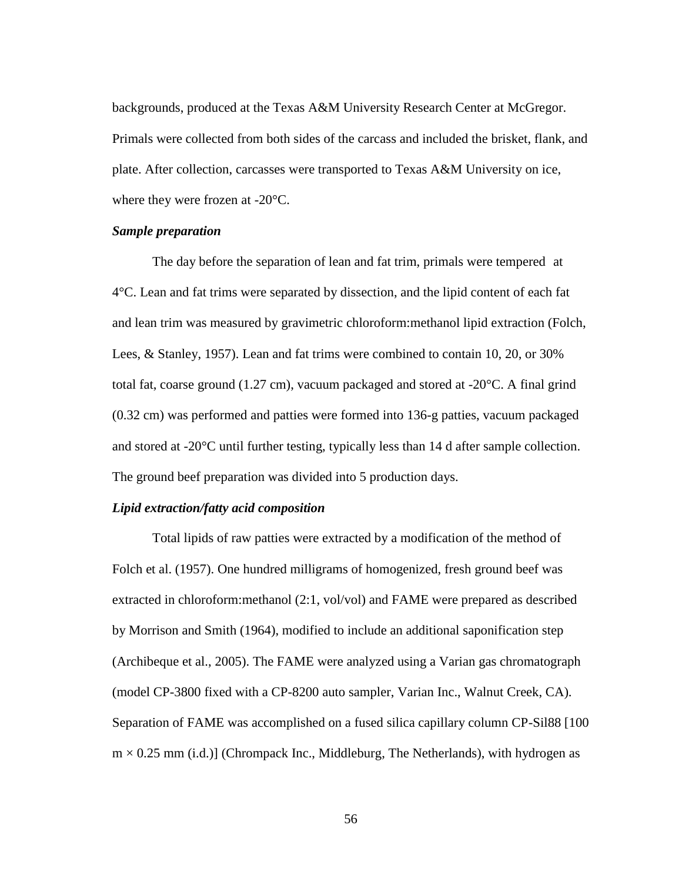backgrounds, produced at the Texas A&M University Research Center at McGregor. Primals were collected from both sides of the carcass and included the brisket, flank, and plate. After collection, carcasses were transported to Texas A&M University on ice, where they were frozen at -20°C.

## *Sample preparation*

The day before the separation of lean and fat trim, primals were tempered at 4°C. Lean and fat trims were separated by dissection, and the lipid content of each fat and lean trim was measured by gravimetric chloroform:methanol lipid extraction (Folch, Lees, & Stanley, 1957). Lean and fat trims were combined to contain 10, 20, or 30% total fat, coarse ground (1.27 cm), vacuum packaged and stored at -20°C. A final grind (0.32 cm) was performed and patties were formed into 136-g patties, vacuum packaged and stored at -20°C until further testing, typically less than 14 d after sample collection. The ground beef preparation was divided into 5 production days.

# *Lipid extraction/fatty acid composition*

Total lipids of raw patties were extracted by a modification of the method of Folch et al. (1957). One hundred milligrams of homogenized, fresh ground beef was extracted in chloroform:methanol (2:1, vol/vol) and FAME were prepared as described by Morrison and Smith (1964), modified to include an additional saponification step (Archibeque et al., 2005). The FAME were analyzed using a Varian gas chromatograph (model CP-3800 fixed with a CP-8200 auto sampler, Varian Inc., Walnut Creek, CA). Separation of FAME was accomplished on a fused silica capillary column CP-Sil88 [100  $m \times 0.25$  mm (i.d.)] (Chrompack Inc., Middleburg, The Netherlands), with hydrogen as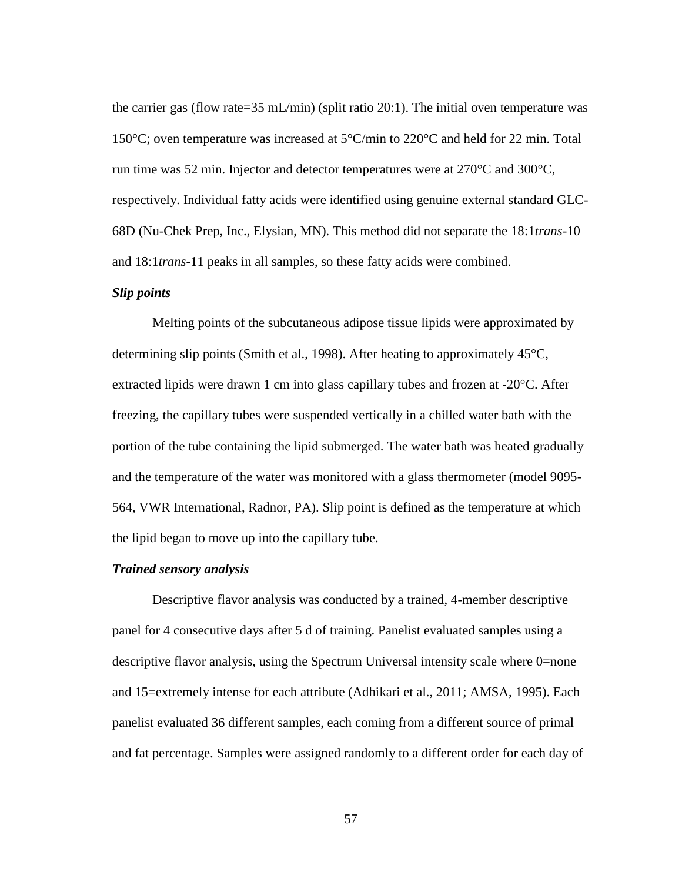the carrier gas (flow rate=35 mL/min) (split ratio 20:1). The initial oven temperature was 150 $\degree$ C; oven temperature was increased at 5 $\degree$ C/min to 220 $\degree$ C and held for 22 min. Total run time was 52 min. Injector and detector temperatures were at 270°C and 300°C, respectively. Individual fatty acids were identified using genuine external standard GLC-68D (Nu-Chek Prep, Inc., Elysian, MN). This method did not separate the 18:1*trans*-10 and 18:1*trans*-11 peaks in all samples, so these fatty acids were combined.

# *Slip points*

Melting points of the subcutaneous adipose tissue lipids were approximated by determining slip points (Smith et al., 1998). After heating to approximately  $45^{\circ}$ C, extracted lipids were drawn 1 cm into glass capillary tubes and frozen at -20°C. After freezing, the capillary tubes were suspended vertically in a chilled water bath with the portion of the tube containing the lipid submerged. The water bath was heated gradually and the temperature of the water was monitored with a glass thermometer (model 9095- 564, VWR International, Radnor, PA). Slip point is defined as the temperature at which the lipid began to move up into the capillary tube.

## *Trained sensory analysis*

Descriptive flavor analysis was conducted by a trained, 4-member descriptive panel for 4 consecutive days after 5 d of training. Panelist evaluated samples using a descriptive flavor analysis, using the Spectrum Universal intensity scale where 0=none and 15=extremely intense for each attribute (Adhikari et al., 2011; AMSA, 1995). Each panelist evaluated 36 different samples, each coming from a different source of primal and fat percentage. Samples were assigned randomly to a different order for each day of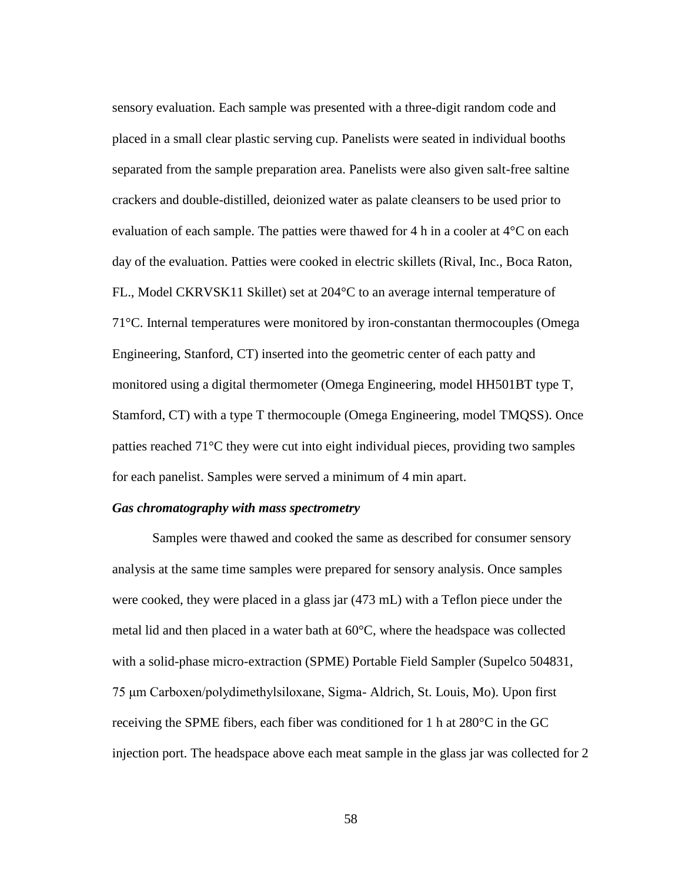sensory evaluation. Each sample was presented with a three-digit random code and placed in a small clear plastic serving cup. Panelists were seated in individual booths separated from the sample preparation area. Panelists were also given salt-free saltine crackers and double-distilled, deionized water as palate cleansers to be used prior to evaluation of each sample. The patties were thawed for 4 h in a cooler at 4°C on each day of the evaluation. Patties were cooked in electric skillets (Rival, Inc., Boca Raton, FL., Model CKRVSK11 Skillet) set at 204°C to an average internal temperature of 71°C. Internal temperatures were monitored by iron-constantan thermocouples (Omega Engineering, Stanford, CT) inserted into the geometric center of each patty and monitored using a digital thermometer (Omega Engineering, model HH501BT type T, Stamford, CT) with a type T thermocouple (Omega Engineering, model TMQSS). Once patties reached 71°C they were cut into eight individual pieces, providing two samples for each panelist. Samples were served a minimum of 4 min apart.

# *Gas chromatography with mass spectrometry*

Samples were thawed and cooked the same as described for consumer sensory analysis at the same time samples were prepared for sensory analysis. Once samples were cooked, they were placed in a glass jar (473 mL) with a Teflon piece under the metal lid and then placed in a water bath at 60°C, where the headspace was collected with a solid-phase micro-extraction (SPME) Portable Field Sampler (Supelco 504831, 75 μm Carboxen/polydimethylsiloxane, Sigma- Aldrich, St. Louis, Mo). Upon first receiving the SPME fibers, each fiber was conditioned for 1 h at  $280^{\circ}$ C in the GC injection port. The headspace above each meat sample in the glass jar was collected for 2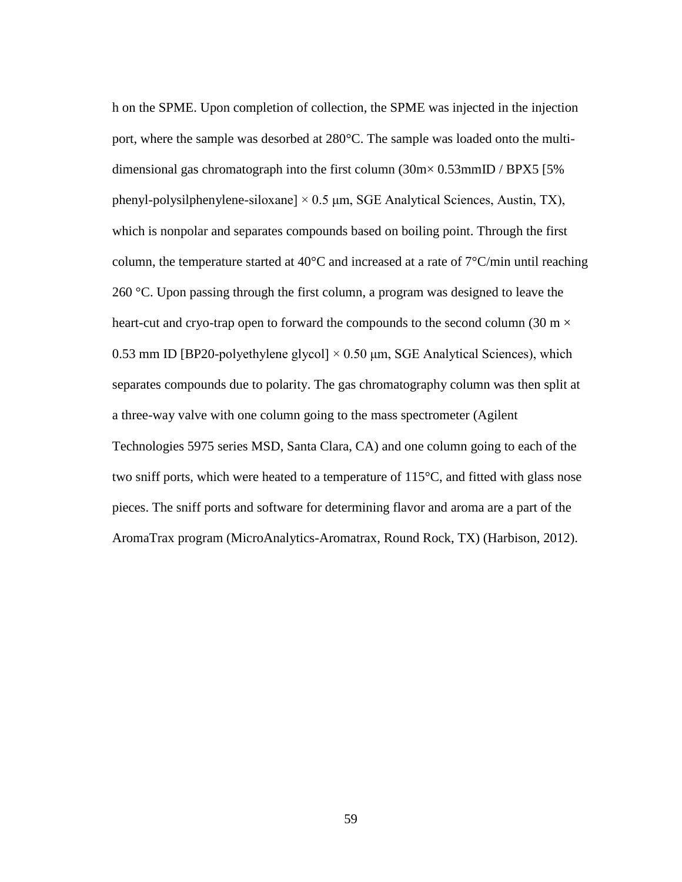h on the SPME. Upon completion of collection, the SPME was injected in the injection port, where the sample was desorbed at 280°C. The sample was loaded onto the multidimensional gas chromatograph into the first column (30m× 0.53mmID / BPX5 [5% phenyl-polysilphenylene-siloxane]  $\times$  0.5  $\mu$ m, SGE Analytical Sciences, Austin, TX), which is nonpolar and separates compounds based on boiling point. Through the first column, the temperature started at 40°C and increased at a rate of 7°C/min until reaching 260 °C. Upon passing through the first column, a program was designed to leave the heart-cut and cryo-trap open to forward the compounds to the second column (30 m  $\times$ 0.53 mm ID [BP20-polyethylene glycol]  $\times$  0.50 µm, SGE Analytical Sciences), which separates compounds due to polarity. The gas chromatography column was then split at a three-way valve with one column going to the mass spectrometer (Agilent Technologies 5975 series MSD, Santa Clara, CA) and one column going to each of the two sniff ports, which were heated to a temperature of 115°C, and fitted with glass nose pieces. The sniff ports and software for determining flavor and aroma are a part of the AromaTrax program (MicroAnalytics-Aromatrax, Round Rock, TX) (Harbison, 2012).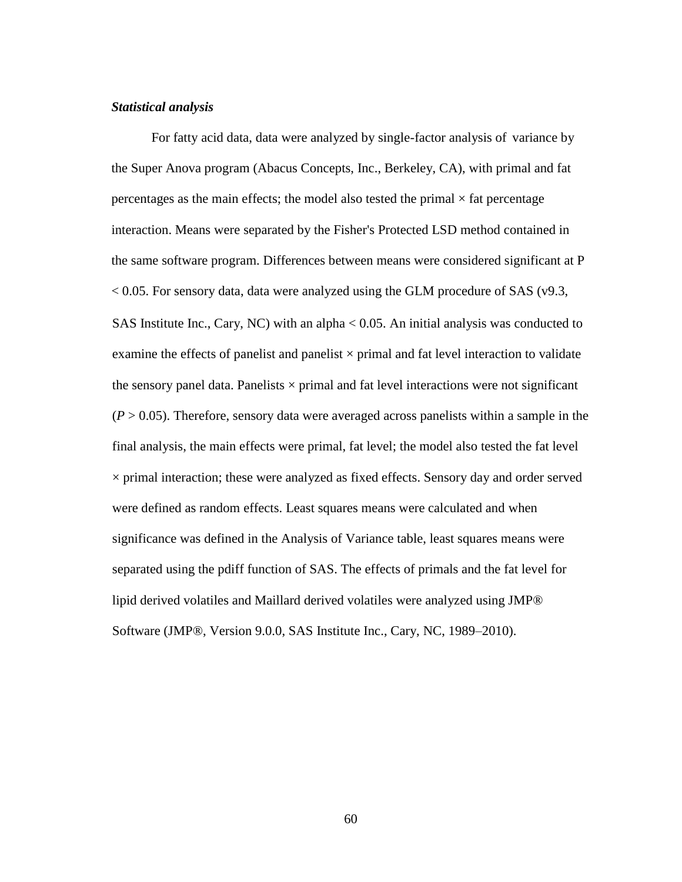# *Statistical analysis*

SAS Institute Inc., Cary, NC) with an alpha < 0.05. An initial analysis was conducted to examine the effects of panelist and panelist  $\times$  primal and fat level interaction to validate the sensory panel data. Panelists  $\times$  primal and fat level interactions were not significant  $(P > 0.05)$ . Therefore, sensory data were averaged across panelists within a sample in the final analysis, the main effects were primal, fat level; the model also tested the fat level  $\times$  primal interaction; these were analyzed as fixed effects. Sensory day and order served were defined as random effects. Least squares means were calculated and when significance was defined in the Analysis of Variance table, least squares means were separated using the pdiff function of SAS. The effects of primals and the fat level for lipid derived volatiles and Maillard derived volatiles were analyzed using JMP® Software (JMP®, Version 9.0.0, SAS Institute Inc., Cary, NC, 1989–2010). For fatty acid data, data were analyzed by single-factor analysis of variance by the Super Anova program (Abacus Concepts, Inc., Berkeley, CA), with primal and fat percentages as the main effects; the model also tested the primal  $\times$  fat percentage interaction. Means were separated by the Fisher's Protected LSD method contained in the same software program. Differences between means were considered significant at P  $< 0.05$ . For sensory data, data were analyzed using the GLM procedure of SAS (v9.3,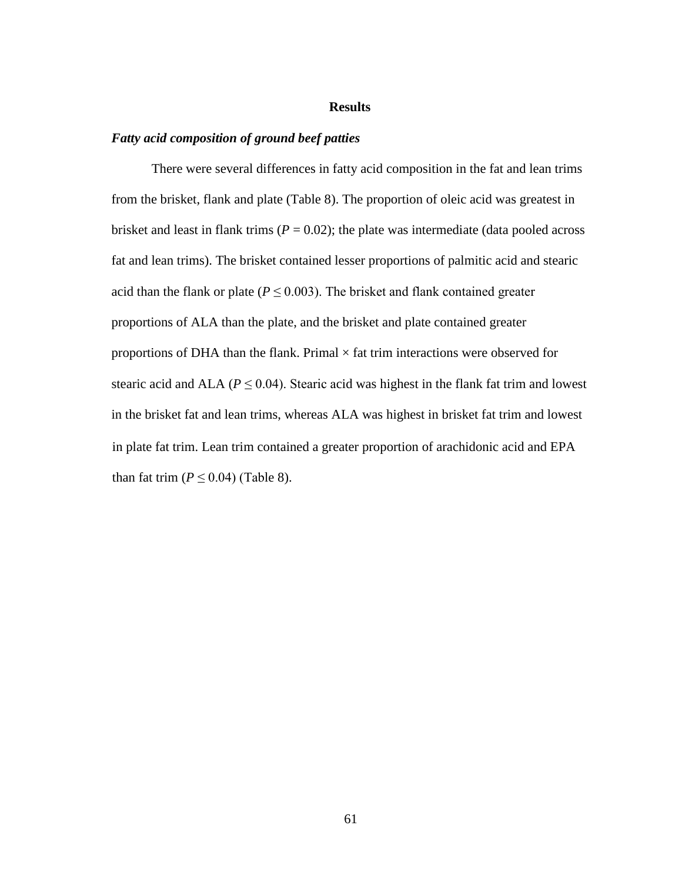## **Results**

## *Fatty acid composition of ground beef patties*

in plate fat trim. Lean trim contained a greater proportion of arachidonic acid and EPA than fat trim  $(P \le 0.04)$  (Table 8). There were several differences in fatty acid composition in the fat and lean trims from the brisket, flank and plate (Table 8). The proportion of oleic acid was greatest in brisket and least in flank trims ( $P = 0.02$ ); the plate was intermediate (data pooled across fat and lean trims). The brisket contained lesser proportions of palmitic acid and stearic acid than the flank or plate ( $P \leq 0.003$ ). The brisket and flank contained greater proportions of ALA than the plate, and the brisket and plate contained greater proportions of DHA than the flank. Primal  $\times$  fat trim interactions were observed for stearic acid and ALA ( $P \le 0.04$ ). Stearic acid was highest in the flank fat trim and lowest in the brisket fat and lean trims, whereas ALA was highest in brisket fat trim and lowest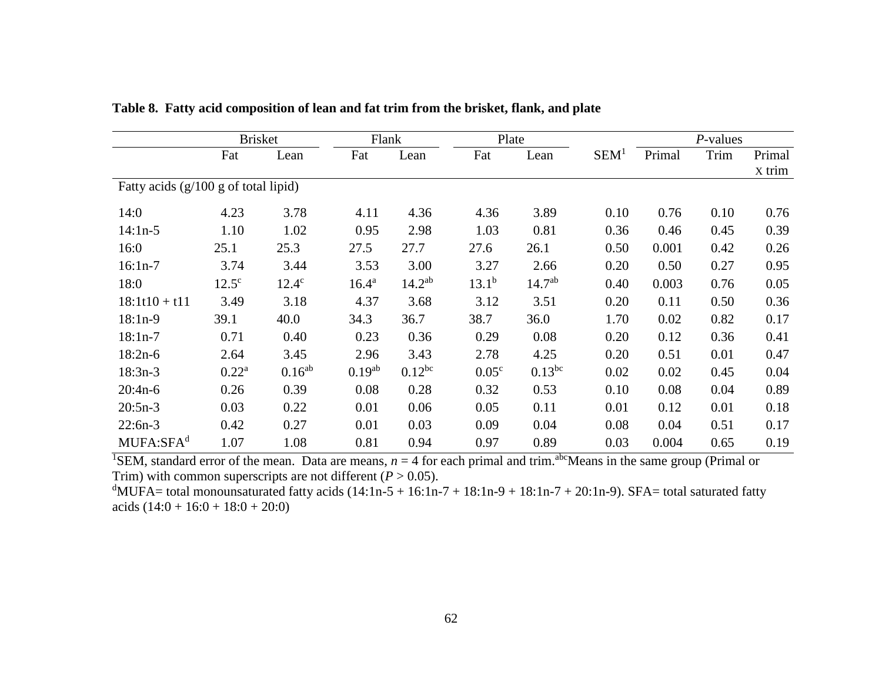|                                         | <b>Brisket</b><br>Flank |              |                | Plate       |                   |             | $P$ -values      |        |      |        |
|-----------------------------------------|-------------------------|--------------|----------------|-------------|-------------------|-------------|------------------|--------|------|--------|
|                                         | Fat                     | Lean         | Fat            | Lean        | Fat               | Lean        | SEM <sup>1</sup> | Primal | Trim | Primal |
|                                         |                         |              |                |             |                   |             |                  |        |      | X trim |
| Fatty acids $(g/100 g)$ of total lipid) |                         |              |                |             |                   |             |                  |        |      |        |
| 14:0                                    | 4.23                    | 3.78         | 4.11           | 4.36        | 4.36              | 3.89        | 0.10             | 0.76   | 0.10 | 0.76   |
| $14:1n-5$                               | 1.10                    | 1.02         | 0.95           | 2.98        | 1.03              | 0.81        | 0.36             | 0.46   | 0.45 | 0.39   |
| 16:0                                    | 25.1                    | 25.3         | 27.5           | 27.7        | 27.6              | 26.1        | 0.50             | 0.001  | 0.42 | 0.26   |
| $16:1n-7$                               | 3.74                    | 3.44         | 3.53           | 3.00        | 3.27              | 2.66        | 0.20             | 0.50   | 0.27 | 0.95   |
| 18:0                                    | $12.5^{\circ}$          | $12.4^\circ$ | $16.4^{\rm a}$ | $14.2^{ab}$ | $13.1^{b}$        | $14.7^{ab}$ | 0.40             | 0.003  | 0.76 | 0.05   |
| $18:1t10 + t11$                         | 3.49                    | 3.18         | 4.37           | 3.68        | 3.12              | 3.51        | 0.20             | 0.11   | 0.50 | 0.36   |
| $18:1n-9$                               | 39.1                    | 40.0         | 34.3           | 36.7        | 38.7              | 36.0        | 1.70             | 0.02   | 0.82 | 0.17   |
| $18:1n-7$                               | 0.71                    | 0.40         | 0.23           | 0.36        | 0.29              | 0.08        | 0.20             | 0.12   | 0.36 | 0.41   |
| $18:2n-6$                               | 2.64                    | 3.45         | 2.96           | 3.43        | 2.78              | 4.25        | 0.20             | 0.51   | 0.01 | 0.47   |
| $18:3n-3$                               | $0.22^a$                | $0.16^{ab}$  | $0.19^{ab}$    | $0.12^{bc}$ | 0.05 <sup>c</sup> | $0.13^{bc}$ | 0.02             | 0.02   | 0.45 | 0.04   |
| $20:4n-6$                               | 0.26                    | 0.39         | 0.08           | 0.28        | 0.32              | 0.53        | 0.10             | 0.08   | 0.04 | 0.89   |
| $20:5n-3$                               | 0.03                    | 0.22         | 0.01           | 0.06        | 0.05              | 0.11        | 0.01             | 0.12   | 0.01 | 0.18   |
| $22:6n-3$                               | 0.42                    | 0.27         | 0.01           | 0.03        | 0.09              | 0.04        | 0.08             | 0.04   | 0.51 | 0.17   |
| MUFA:SFA <sup>d</sup>                   | 1.07                    | 1.08         | 0.81           | 0.94        | 0.97              | 0.89        | 0.03             | 0.004  | 0.65 | 0.19   |

**Table 8. Fatty acid composition of lean and fat trim from the brisket, flank, and plate** 

<sup>1</sup>SEM, standard error of the mean. Data are means,  $n = 4$  for each primal and trim.<sup>abc</sup>Means in the same group (Primal or Trim) with common superscripts are not different  $(P > 0.05)$ .

<sup>d</sup>MUFA= total monounsaturated fatty acids  $(14:1n-5 + 16:1n-7 + 18:1n-9 + 18:1n-7 + 20:1n-9)$ . SFA= total saturated fatty acids  $(14:0 + 16:0 + 18:0 + 20:0)$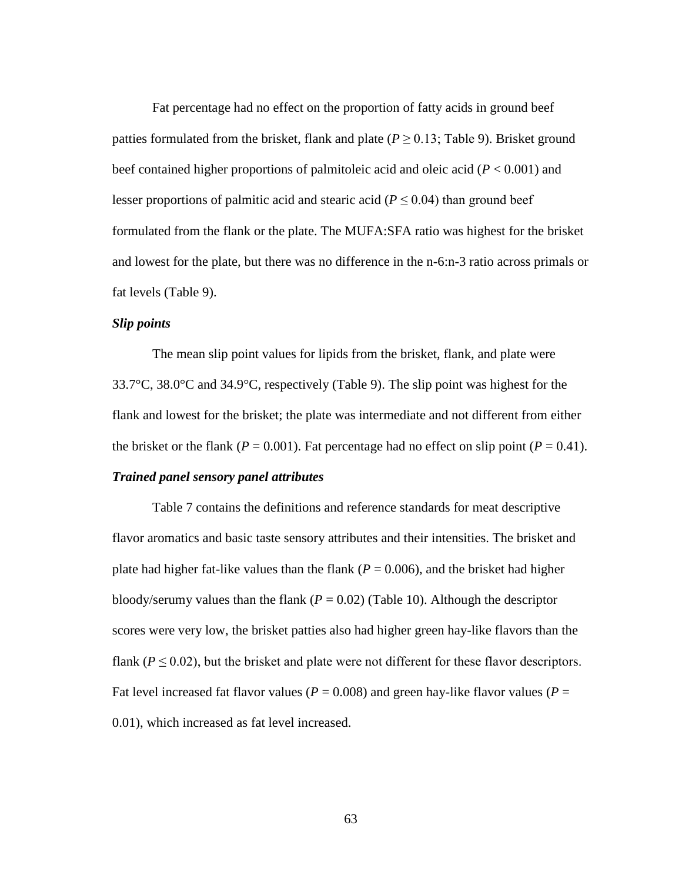Fat percentage had no effect on the proportion of fatty acids in ground beef patties formulated from the brisket, flank and plate ( $P \ge 0.13$ ; Table 9). Brisket ground beef contained higher proportions of palmitoleic acid and oleic acid (*P* < 0.001) and lesser proportions of palmitic acid and stearic acid ( $P \le 0.04$ ) than ground beef formulated from the flank or the plate. The MUFA:SFA ratio was highest for the brisket and lowest for the plate, but there was no difference in the n-6:n-3 ratio across primals or fat levels (Table 9).

#### *Slip points*

The mean slip point values for lipids from the brisket, flank, and plate were 33.7°C, 38.0°C and 34.9°C, respectively (Table 9). The slip point was highest for the flank and lowest for the brisket; the plate was intermediate and not different from either the brisket or the flank ( $P = 0.001$ ). Fat percentage had no effect on slip point ( $P = 0.41$ ).

#### *Trained panel sensory panel attributes*

Table 7 contains the definitions and reference standards for meat descriptive flavor aromatics and basic taste sensory attributes and their intensities. The brisket and plate had higher fat-like values than the flank ( $P = 0.006$ ), and the brisket had higher bloody/serumy values than the flank  $(P = 0.02)$  (Table 10). Although the descriptor scores were very low, the brisket patties also had higher green hay-like flavors than the flank ( $P \le 0.02$ ), but the brisket and plate were not different for these flavor descriptors. Fat level increased fat flavor values ( $P = 0.008$ ) and green hay-like flavor values ( $P =$ 0.01), which increased as fat level increased.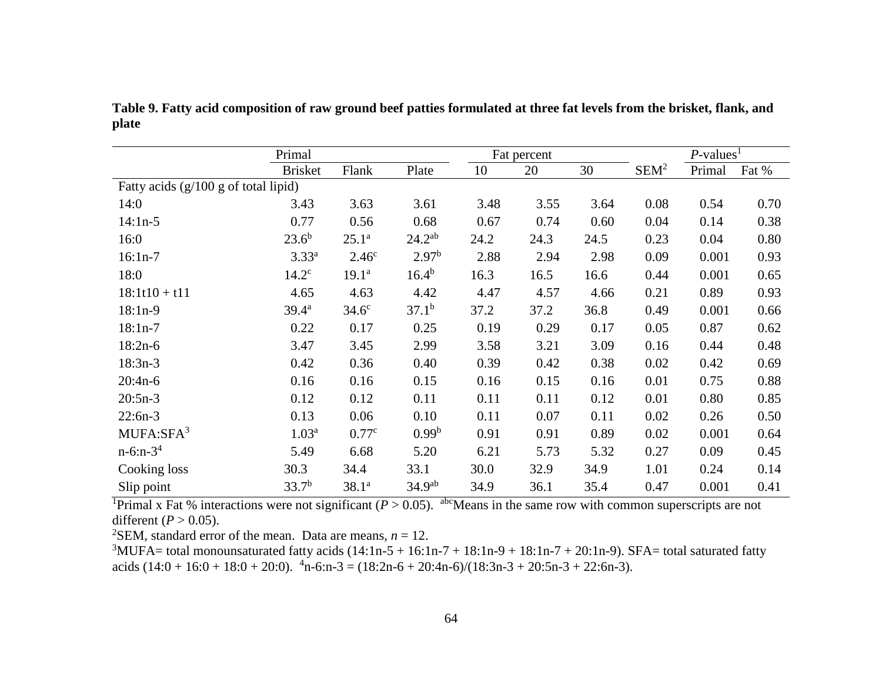|                                      | Primal            |                   |                    |      | Fat percent |      |                  | $P$ -values <sup>1</sup> |       |
|--------------------------------------|-------------------|-------------------|--------------------|------|-------------|------|------------------|--------------------------|-------|
|                                      | <b>Brisket</b>    | Flank             | Plate              | 10   | 20          | 30   | SEM <sup>2</sup> | Primal                   | Fat % |
| Fatty acids (g/100 g of total lipid) |                   |                   |                    |      |             |      |                  |                          |       |
| 14:0                                 | 3.43              | 3.63              | 3.61               | 3.48 | 3.55        | 3.64 | 0.08             | 0.54                     | 0.70  |
| $14:1n-5$                            | 0.77              | 0.56              | 0.68               | 0.67 | 0.74        | 0.60 | 0.04             | 0.14                     | 0.38  |
| 16:0                                 | $23.6^{b}$        | $25.1^a$          | $24.2^{ab}$        | 24.2 | 24.3        | 24.5 | 0.23             | 0.04                     | 0.80  |
| $16:1n-7$                            | $3.33^{a}$        | 2.46 <sup>c</sup> | 2.97 <sup>b</sup>  | 2.88 | 2.94        | 2.98 | 0.09             | 0.001                    | 0.93  |
| 18:0                                 | 14.2 <sup>c</sup> | $19.1^a$          | $16.4^{b}$         | 16.3 | 16.5        | 16.6 | 0.44             | 0.001                    | 0.65  |
| $18:1t10 + t11$                      | 4.65              | 4.63              | 4.42               | 4.47 | 4.57        | 4.66 | 0.21             | 0.89                     | 0.93  |
| $18:1n-9$                            | $39.4^a$          | $34.6^\circ$      | $37.1^{b}$         | 37.2 | 37.2        | 36.8 | 0.49             | 0.001                    | 0.66  |
| $18:1n-7$                            | 0.22              | 0.17              | 0.25               | 0.19 | 0.29        | 0.17 | 0.05             | 0.87                     | 0.62  |
| $18:2n-6$                            | 3.47              | 3.45              | 2.99               | 3.58 | 3.21        | 3.09 | 0.16             | 0.44                     | 0.48  |
| $18:3n-3$                            | 0.42              | 0.36              | 0.40               | 0.39 | 0.42        | 0.38 | 0.02             | 0.42                     | 0.69  |
| $20:4n-6$                            | 0.16              | 0.16              | 0.15               | 0.16 | 0.15        | 0.16 | 0.01             | 0.75                     | 0.88  |
| $20:5n-3$                            | 0.12              | 0.12              | 0.11               | 0.11 | 0.11        | 0.12 | 0.01             | 0.80                     | 0.85  |
| $22:6n-3$                            | 0.13              | 0.06              | 0.10               | 0.11 | 0.07        | 0.11 | 0.02             | 0.26                     | 0.50  |
| $MUFA:$ SFA $3$                      | 1.03 <sup>a</sup> | 0.77c             | 0.99 <sup>b</sup>  | 0.91 | 0.91        | 0.89 | 0.02             | 0.001                    | 0.64  |
| $n-6:n-3^4$                          | 5.49              | 6.68              | 5.20               | 6.21 | 5.73        | 5.32 | 0.27             | 0.09                     | 0.45  |
| Cooking loss                         | 30.3              | 34.4              | 33.1               | 30.0 | 32.9        | 34.9 | 1.01             | 0.24                     | 0.14  |
| Slip point                           | $33.7^{b}$        | $38.1^{a}$        | 34.9 <sup>ab</sup> | 34.9 | 36.1        | 35.4 | 0.47             | 0.001                    | 0.41  |

**Table 9. Fatty acid composition of raw ground beef patties formulated at three fat levels from the brisket, flank, and plate**

<sup>1</sup>Primal x Fat % interactions were not significant ( $P > 0.05$ ). <sup>abc</sup>Means in the same row with common superscripts are not different  $(P > 0.05)$ .

<sup>2</sup>SEM, standard error of the mean. Data are means,  $n = 12$ .

<sup>3</sup>MUFA= total monounsaturated fatty acids  $(14:1n-5 + 16:1n-7 + 18:1n-9 + 18:1n-7 + 20:1n-9)$ . SFA= total saturated fatty acids  $(14.0 + 16.0 + 18.0 + 20.0)$ .  $^{4}$ n-6:n-3 =  $(18.2n-6 + 20.4n-6)/(18.3n-3 + 20.5n-3 + 22.6n-3)$ .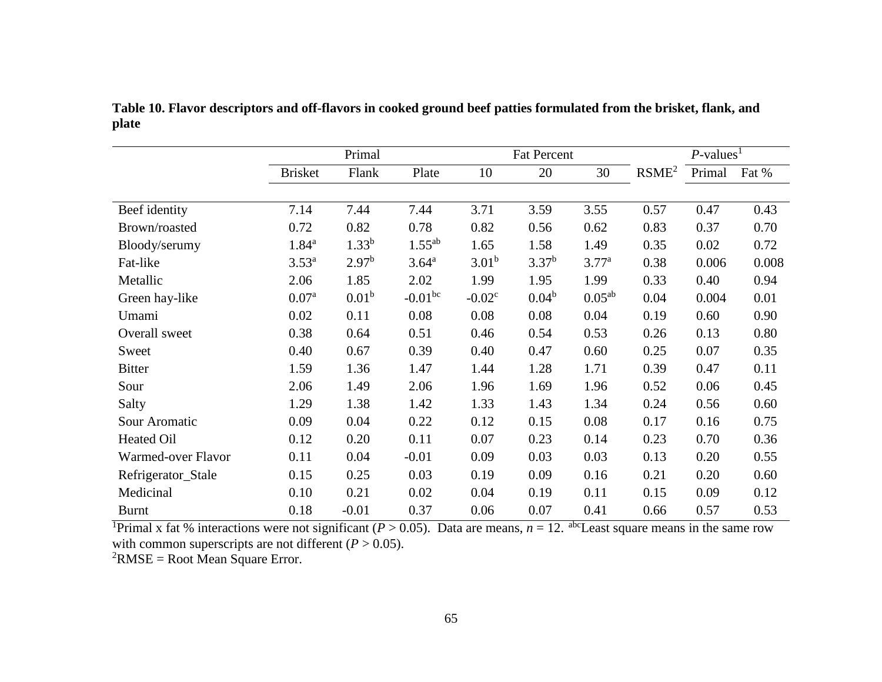|                    | Primal            |                   |                   |                   | <b>Fat Percent</b> |                   |                   | $P$ -values <sup>1</sup> |       |
|--------------------|-------------------|-------------------|-------------------|-------------------|--------------------|-------------------|-------------------|--------------------------|-------|
|                    | <b>Brisket</b>    | Flank             | Plate             | 10                | 20                 | 30                | RSME <sup>2</sup> | Primal                   | Fat % |
|                    |                   |                   |                   |                   |                    |                   |                   |                          |       |
| Beef identity      | 7.14              | 7.44              | 7.44              | 3.71              | 3.59               | 3.55              | 0.57              | 0.47                     | 0.43  |
| Brown/roasted      | 0.72              | 0.82              | 0.78              | 0.82              | 0.56               | 0.62              | 0.83              | 0.37                     | 0.70  |
| Bloody/serumy      | $1.84^{a}$        | $1.33^{b}$        | $1.55^{ab}$       | 1.65              | 1.58               | 1.49              | 0.35              | 0.02                     | 0.72  |
| Fat-like           | $3.53^{a}$        | 2.97 <sup>b</sup> | 3.64 <sup>a</sup> | 3.01 <sup>b</sup> | 3.37 <sup>b</sup>  | 3.77 <sup>a</sup> | 0.38              | 0.006                    | 0.008 |
| Metallic           | 2.06              | 1.85              | 2.02              | 1.99              | 1.95               | 1.99              | 0.33              | 0.40                     | 0.94  |
| Green hay-like     | 0.07 <sup>a</sup> | 0.01 <sup>b</sup> | $-0.01^{bc}$      | $-0.02^{\circ}$   | $0.04^b$           | $0.05^{ab}$       | 0.04              | 0.004                    | 0.01  |
| Umami              | 0.02              | 0.11              | 0.08              | 0.08              | 0.08               | 0.04              | 0.19              | 0.60                     | 0.90  |
| Overall sweet      | 0.38              | 0.64              | 0.51              | 0.46              | 0.54               | 0.53              | 0.26              | 0.13                     | 0.80  |
| Sweet              | 0.40              | 0.67              | 0.39              | 0.40              | 0.47               | 0.60              | 0.25              | 0.07                     | 0.35  |
| <b>Bitter</b>      | 1.59              | 1.36              | 1.47              | 1.44              | 1.28               | 1.71              | 0.39              | 0.47                     | 0.11  |
| Sour               | 2.06              | 1.49              | 2.06              | 1.96              | 1.69               | 1.96              | 0.52              | 0.06                     | 0.45  |
| Salty              | 1.29              | 1.38              | 1.42              | 1.33              | 1.43               | 1.34              | 0.24              | 0.56                     | 0.60  |
| Sour Aromatic      | 0.09              | 0.04              | 0.22              | 0.12              | 0.15               | 0.08              | 0.17              | 0.16                     | 0.75  |
| Heated Oil         | 0.12              | 0.20              | 0.11              | 0.07              | 0.23               | 0.14              | 0.23              | 0.70                     | 0.36  |
| Warmed-over Flavor | 0.11              | 0.04              | $-0.01$           | 0.09              | 0.03               | 0.03              | 0.13              | 0.20                     | 0.55  |
| Refrigerator_Stale | 0.15              | 0.25              | 0.03              | 0.19              | 0.09               | 0.16              | 0.21              | 0.20                     | 0.60  |
| Medicinal          | 0.10              | 0.21              | 0.02              | 0.04              | 0.19               | 0.11              | 0.15              | 0.09                     | 0.12  |
| <b>Burnt</b>       | 0.18              | $-0.01$           | 0.37              | 0.06              | 0.07               | 0.41              | 0.66              | 0.57                     | 0.53  |

**Table 10. Flavor descriptors and off-flavors in cooked ground beef patties formulated from the brisket, flank, and plate**

<sup>1</sup>Primal x fat % interactions were not significant ( $P > 0.05$ ). Data are means,  $n = 12$ . <sup>abc</sup>Least square means in the same row with common superscripts are not different  $(P > 0.05)$ .

 ${}^{2}$ RMSE = Root Mean Square Error.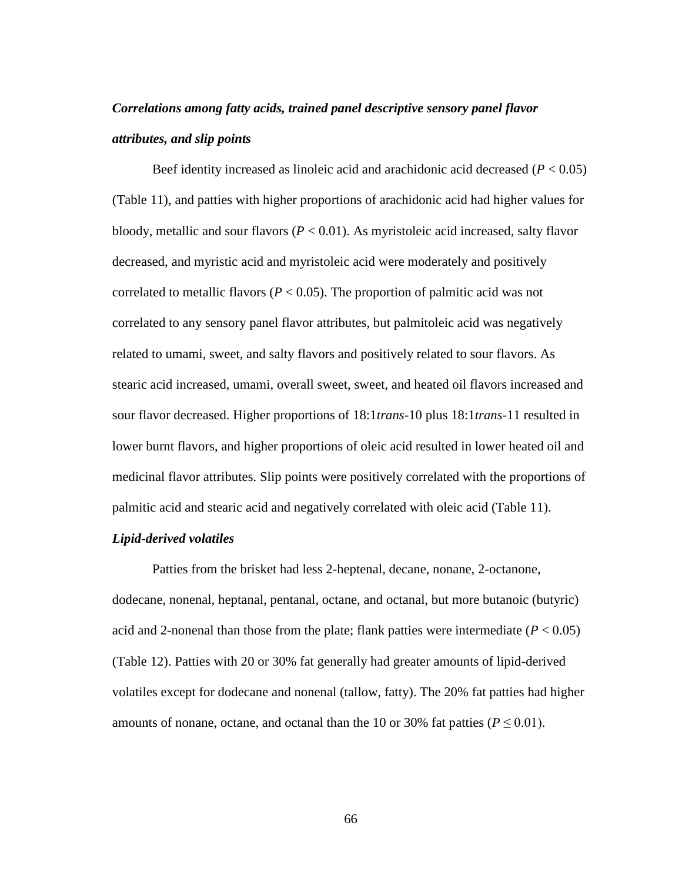# *Correlations among fatty acids, trained panel descriptive sensory panel flavor attributes, and slip points*

Beef identity increased as linoleic acid and arachidonic acid decreased  $(P < 0.05)$ (Table 11), and patties with higher proportions of arachidonic acid had higher values for bloody, metallic and sour flavors (*P* < 0.01). As myristoleic acid increased, salty flavor decreased, and myristic acid and myristoleic acid were moderately and positively correlated to metallic flavors ( $P < 0.05$ ). The proportion of palmitic acid was not correlated to any sensory panel flavor attributes, but palmitoleic acid was negatively related to umami, sweet, and salty flavors and positively related to sour flavors. As stearic acid increased, umami, overall sweet, sweet, and heated oil flavors increased and sour flavor decreased. Higher proportions of 18:1*trans*-10 plus 18:1*trans*-11 resulted in lower burnt flavors, and higher proportions of oleic acid resulted in lower heated oil and medicinal flavor attributes. Slip points were positively correlated with the proportions of palmitic acid and stearic acid and negatively correlated with oleic acid (Table 11).

#### *Lipid-derived volatiles*

Patties from the brisket had less 2-heptenal, decane, nonane, 2-octanone, dodecane, nonenal, heptanal, pentanal, octane, and octanal, but more butanoic (butyric) acid and 2-nonenal than those from the plate; flank patties were intermediate  $(P < 0.05)$ (Table 12). Patties with 20 or 30% fat generally had greater amounts of lipid-derived volatiles except for dodecane and nonenal (tallow, fatty). The 20% fat patties had higher amounts of nonane, octane, and octanal than the 10 or 30% fat patties ( $P \le 0.01$ ).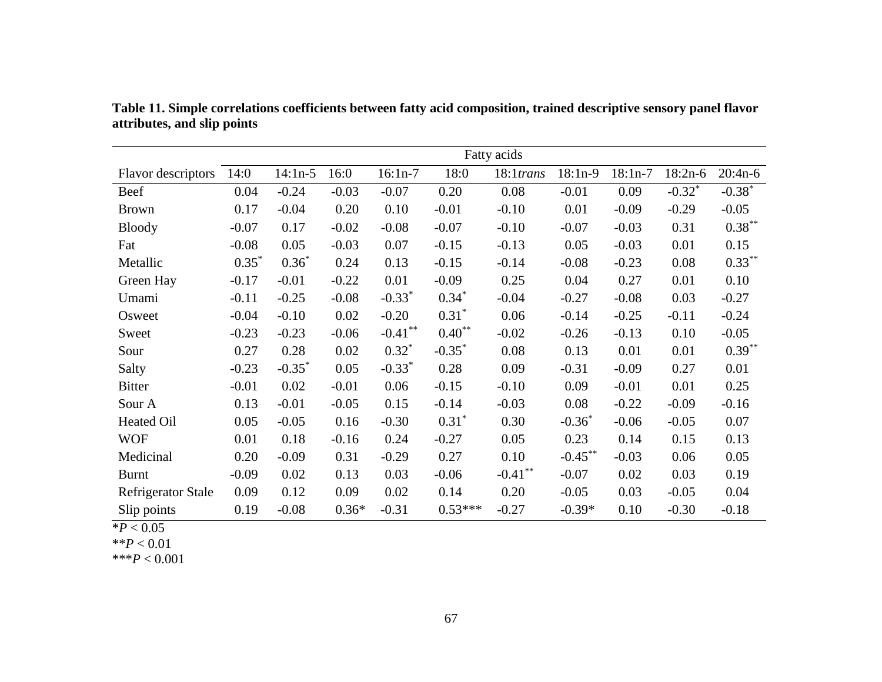|                           |         |           |         |            |           | Fatty acids  |            |           |                      |           |
|---------------------------|---------|-----------|---------|------------|-----------|--------------|------------|-----------|----------------------|-----------|
| Flavor descriptors        | 14:0    | $14:1n-5$ | 16:0    | $16:1n-7$  | 18:0      | $18:1$ trans | $18:1n-9$  | $18:1n-7$ | $18:2n-6$            | $20:4n-6$ |
| Beef                      | 0.04    | $-0.24$   | $-0.03$ | $-0.07$    | 0.20      | 0.08         | $-0.01$    | 0.09      | $-0.32$ <sup>*</sup> | $-0.38*$  |
| <b>Brown</b>              | 0.17    | $-0.04$   | 0.20    | 0.10       | $-0.01$   | $-0.10$      | 0.01       | $-0.09$   | $-0.29$              | $-0.05$   |
| <b>Bloody</b>             | $-0.07$ | 0.17      | $-0.02$ | $-0.08$    | $-0.07$   | $-0.10$      | $-0.07$    | $-0.03$   | 0.31                 | $0.38***$ |
| Fat                       | $-0.08$ | 0.05      | $-0.03$ | 0.07       | $-0.15$   | $-0.13$      | 0.05       | $-0.03$   | 0.01                 | 0.15      |
| Metallic                  | $0.35*$ | $0.36*$   | 0.24    | 0.13       | $-0.15$   | $-0.14$      | $-0.08$    | $-0.23$   | 0.08                 | $0.33***$ |
| Green Hay                 | $-0.17$ | $-0.01$   | $-0.22$ | 0.01       | $-0.09$   | 0.25         | 0.04       | 0.27      | 0.01                 | 0.10      |
| Umami                     | $-0.11$ | $-0.25$   | $-0.08$ | $-0.33*$   | $0.34*$   | $-0.04$      | $-0.27$    | $-0.08$   | 0.03                 | $-0.27$   |
| Osweet                    | $-0.04$ | $-0.10$   | 0.02    | $-0.20$    | $0.31*$   | 0.06         | $-0.14$    | $-0.25$   | $-0.11$              | $-0.24$   |
| Sweet                     | $-0.23$ | $-0.23$   | $-0.06$ | $-0.41***$ | $0.40**$  | $-0.02$      | $-0.26$    | $-0.13$   | 0.10                 | $-0.05$   |
| Sour                      | 0.27    | 0.28      | 0.02    | $0.32^*$   | $-0.35*$  | 0.08         | 0.13       | 0.01      | 0.01                 | $0.39***$ |
| Salty                     | $-0.23$ | $-0.35^*$ | 0.05    | $-0.33*$   | 0.28      | 0.09         | $-0.31$    | $-0.09$   | 0.27                 | 0.01      |
| <b>Bitter</b>             | $-0.01$ | 0.02      | $-0.01$ | 0.06       | $-0.15$   | $-0.10$      | 0.09       | $-0.01$   | 0.01                 | 0.25      |
| Sour A                    | 0.13    | $-0.01$   | $-0.05$ | 0.15       | $-0.14$   | $-0.03$      | 0.08       | $-0.22$   | $-0.09$              | $-0.16$   |
| Heated Oil                | 0.05    | $-0.05$   | 0.16    | $-0.30$    | $0.31*$   | 0.30         | $-0.36^*$  | $-0.06$   | $-0.05$              | 0.07      |
| <b>WOF</b>                | 0.01    | 0.18      | $-0.16$ | 0.24       | $-0.27$   | 0.05         | 0.23       | 0.14      | 0.15                 | 0.13      |
| Medicinal                 | 0.20    | $-0.09$   | 0.31    | $-0.29$    | 0.27      | 0.10         | $-0.45***$ | $-0.03$   | 0.06                 | 0.05      |
| <b>Burnt</b>              | $-0.09$ | 0.02      | 0.13    | 0.03       | $-0.06$   | $-0.41$ **   | $-0.07$    | 0.02      | 0.03                 | 0.19      |
| <b>Refrigerator Stale</b> | 0.09    | 0.12      | 0.09    | 0.02       | 0.14      | 0.20         | $-0.05$    | 0.03      | $-0.05$              | 0.04      |
| Slip points               | 0.19    | $-0.08$   | $0.36*$ | $-0.31$    | $0.53***$ | $-0.27$      | $-0.39*$   | 0.10      | $-0.30$              | $-0.18$   |

**Table 11. Simple correlations coefficients between fatty acid composition, trained descriptive sensory panel flavor attributes, and slip points**

 $*P < 0.05$ 

 $*$ *\*P*  $< 0.01$ 

\*\*\**P* < 0.001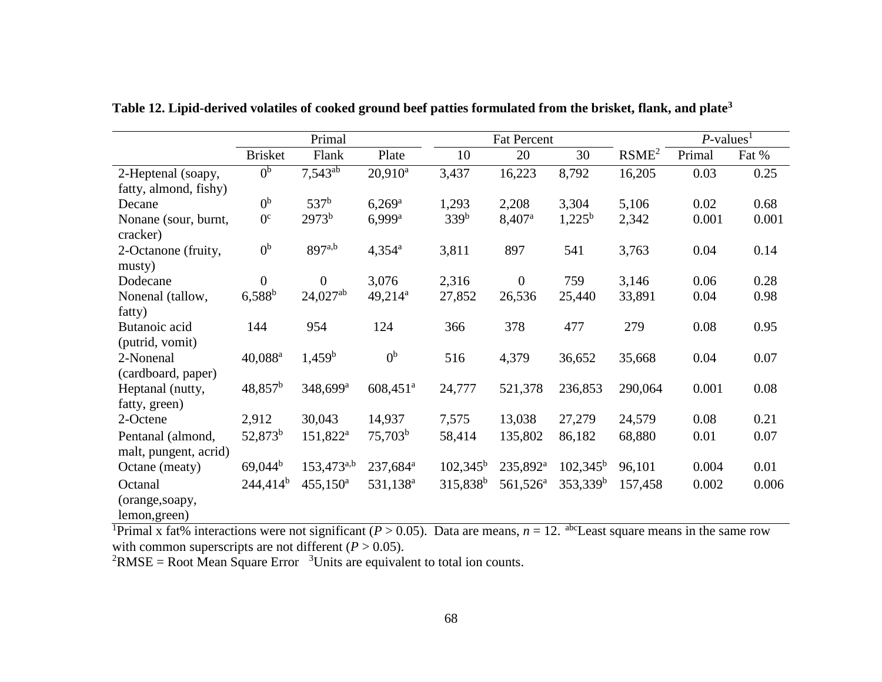|                               | Primal              |                         |                        |                      | <b>Fat Percent</b>   |                   |                   | $P$ -values <sup>1</sup> |       |
|-------------------------------|---------------------|-------------------------|------------------------|----------------------|----------------------|-------------------|-------------------|--------------------------|-------|
|                               | <b>Brisket</b>      | Flank                   | Plate                  | 10                   | 20                   | 30                | RSME <sup>2</sup> | Primal                   | Fat % |
| 2-Heptenal (soapy,            | 0 <sup>b</sup>      | $7,543^{\overline{ab}}$ | $20,910^a$             | 3,437                | 16,223               | 8,792             | 16,205            | 0.03                     | 0.25  |
| fatty, almond, fishy)         |                     |                         |                        |                      |                      |                   |                   |                          |       |
| Decane                        | 0 <sup>b</sup>      | 537 <sup>b</sup>        | $6,269^{\rm a}$        | 1,293                | 2,208                | 3,304             | 5,106             | 0.02                     | 0.68  |
| Nonane (sour, burnt,          | 0 <sup>c</sup>      | $2973^b$                | $6,999^{\rm a}$        | 339 <sup>b</sup>     | 8,407 <sup>a</sup>   | $1,225^{\rm b}$   | 2,342             | 0.001                    | 0.001 |
| cracker)                      |                     |                         |                        |                      |                      |                   |                   |                          |       |
| 2-Octanone (fruity,<br>musty) | 0 <sup>b</sup>      | 897a,b                  | $4,354^{\rm a}$        | 3,811                | 897                  | 541               | 3,763             | 0.04                     | 0.14  |
| Dodecane                      | $\overline{0}$      | $\boldsymbol{0}$        | 3,076                  | 2,316                | $\mathbf{0}$         | 759               | 3,146             | 0.06                     | 0.28  |
| Nonenal (tallow,              | $6,588^{b}$         | $24,027^{ab}$           | 49,214 <sup>a</sup>    | 27,852               | 26,536               | 25,440            | 33,891            | 0.04                     | 0.98  |
| fatty)                        |                     |                         |                        |                      |                      |                   |                   |                          |       |
| Butanoic acid                 | 144                 | 954                     | 124                    | 366                  | 378                  | 477               | 279               | 0.08                     | 0.95  |
| (putrid, vomit)               |                     |                         |                        |                      |                      |                   |                   |                          |       |
| 2-Nonenal                     | 40,088 <sup>a</sup> | $1,459^{\rm b}$         | 0 <sup>b</sup>         | 516                  | 4,379                | 36,652            | 35,668            | 0.04                     | 0.07  |
| (cardboard, paper)            |                     |                         |                        |                      |                      |                   |                   |                          |       |
| Heptanal (nutty,              | $48,857^b$          | 348,699 <sup>a</sup>    | $608,451$ <sup>a</sup> | 24,777               | 521,378              | 236,853           | 290,064           | 0.001                    | 0.08  |
| fatty, green)                 |                     |                         |                        |                      |                      |                   |                   |                          |       |
| 2-Octene                      | 2,912               | 30,043                  | 14,937                 | 7,575                | 13,038               | 27,279            | 24,579            | 0.08                     | 0.21  |
| Pentanal (almond,             | 52,873 <sup>b</sup> | 151,822 <sup>a</sup>    | $75,703^b$             | 58,414               | 135,802              | 86,182            | 68,880            | 0.01                     | 0.07  |
| malt, pungent, acrid)         |                     |                         |                        |                      |                      |                   |                   |                          |       |
| Octane (meaty)                | $69,044^b$          | $153,473^{a,b}$         | 237,684 <sup>a</sup>   | $102,345^{\rm b}$    | 235,892 <sup>a</sup> | $102,345^{\rm b}$ | 96,101            | 0.004                    | 0.01  |
| Octanal                       | $244,414^b$         | $455,150^{\circ}$       | 531,138 <sup>a</sup>   | 315,838 <sup>b</sup> | $561,526^a$          | $353,339^b$       | 157,458           | 0.002                    | 0.006 |
| (orange, soapy,               |                     |                         |                        |                      |                      |                   |                   |                          |       |
| lemon, green)                 |                     |                         |                        |                      |                      |                   |                   |                          |       |

**Table 12. Lipid-derived volatiles of cooked ground beef patties formulated from the brisket, flank, and plate<sup>3</sup>**

<sup>1</sup>Primal x fat% interactions were not significant ( $P > 0.05$ ). Data are means,  $n = 12$ . <sup>abc</sup>Least square means in the same row with common superscripts are not different  $(P > 0.05)$ .

 ${}^{2}$ RMSE = Root Mean Square Error  ${}^{3}$ Units are equivalent to total ion counts.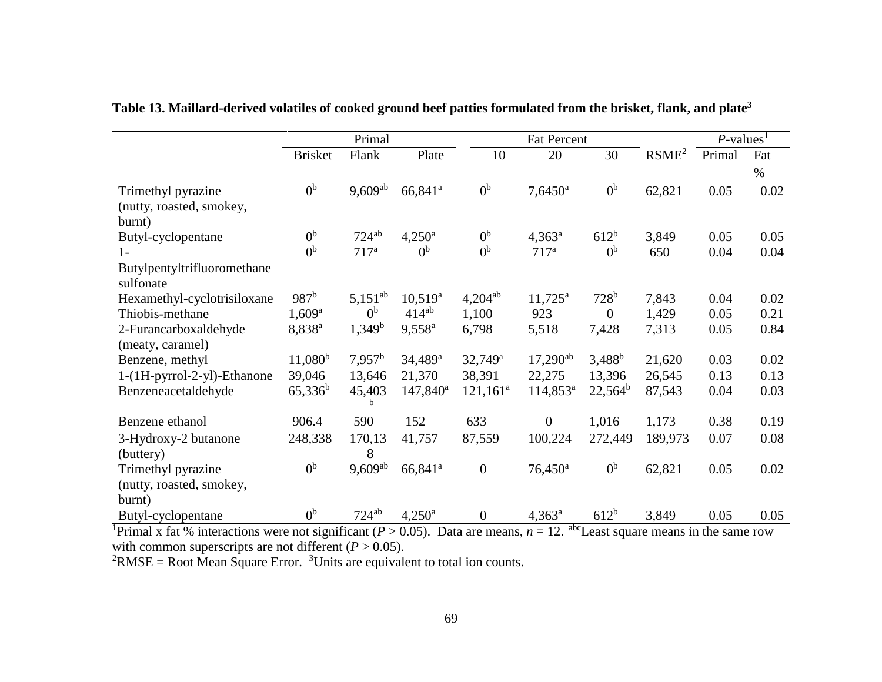|                                          | Primal             |                  |                     |                  | <b>Fat Percent</b>    |                  | $P$ -values <sup>1</sup> |        |      |
|------------------------------------------|--------------------|------------------|---------------------|------------------|-----------------------|------------------|--------------------------|--------|------|
|                                          | <b>Brisket</b>     | Flank            | Plate               | 10               | 20                    | 30               | RSME <sup>2</sup>        | Primal | Fat  |
|                                          |                    |                  |                     |                  |                       |                  |                          |        | $\%$ |
| Trimethyl pyrazine                       | 0 <sup>b</sup>     | $9,609^{ab}$     | 66,841 <sup>a</sup> | 0 <sup>b</sup>   | $7,6450$ <sup>a</sup> | 0 <sup>b</sup>   | 62,821                   | 0.05   | 0.02 |
| (nutty, roasted, smokey,                 |                    |                  |                     |                  |                       |                  |                          |        |      |
| burnt)                                   |                    |                  |                     |                  |                       |                  |                          |        |      |
| Butyl-cyclopentane                       | 0 <sup>b</sup>     | $724^{ab}$       | $4,250^{\rm a}$     | 0 <sup>b</sup>   | $4,363^{\rm a}$       | 612 <sup>b</sup> | 3,849                    | 0.05   | 0.05 |
| $1-$                                     | 0 <sup>b</sup>     | 717 <sup>a</sup> | 0 <sup>b</sup>      | 0 <sup>b</sup>   | 717 <sup>a</sup>      | 0 <sup>b</sup>   | 650                      | 0.04   | 0.04 |
| Butylpentyltrifluoromethane<br>sulfonate |                    |                  |                     |                  |                       |                  |                          |        |      |
| Hexamethyl-cyclotrisiloxane              | 987 <sup>b</sup>   | $5,151^{ab}$     | $10,519^a$          | $4,204^{ab}$     | $11,725^{\rm a}$      | 728 <sup>b</sup> | 7,843                    | 0.04   | 0.02 |
| Thiobis-methane                          | $1,609^{\rm a}$    | 0 <sup>b</sup>   | $414^{ab}$          | 1,100            | 923                   | $\overline{0}$   | 1,429                    | 0.05   | 0.21 |
| 2-Furancarboxaldehyde                    | 8,838 <sup>a</sup> | $1,349^b$        | $9,558^{\rm a}$     | 6,798            | 5,518                 | 7,428            | 7,313                    | 0.05   | 0.84 |
| (meaty, caramel)                         |                    |                  |                     |                  |                       |                  |                          |        |      |
| Benzene, methyl                          | $11,080^{\rm b}$   | $7,957^b$        | 34,489 <sup>a</sup> | $32,749^a$       | $17,290^{ab}$         | $3,488^b$        | 21,620                   | 0.03   | 0.02 |
| 1-(1H-pyrrol-2-yl)-Ethanone              | 39,046             | 13,646           | 21,370              | 38,391           | 22,275                | 13,396           | 26,545                   | 0.13   | 0.13 |
| Benzeneacetaldehyde                      | $65,336^b$         | 45,403<br>b      | $147,840^a$         | $121,161^a$      | $114,853^a$           | $22,564^b$       | 87,543                   | 0.04   | 0.03 |
| Benzene ethanol                          | 906.4              | 590              | 152                 | 633              | $\overline{0}$        | 1,016            | 1,173                    | 0.38   | 0.19 |
| 3-Hydroxy-2 butanone                     | 248,338            | 170,13           | 41,757              | 87,559           | 100,224               | 272,449          | 189,973                  | 0.07   | 0.08 |
| (buttery)                                |                    | 8                |                     |                  |                       |                  |                          |        |      |
| Trimethyl pyrazine                       | 0 <sup>b</sup>     | $9,609^{ab}$     | 66,841 <sup>a</sup> | $\boldsymbol{0}$ | $76,450$ <sup>a</sup> | 0 <sup>b</sup>   | 62,821                   | 0.05   | 0.02 |
| (nutty, roasted, smokey,                 |                    |                  |                     |                  |                       |                  |                          |        |      |
| burnt)                                   |                    |                  |                     |                  |                       |                  |                          |        |      |
| Butyl-cyclopentane                       | 0 <sup>b</sup>     | $724^{ab}$       | $4,250^{\rm a}$     | $\boldsymbol{0}$ | $4,363^a$             | 612 <sup>b</sup> | 3,849                    | 0.05   | 0.05 |

## **Table 13. Maillard-derived volatiles of cooked ground beef patties formulated from the brisket, flank, and plate<sup>3</sup>**

<sup>1</sup>Primal x fat % interactions were not significant ( $P > 0.05$ ). Data are means,  $n = 12$ . <sup>abc</sup>Least square means in the same row with common superscripts are not different  $(P > 0.05)$ .

 ${}^{2}$ RMSE = Root Mean Square Error. <sup>3</sup>Units are equivalent to total ion counts.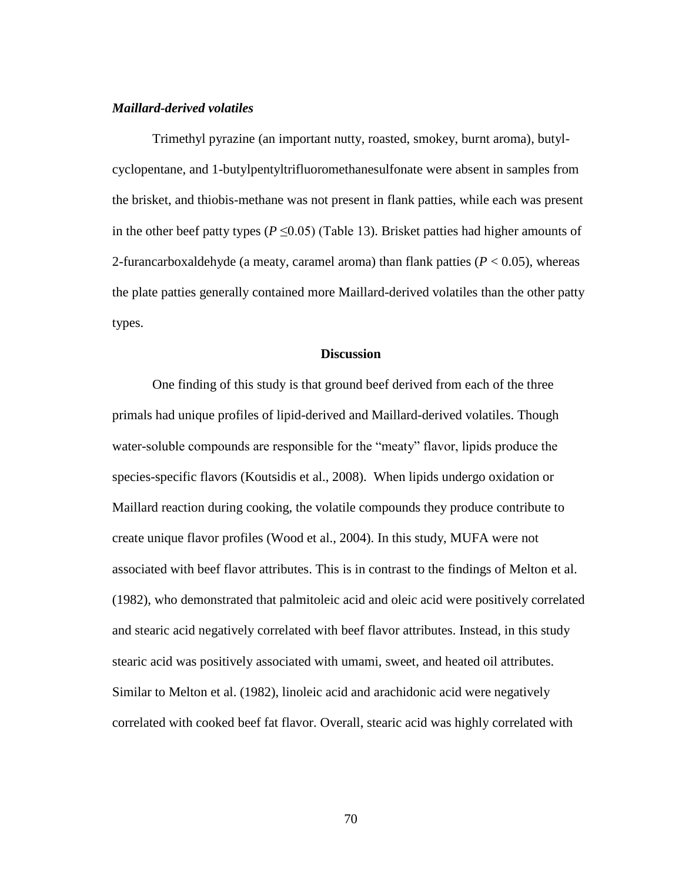#### *Maillard-derived volatiles*

Trimethyl pyrazine (an important nutty, roasted, smokey, burnt aroma), butylcyclopentane, and 1-butylpentyltrifluoromethanesulfonate were absent in samples from the brisket, and thiobis-methane was not present in flank patties, while each was present in the other beef patty types ( $P \le 0.05$ ) (Table 13). Brisket patties had higher amounts of 2-furancarboxaldehyde (a meaty, caramel aroma) than flank patties  $(P < 0.05)$ , whereas the plate patties generally contained more Maillard-derived volatiles than the other patty types.

#### **Discussion**

One finding of this study is that ground beef derived from each of the three primals had unique profiles of lipid-derived and Maillard-derived volatiles. Though water-soluble compounds are responsible for the "meaty" flavor, lipids produce the species-specific flavors (Koutsidis et al., 2008). When lipids undergo oxidation or Maillard reaction during cooking, the volatile compounds they produce contribute to create unique flavor profiles (Wood et al., 2004). In this study, MUFA were not associated with beef flavor attributes. This is in contrast to the findings of Melton et al. (1982), who demonstrated that palmitoleic acid and oleic acid were positively correlated and stearic acid negatively correlated with beef flavor attributes. Instead, in this study stearic acid was positively associated with umami, sweet, and heated oil attributes. Similar to Melton et al. (1982), linoleic acid and arachidonic acid were negatively correlated with cooked beef fat flavor. Overall, stearic acid was highly correlated with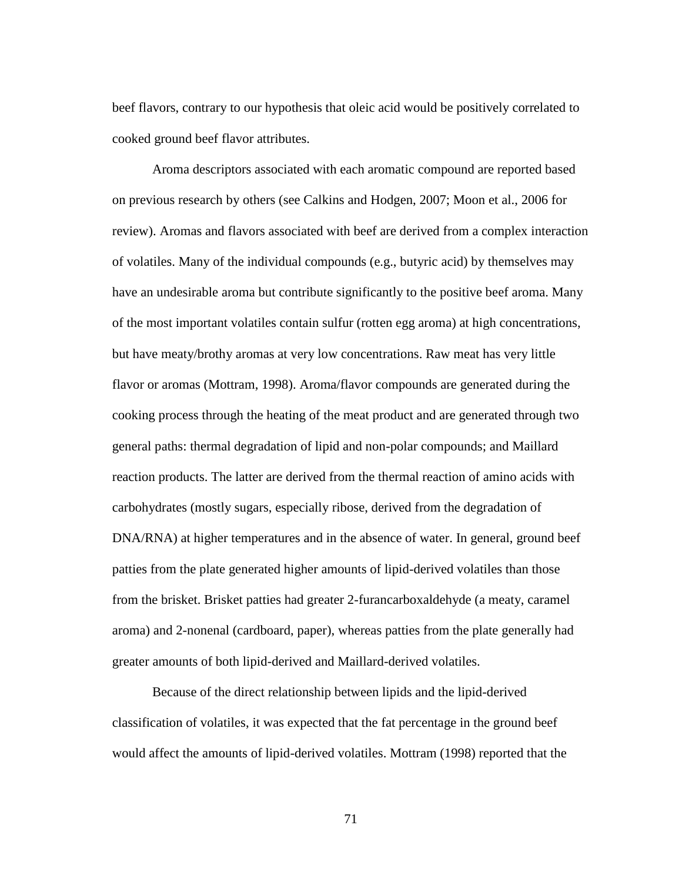beef flavors, contrary to our hypothesis that oleic acid would be positively correlated to cooked ground beef flavor attributes.

Aroma descriptors associated with each aromatic compound are reported based on previous research by others (see Calkins and Hodgen, 2007; Moon et al., 2006 for review). Aromas and flavors associated with beef are derived from a complex interaction of volatiles. Many of the individual compounds (e.g., butyric acid) by themselves may have an undesirable aroma but contribute significantly to the positive beef aroma. Many of the most important volatiles contain sulfur (rotten egg aroma) at high concentrations, but have meaty/brothy aromas at very low concentrations. Raw meat has very little flavor or aromas (Mottram, 1998). Aroma/flavor compounds are generated during the cooking process through the heating of the meat product and are generated through two general paths: thermal degradation of lipid and non-polar compounds; and Maillard reaction products. The latter are derived from the thermal reaction of amino acids with carbohydrates (mostly sugars, especially ribose, derived from the degradation of DNA/RNA) at higher temperatures and in the absence of water. In general, ground beef patties from the plate generated higher amounts of lipid-derived volatiles than those from the brisket. Brisket patties had greater 2-furancarboxaldehyde (a meaty, caramel aroma) and 2-nonenal (cardboard, paper), whereas patties from the plate generally had greater amounts of both lipid-derived and Maillard-derived volatiles.

Because of the direct relationship between lipids and the lipid-derived classification of volatiles, it was expected that the fat percentage in the ground beef would affect the amounts of lipid-derived volatiles. Mottram (1998) reported that the

71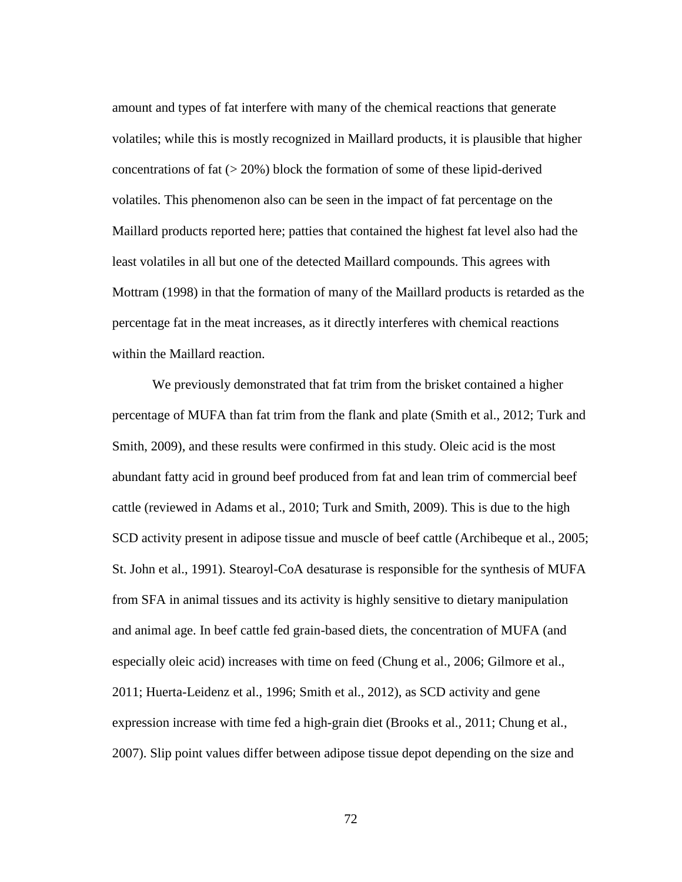amount and types of fat interfere with many of the chemical reactions that generate volatiles; while this is mostly recognized in Maillard products, it is plausible that higher concentrations of fat  $(> 20\%)$  block the formation of some of these lipid-derived volatiles. This phenomenon also can be seen in the impact of fat percentage on the Maillard products reported here; patties that contained the highest fat level also had the least volatiles in all but one of the detected Maillard compounds. This agrees with Mottram (1998) in that the formation of many of the Maillard products is retarded as the percentage fat in the meat increases, as it directly interferes with chemical reactions within the Maillard reaction.

We previously demonstrated that fat trim from the brisket contained a higher percentage of MUFA than fat trim from the flank and plate (Smith et al., 2012; Turk and Smith, 2009), and these results were confirmed in this study. Oleic acid is the most abundant fatty acid in ground beef produced from fat and lean trim of commercial beef cattle (reviewed in Adams et al., 2010; Turk and Smith, 2009). This is due to the high SCD activity present in adipose tissue and muscle of beef cattle (Archibeque et al., 2005; St. John et al., 1991). Stearoyl-CoA desaturase is responsible for the synthesis of MUFA from SFA in animal tissues and its activity is highly sensitive to dietary manipulation and animal age. In beef cattle fed grain-based diets, the concentration of MUFA (and especially oleic acid) increases with time on feed (Chung et al., 2006; Gilmore et al., 2011; Huerta-Leidenz et al., 1996; Smith et al., 2012), as SCD activity and gene expression increase with time fed a high-grain diet (Brooks et al., 2011; Chung et al., 2007). Slip point values differ between adipose tissue depot depending on the size and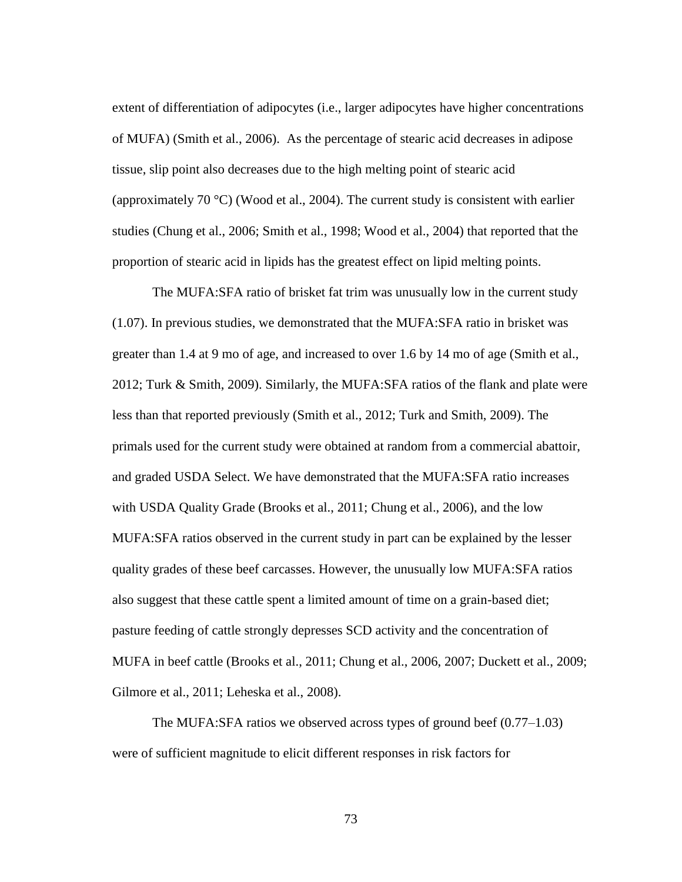extent of differentiation of adipocytes (i.e., larger adipocytes have higher concentrations of MUFA) (Smith et al., 2006). As the percentage of stearic acid decreases in adipose tissue, slip point also decreases due to the high melting point of stearic acid (approximately 70 °C) (Wood et al., 2004). The current study is consistent with earlier studies (Chung et al., 2006; Smith et al., 1998; Wood et al., 2004) that reported that the proportion of stearic acid in lipids has the greatest effect on lipid melting points.

The MUFA:SFA ratio of brisket fat trim was unusually low in the current study (1.07). In previous studies, we demonstrated that the MUFA:SFA ratio in brisket was greater than 1.4 at 9 mo of age, and increased to over 1.6 by 14 mo of age (Smith et al., 2012; Turk & Smith, 2009). Similarly, the MUFA:SFA ratios of the flank and plate were less than that reported previously (Smith et al., 2012; Turk and Smith, 2009). The primals used for the current study were obtained at random from a commercial abattoir, and graded USDA Select. We have demonstrated that the MUFA:SFA ratio increases with USDA Quality Grade (Brooks et al., 2011; Chung et al., 2006), and the low MUFA:SFA ratios observed in the current study in part can be explained by the lesser quality grades of these beef carcasses. However, the unusually low MUFA:SFA ratios also suggest that these cattle spent a limited amount of time on a grain-based diet; pasture feeding of cattle strongly depresses SCD activity and the concentration of MUFA in beef cattle (Brooks et al., 2011; Chung et al., 2006, 2007; Duckett et al., 2009; Gilmore et al., 2011; Leheska et al., 2008).

The MUFA:SFA ratios we observed across types of ground beef (0.77–1.03) were of sufficient magnitude to elicit different responses in risk factors for

73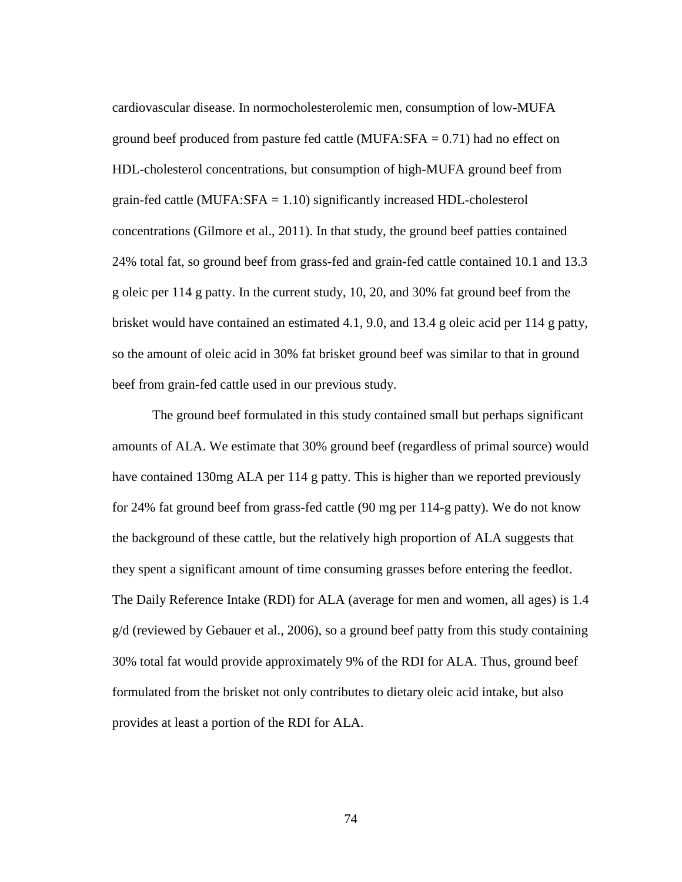cardiovascular disease. In normocholesterolemic men, consumption of low-MUFA ground beef produced from pasture fed cattle  $(MUFA:SFA = 0.71)$  had no effect on HDL-cholesterol concentrations, but consumption of high-MUFA ground beef from grain-fed cattle (MUFA:SFA = 1.10) significantly increased HDL-cholesterol concentrations (Gilmore et al., 2011). In that study, the ground beef patties contained 24% total fat, so ground beef from grass-fed and grain-fed cattle contained 10.1 and 13.3 g oleic per 114 g patty. In the current study, 10, 20, and 30% fat ground beef from the brisket would have contained an estimated 4.1, 9.0, and 13.4 g oleic acid per 114 g patty, so the amount of oleic acid in 30% fat brisket ground beef was similar to that in ground beef from grain-fed cattle used in our previous study.

The ground beef formulated in this study contained small but perhaps significant amounts of ALA. We estimate that 30% ground beef (regardless of primal source) would have contained 130mg ALA per 114 g patty. This is higher than we reported previously for 24% fat ground beef from grass-fed cattle (90 mg per 114-g patty). We do not know the background of these cattle, but the relatively high proportion of ALA suggests that they spent a significant amount of time consuming grasses before entering the feedlot. The Daily Reference Intake (RDI) for ALA (average for men and women, all ages) is 1.4 g/d (reviewed by Gebauer et al., 2006), so a ground beef patty from this study containing 30% total fat would provide approximately 9% of the RDI for ALA. Thus, ground beef formulated from the brisket not only contributes to dietary oleic acid intake, but also provides at least a portion of the RDI for ALA.

74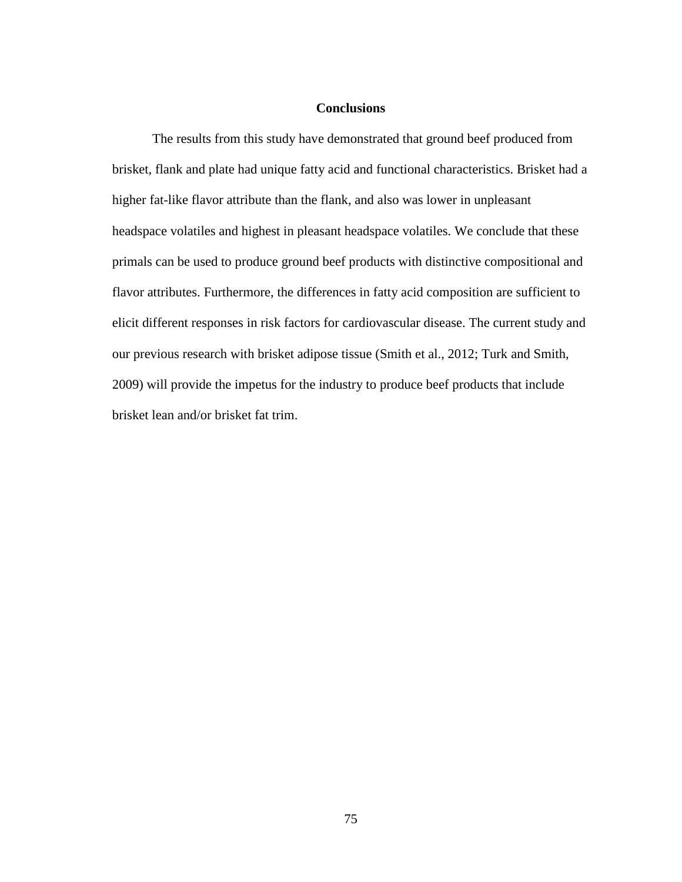#### **Conclusions**

The results from this study have demonstrated that ground beef produced from brisket, flank and plate had unique fatty acid and functional characteristics. Brisket had a higher fat-like flavor attribute than the flank, and also was lower in unpleasant headspace volatiles and highest in pleasant headspace volatiles. We conclude that these primals can be used to produce ground beef products with distinctive compositional and flavor attributes. Furthermore, the differences in fatty acid composition are sufficient to elicit different responses in risk factors for cardiovascular disease. The current study and our previous research with brisket adipose tissue (Smith et al., 2012; Turk and Smith, 2009) will provide the impetus for the industry to produce beef products that include brisket lean and/or brisket fat trim.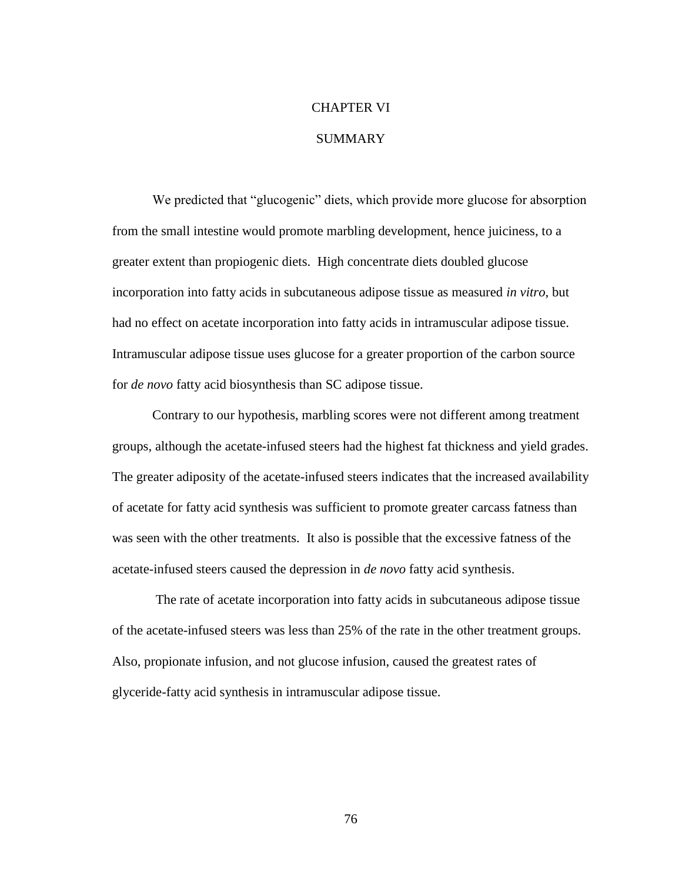# CHAPTER VI

## **SUMMARY**

We predicted that "glucogenic" diets, which provide more glucose for absorption from the small intestine would promote marbling development, hence juiciness, to a greater extent than propiogenic diets. High concentrate diets doubled glucose incorporation into fatty acids in subcutaneous adipose tissue as measured *in vitro*, but had no effect on acetate incorporation into fatty acids in intramuscular adipose tissue. Intramuscular adipose tissue uses glucose for a greater proportion of the carbon source for *de novo* fatty acid biosynthesis than SC adipose tissue.

Contrary to our hypothesis, marbling scores were not different among treatment groups, although the acetate-infused steers had the highest fat thickness and yield grades. The greater adiposity of the acetate-infused steers indicates that the increased availability of acetate for fatty acid synthesis was sufficient to promote greater carcass fatness than was seen with the other treatments. It also is possible that the excessive fatness of the acetate-infused steers caused the depression in *de novo* fatty acid synthesis.

The rate of acetate incorporation into fatty acids in subcutaneous adipose tissue of the acetate-infused steers was less than 25% of the rate in the other treatment groups. Also, propionate infusion, and not glucose infusion, caused the greatest rates of glyceride-fatty acid synthesis in intramuscular adipose tissue.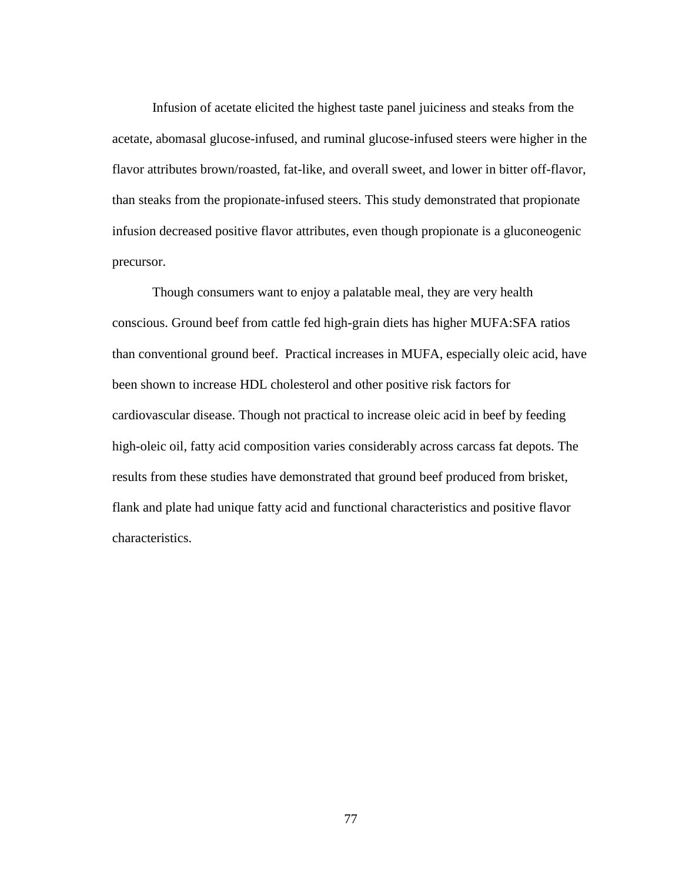Infusion of acetate elicited the highest taste panel juiciness and steaks from the acetate, abomasal glucose-infused, and ruminal glucose-infused steers were higher in the flavor attributes brown/roasted, fat-like, and overall sweet, and lower in bitter off-flavor, than steaks from the propionate-infused steers. This study demonstrated that propionate infusion decreased positive flavor attributes, even though propionate is a gluconeogenic precursor.

Though consumers want to enjoy a palatable meal, they are very health conscious. Ground beef from cattle fed high-grain diets has higher MUFA:SFA ratios than conventional ground beef. Practical increases in MUFA, especially oleic acid, have been shown to increase HDL cholesterol and other positive risk factors for cardiovascular disease. Though not practical to increase oleic acid in beef by feeding high-oleic oil, fatty acid composition varies considerably across carcass fat depots. The results from these studies have demonstrated that ground beef produced from brisket, flank and plate had unique fatty acid and functional characteristics and positive flavor characteristics.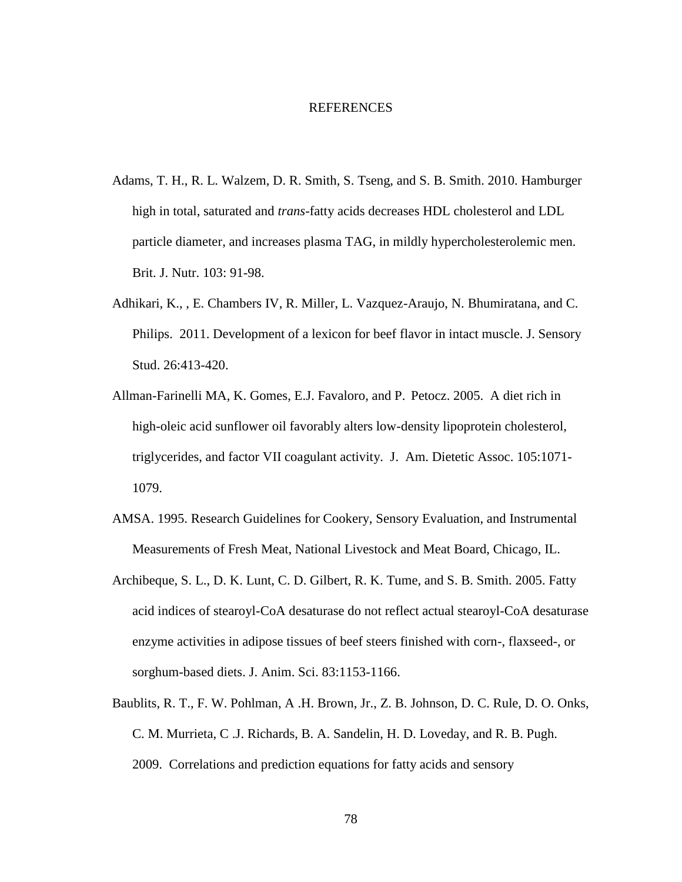#### REFERENCES

- Adams, T. H., R. L. Walzem, D. R. Smith, S. Tseng, and S. B. Smith. 2010. Hamburger high in total, saturated and *trans*-fatty acids decreases HDL cholesterol and LDL particle diameter, and increases plasma TAG, in mildly hypercholesterolemic men*.*  Brit. J. Nutr. 103: 91-98.
- Adhikari, K., , E. Chambers IV, R. Miller, L. Vazquez-Araujo, N. Bhumiratana, and C. Philips. 2011. Development of a lexicon for beef flavor in intact muscle. J. Sensory Stud. 26:413-420.
- Allman-Farinelli MA, K. Gomes, E.J. Favaloro, and P. Petocz. 2005. A diet rich in high-oleic acid sunflower oil favorably alters low-density lipoprotein cholesterol, triglycerides, and factor VII coagulant activity. J. Am. Dietetic Assoc. 105:1071- 1079.
- AMSA. 1995. Research Guidelines for Cookery, Sensory Evaluation, and Instrumental Measurements of Fresh Meat, National Livestock and Meat Board, Chicago, IL.
- Archibeque, S. L., D. K. Lunt, C. D. Gilbert, R. K. Tume, and S. B. Smith. 2005. Fatty acid indices of stearoyl-CoA desaturase do not reflect actual stearoyl-CoA desaturase enzyme activities in adipose tissues of beef steers finished with corn-, flaxseed-, or sorghum-based diets. J. Anim. Sci. 83:1153-1166.
- Baublits, R. T., F. W. Pohlman, A .H. Brown, Jr., Z. B. Johnson, D. C. Rule, D. O. Onks, C. M. Murrieta, C .J. Richards, B. A. Sandelin, H. D. Loveday, and R. B. Pugh. 2009. Correlations and prediction equations for fatty acids and sensory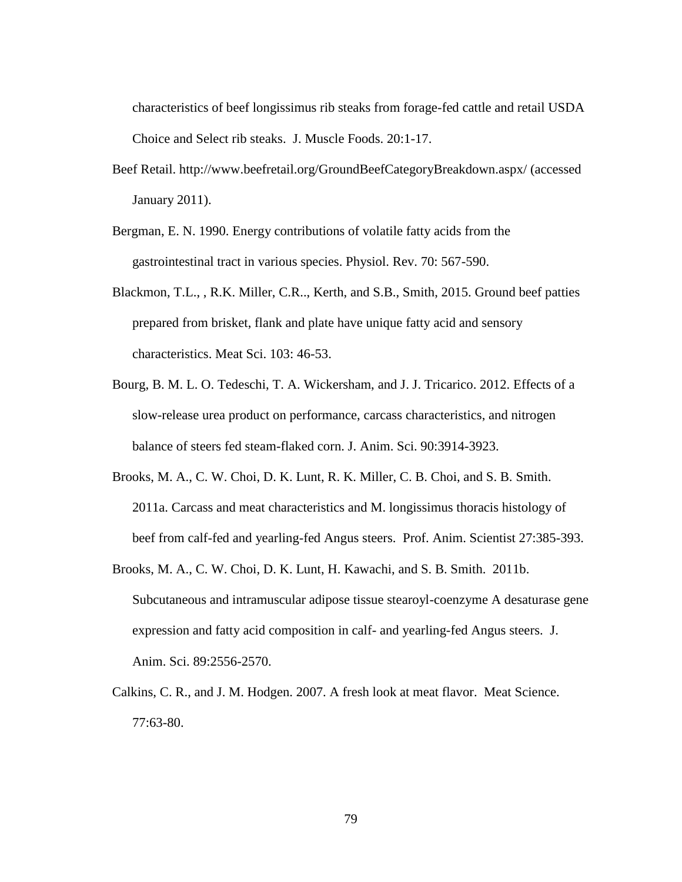characteristics of beef longissimus rib steaks from forage-fed cattle and retail USDA Choice and Select rib steaks. J. Muscle Foods. 20:1-17.

- Beef Retail. http://www.beefretail.org/GroundBeefCategoryBreakdown.aspx/ (accessed January 2011).
- Bergman, E. N. 1990. Energy contributions of volatile fatty acids from the gastrointestinal tract in various species. Physiol. Rev. 70: 567-590.
- Blackmon, T.L., , R.K. Miller, C.R.., Kerth, and S.B., Smith, 2015. Ground beef patties prepared from brisket, flank and plate have unique fatty acid and sensory characteristics. Meat Sci. 103: 46-53.
- Bourg, B. M. L. O. Tedeschi, T. A. Wickersham, and J. J. Tricarico. 2012. Effects of a slow-release urea product on performance, carcass characteristics, and nitrogen balance of steers fed steam-flaked corn. J. Anim. Sci. 90:3914-3923.
- Brooks, M. A., C. W. Choi, D. K. Lunt, R. K. Miller, C. B. Choi, and S. B. Smith. 2011a. Carcass and meat characteristics and M. longissimus thoracis histology of beef from calf-fed and yearling-fed Angus steers. Prof. Anim. Scientist 27:385-393.
- Brooks, M. A., C. W. Choi, D. K. Lunt, H. Kawachi, and S. B. Smith. 2011b. Subcutaneous and intramuscular adipose tissue stearoyl-coenzyme A desaturase gene expression and fatty acid composition in calf- and yearling-fed Angus steers. J. Anim. Sci. 89:2556-2570.
- Calkins, C. R., and J. M. Hodgen. 2007. A fresh look at meat flavor. Meat Science. 77:63-80.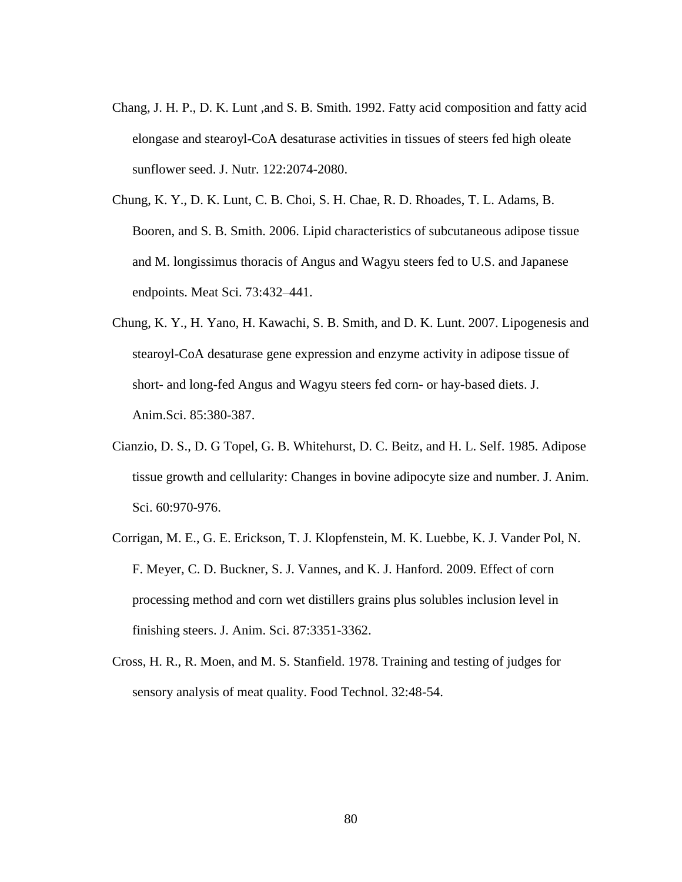- Chang, J. H. P., D. K. Lunt ,and S. B. Smith. 1992. Fatty acid composition and fatty acid elongase and stearoyl-CoA desaturase activities in tissues of steers fed high oleate sunflower seed. J. Nutr. 122:2074-2080.
- Chung, K. Y., D. K. Lunt, C. B. Choi, S. H. Chae, R. D. Rhoades, T. L. Adams, B. Booren, and S. B. Smith. 2006. Lipid characteristics of subcutaneous adipose tissue and M. longissimus thoracis of Angus and Wagyu steers fed to U.S. and Japanese endpoints. Meat Sci. 73:432–441.
- Chung, K. Y., H. Yano, H. Kawachi, S. B. Smith, and D. K. Lunt. 2007. Lipogenesis and stearoyl-CoA desaturase gene expression and enzyme activity in adipose tissue of short- and long-fed Angus and Wagyu steers fed corn- or hay-based diets. J. Anim.Sci. 85:380-387.
- Cianzio, D. S., D. G Topel, G. B. Whitehurst, D. C. Beitz, and H. L. Self. 1985. Adipose tissue growth and cellularity: Changes in bovine adipocyte size and number. J. Anim. Sci. 60:970-976.
- Corrigan, M. E., G. E. Erickson, T. J. Klopfenstein, M. K. Luebbe, K. J. Vander Pol, N. F. Meyer, C. D. Buckner, S. J. Vannes, and K. J. Hanford. 2009. Effect of corn processing method and corn wet distillers grains plus solubles inclusion level in finishing steers. J. Anim. Sci. 87:3351-3362.
- Cross, H. R., R. Moen, and M. S. Stanfield. 1978. Training and testing of judges for sensory analysis of meat quality. Food Technol. 32:48-54.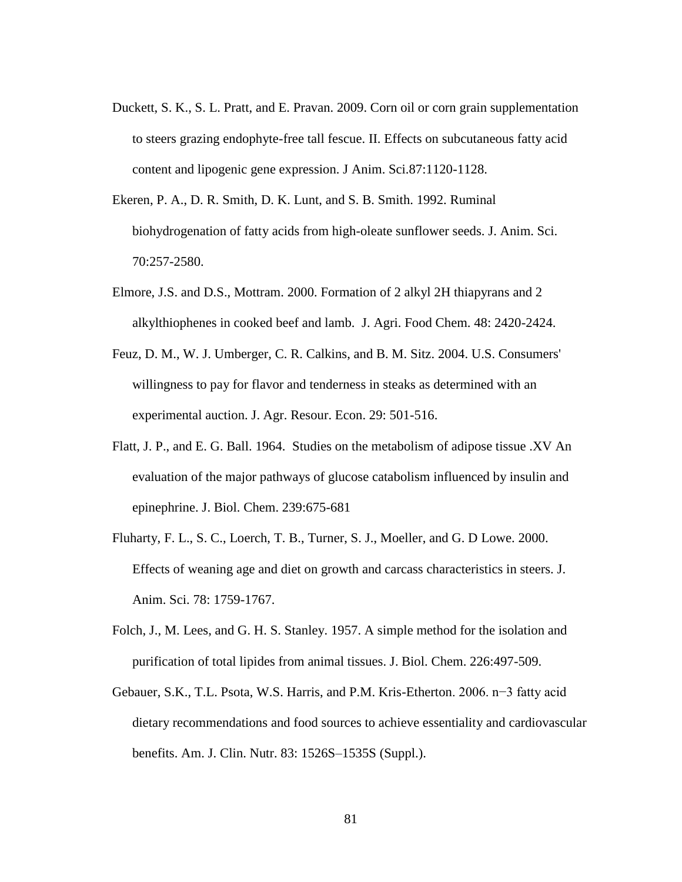- Duckett, S. K., S. L. Pratt, and E. Pravan. 2009. Corn oil or corn grain supplementation to steers grazing endophyte-free tall fescue. II. Effects on subcutaneous fatty acid content and lipogenic gene expression. J Anim. Sci.87:1120-1128.
- Ekeren, P. A., D. R. Smith, D. K. Lunt, and S. B. Smith. 1992. Ruminal biohydrogenation of fatty acids from high-oleate sunflower seeds. J. Anim. Sci. 70:257-2580.
- Elmore, J.S. and D.S., Mottram. 2000. Formation of 2 alkyl 2H thiapyrans and 2 alkylthiophenes in cooked beef and lamb. J. Agri. Food Chem. 48: 2420-2424.
- Feuz, D. M., W. J. Umberger, C. R. Calkins, and B. M. Sitz. 2004. U.S. Consumers' willingness to pay for flavor and tenderness in steaks as determined with an experimental auction. J. Agr. Resour. Econ. 29: 501-516.
- Flatt, J. P., and E. G. Ball. 1964. Studies on the metabolism of adipose tissue .XV An evaluation of the major pathways of glucose catabolism influenced by insulin and epinephrine. J. Biol. Chem. 239:675-681
- Fluharty, F. L., S. C., Loerch, T. B., Turner, S. J., Moeller, and G. D Lowe. 2000. Effects of weaning age and diet on growth and carcass characteristics in steers. J. Anim. Sci. 78: 1759-1767.
- Folch, J., M. Lees, and G. H. S. Stanley. 1957. A simple method for the isolation and purification of total lipides from animal tissues. J. Biol. Chem. 226:497-509.
- Gebauer, S.K., T.L. Psota, W.S. Harris, and P.M. Kris-Etherton. 2006. n−3 fatty acid dietary recommendations and food sources to achieve essentiality and cardiovascular benefits. Am. J. Clin. Nutr. 83: 1526S–1535S (Suppl.).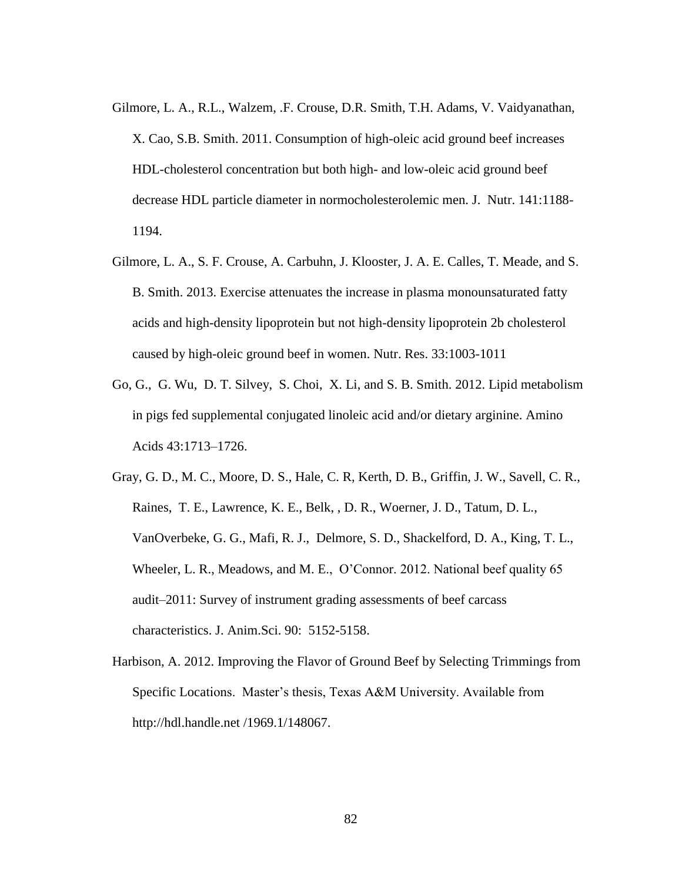- Gilmore, L. A., R.L., Walzem, .F. Crouse, D.R. Smith, T.H. Adams, V. Vaidyanathan, X. Cao, S.B. Smith. 2011. Consumption of high-oleic acid ground beef increases HDL-cholesterol concentration but both high- and low-oleic acid ground beef decrease HDL particle diameter in normocholesterolemic men. J. Nutr. 141:1188- 1194.
- Gilmore, L. A., S. F. Crouse, A. Carbuhn, J. Klooster, J. A. E. Calles, T. Meade, and S. B. Smith. 2013. Exercise attenuates the increase in plasma monounsaturated fatty acids and high-density lipoprotein but not high-density lipoprotein 2b cholesterol caused by high-oleic ground beef in women. Nutr. Res. 33:1003-1011
- Go, G., G. Wu, D. T. Silvey, S. Choi, X. Li, and S. B. Smith. 2012. Lipid metabolism in pigs fed supplemental conjugated linoleic acid and/or dietary arginine. Amino Acids 43:1713–1726.
- Gray, G. D., M. C., Moore, D. S., Hale, C. R, Kerth, D. B., Griffin, J. W., Savell, C. R., Raines, T. E., Lawrence, K. E., Belk, , D. R., Woerner, J. D., Tatum, D. L., VanOverbeke, G. G., Mafi, R. J., Delmore, S. D., Shackelford, D. A., King, T. L., Wheeler, L. R., Meadows, and M. E., O'Connor. 2012. National beef quality 65 audit–2011: Survey of instrument grading assessments of beef carcass characteristics. J. Anim.Sci. 90: 5152-5158.
- Harbison, A. 2012. Improving the Flavor of Ground Beef by Selecting Trimmings from Specific Locations. Master's thesis, Texas A&M University. Available from http://hdl.handle.net /1969.1/148067.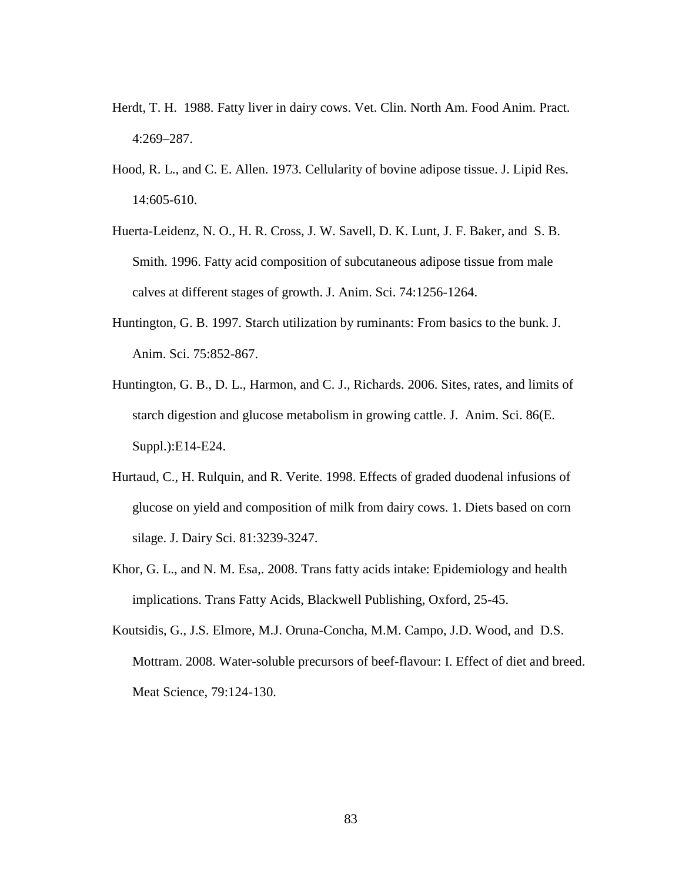- Herdt, T. H. 1988. Fatty liver in dairy cows. Vet. Clin. North Am. Food Anim. Pract. 4:269–287.
- Hood, R. L., and C. E. Allen. 1973. Cellularity of bovine adipose tissue. J. Lipid Res. 14:605-610.
- Huerta-Leidenz, N. O., H. R. Cross, J. W. Savell, D. K. Lunt, J. F. Baker, and S. B. Smith. 1996. Fatty acid composition of subcutaneous adipose tissue from male calves at different stages of growth. J. Anim. Sci. 74:1256-1264.
- Huntington, G. B. 1997. Starch utilization by ruminants: From basics to the bunk. J. Anim. Sci. 75:852-867.
- Huntington, G. B., D. L., Harmon, and C. J., Richards. 2006. Sites, rates, and limits of starch digestion and glucose metabolism in growing cattle. J. Anim. Sci. 86(E. Suppl.):E14-E24.
- Hurtaud, C., H. Rulquin, and R. Verite. 1998. Effects of graded duodenal infusions of glucose on yield and composition of milk from dairy cows. 1. Diets based on corn silage. J. Dairy Sci. 81:3239-3247.
- Khor, G. L., and N. M. Esa,. 2008. Trans fatty acids intake: Epidemiology and health implications. Trans Fatty Acids, Blackwell Publishing, Oxford, 25-45.
- Koutsidis, G., J.S. Elmore, M.J. Oruna-Concha, M.M. Campo, J.D. Wood, and D.S. Mottram. 2008. Water-soluble precursors of beef-flavour: I. Effect of diet and breed. Meat Science, 79:124-130.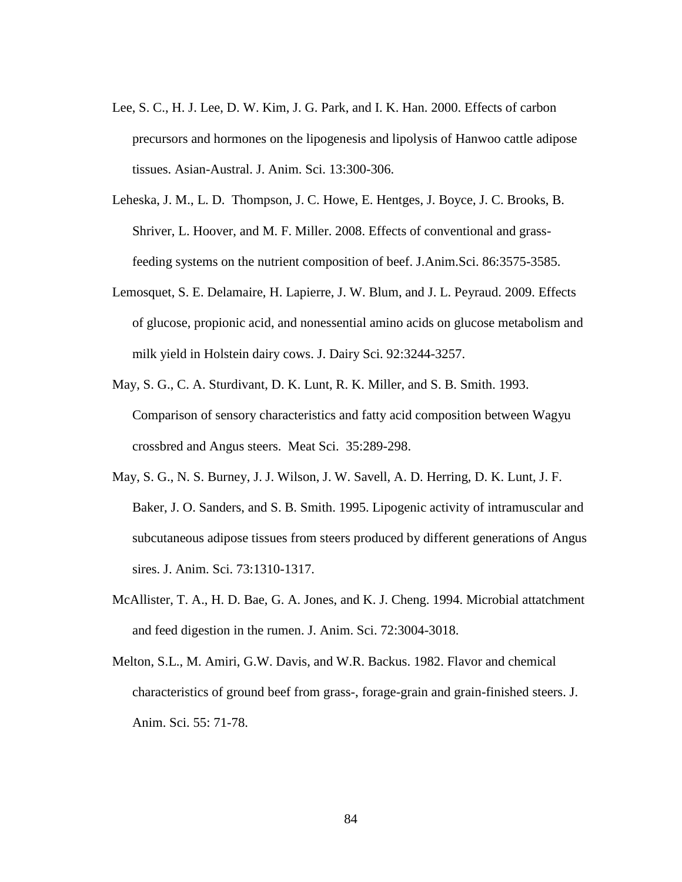- Lee, S. C., H. J. Lee, D. W. Kim, J. G. Park, and I. K. Han. 2000. Effects of carbon precursors and hormones on the lipogenesis and lipolysis of Hanwoo cattle adipose tissues. Asian-Austral. J. Anim. Sci. 13:300-306.
- Leheska, J. M., L. D. Thompson, J. C. Howe, E. Hentges, J. Boyce, J. C. Brooks, B. Shriver, L. Hoover, and M. F. Miller. 2008. Effects of conventional and grassfeeding systems on the nutrient composition of beef. J.Anim.Sci. 86:3575-3585.
- Lemosquet, S. E. Delamaire, H. Lapierre, J. W. Blum, and J. L. Peyraud. 2009. Effects of glucose, propionic acid, and nonessential amino acids on glucose metabolism and milk yield in Holstein dairy cows. J. Dairy Sci. 92:3244-3257.
- May, S. G., C. A. Sturdivant, D. K. Lunt, R. K. Miller, and S. B. Smith. 1993. Comparison of sensory characteristics and fatty acid composition between Wagyu crossbred and Angus steers. Meat Sci. 35:289-298.
- May, S. G., N. S. Burney, J. J. Wilson, J. W. Savell, A. D. Herring, D. K. Lunt, J. F. Baker, J. O. Sanders, and S. B. Smith. 1995. Lipogenic activity of intramuscular and subcutaneous adipose tissues from steers produced by different generations of Angus sires. J. Anim. Sci. 73:1310-1317.
- McAllister, T. A., H. D. Bae, G. A. Jones, and K. J. Cheng. 1994. Microbial attatchment and feed digestion in the rumen. J. Anim. Sci. 72:3004-3018.
- Melton, S.L., M. Amiri, G.W. Davis, and W.R. Backus. 1982. Flavor and chemical characteristics of ground beef from grass-, forage-grain and grain-finished steers. J. Anim. Sci. 55: 71-78.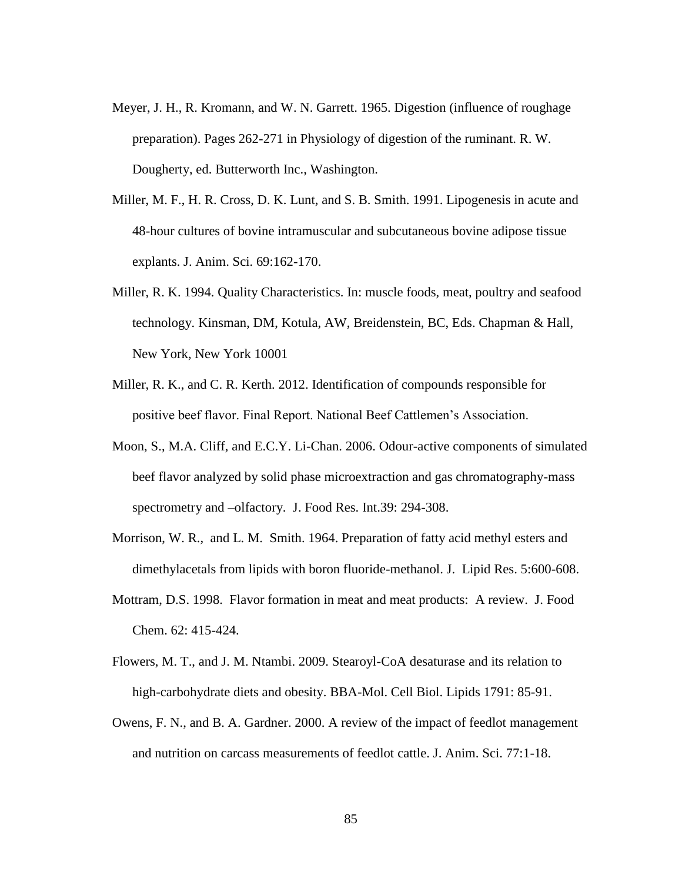- Meyer, J. H., R. Kromann, and W. N. Garrett. 1965. Digestion (influence of roughage preparation). Pages 262-271 in Physiology of digestion of the ruminant. R. W. Dougherty, ed. Butterworth Inc., Washington.
- Miller, M. F., H. R. Cross, D. K. Lunt, and S. B. Smith. 1991. Lipogenesis in acute and 48-hour cultures of bovine intramuscular and subcutaneous bovine adipose tissue explants. J. Anim. Sci. 69:162-170.
- Miller, R. K. 1994. Quality Characteristics. In: muscle foods, meat, poultry and seafood technology. Kinsman, DM, Kotula, AW, Breidenstein, BC, Eds. Chapman & Hall, New York, New York 10001
- Miller, R. K., and C. R. Kerth. 2012. Identification of compounds responsible for positive beef flavor. Final Report. National Beef Cattlemen's Association.
- Moon, S., M.A. Cliff, and E.C.Y. Li-Chan. 2006. Odour-active components of simulated beef flavor analyzed by solid phase microextraction and gas chromatography-mass spectrometry and –olfactory. J. Food Res. Int.39: 294-308.
- Morrison, W. R., and L. M. Smith. 1964. Preparation of fatty acid methyl esters and dimethylacetals from lipids with boron fluoride-methanol. J. Lipid Res. 5:600-608.
- Mottram, D.S. 1998. Flavor formation in meat and meat products: A review. J. Food Chem. 62: 415-424.
- Flowers, M. T., and J. M. Ntambi. 2009. Stearoyl-CoA desaturase and its relation to high-carbohydrate diets and obesity. BBA-Mol. Cell Biol. Lipids 1791: 85-91.
- Owens, F. N., and B. A. Gardner. 2000. A review of the impact of feedlot management and nutrition on carcass measurements of feedlot cattle. J. Anim. Sci. 77:1-18.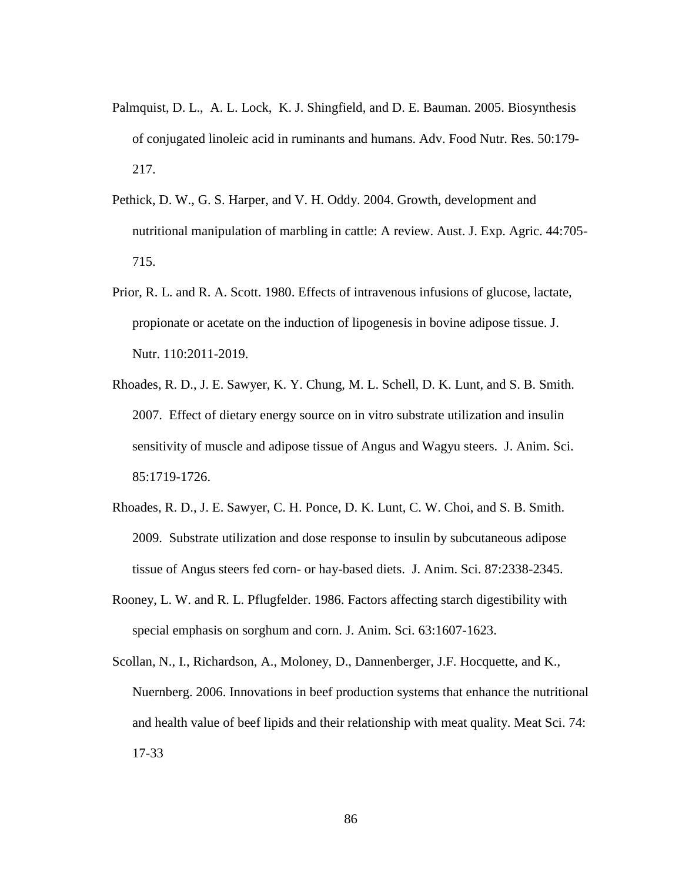- Palmquist, D. L., A. L. Lock, K. J. Shingfield, and D. E. Bauman. 2005. Biosynthesis of conjugated linoleic acid in ruminants and humans. Adv. Food Nutr. Res. 50:179- 217.
- Pethick, D. W., G. S. Harper, and V. H. Oddy. 2004. Growth, development and nutritional manipulation of marbling in cattle: A review. Aust. J. Exp. Agric. 44:705- 715.
- Prior, R. L. and R. A. Scott. 1980. Effects of intravenous infusions of glucose, lactate, propionate or acetate on the induction of lipogenesis in bovine adipose tissue. J. Nutr. 110:2011-2019.
- Rhoades, R. D., J. E. Sawyer, K. Y. Chung, M. L. Schell, D. K. Lunt, and S. B. Smith. 2007. Effect of dietary energy source on in vitro substrate utilization and insulin sensitivity of muscle and adipose tissue of Angus and Wagyu steers. J. Anim. Sci. 85:1719-1726.
- Rhoades, R. D., J. E. Sawyer, C. H. Ponce, D. K. Lunt, C. W. Choi, and S. B. Smith. 2009. Substrate utilization and dose response to insulin by subcutaneous adipose tissue of Angus steers fed corn- or hay-based diets. J. Anim. Sci. 87:2338-2345.
- Rooney, L. W. and R. L. Pflugfelder. 1986. Factors affecting starch digestibility with special emphasis on sorghum and corn. J. Anim. Sci. 63:1607-1623.
- Scollan, N., I., Richardson, A., Moloney, D., Dannenberger, J.F. Hocquette, and K., Nuernberg. 2006. Innovations in beef production systems that enhance the nutritional and health value of beef lipids and their relationship with meat quality. Meat Sci. 74: 17-33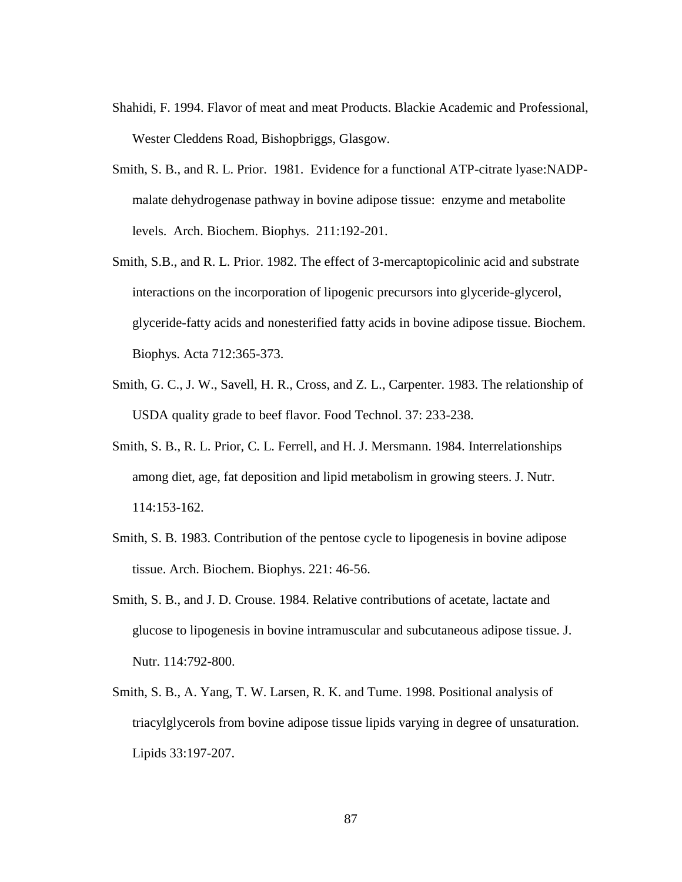- Shahidi, F. 1994. Flavor of meat and meat Products. Blackie Academic and Professional, Wester Cleddens Road, Bishopbriggs, Glasgow.
- Smith, S. B., and R. L. Prior. 1981. Evidence for a functional ATP-citrate lyase:NADPmalate dehydrogenase pathway in bovine adipose tissue: enzyme and metabolite levels. Arch. Biochem. Biophys. 211:192-201.
- Smith, S.B., and R. L. Prior. 1982. The effect of 3-mercaptopicolinic acid and substrate interactions on the incorporation of lipogenic precursors into glyceride-glycerol, glyceride-fatty acids and nonesterified fatty acids in bovine adipose tissue. Biochem. Biophys. Acta 712:365-373.
- Smith, G. C., J. W., Savell, H. R., Cross, and Z. L., Carpenter. 1983. The relationship of USDA quality grade to beef flavor. Food Technol. 37: 233-238.
- Smith, S. B., R. L. Prior, C. L. Ferrell, and H. J. Mersmann. 1984. Interrelationships among diet, age, fat deposition and lipid metabolism in growing steers. J. Nutr. 114:153-162.
- Smith, S. B. 1983. Contribution of the pentose cycle to lipogenesis in bovine adipose tissue. Arch. Biochem. Biophys. 221: 46-56.
- Smith, S. B., and J. D. Crouse. 1984. Relative contributions of acetate, lactate and glucose to lipogenesis in bovine intramuscular and subcutaneous adipose tissue. J. Nutr. 114:792-800.
- Smith, S. B., A. Yang, T. W. Larsen, R. K. and Tume. 1998. Positional analysis of triacylglycerols from bovine adipose tissue lipids varying in degree of unsaturation. Lipids 33:197-207.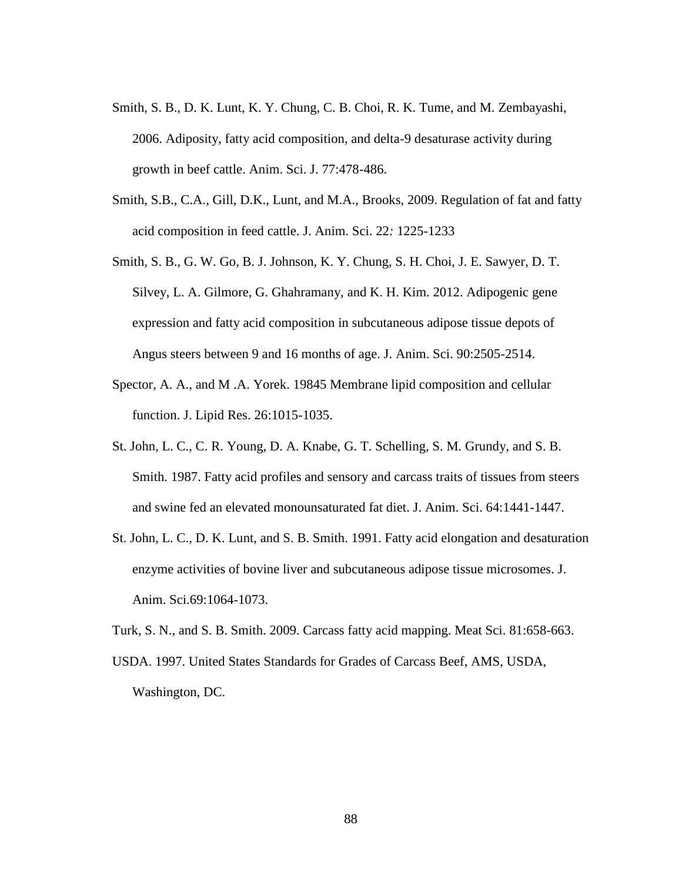- Smith, S. B., D. K. Lunt, K. Y. Chung, C. B. Choi, R. K. Tume, and M. Zembayashi, 2006. Adiposity, fatty acid composition, and delta-9 desaturase activity during growth in beef cattle. Anim. Sci. J. 77:478-486.
- Smith, S.B., C.A., Gill, D.K., Lunt, and M.A., Brooks, 2009. Regulation of fat and fatty acid composition in feed cattle. J. Anim. Sci. 22*:* 1225-1233
- Smith, S. B., G. W. Go, B. J. Johnson, K. Y. Chung, S. H. Choi, J. E. Sawyer, D. T. Silvey, L. A. Gilmore, G. Ghahramany, and K. H. Kim. 2012. Adipogenic gene expression and fatty acid composition in subcutaneous adipose tissue depots of Angus steers between 9 and 16 months of age. J. Anim. Sci. 90:2505-2514.
- Spector, A. A., and M .A. Yorek. 19845 Membrane lipid composition and cellular function. J. Lipid Res. 26:1015-1035.
- St. John, L. C., C. R. Young, D. A. Knabe, G. T. Schelling, S. M. Grundy, and S. B. Smith. 1987. Fatty acid profiles and sensory and carcass traits of tissues from steers and swine fed an elevated monounsaturated fat diet. J. Anim. Sci. 64:1441-1447.
- St. John, L. C., D. K. Lunt, and S. B. Smith. 1991. Fatty acid elongation and desaturation enzyme activities of bovine liver and subcutaneous adipose tissue microsomes. J. Anim. Sci.69:1064-1073.
- Turk, S. N., and S. B. Smith. 2009. Carcass fatty acid mapping. Meat Sci. 81:658-663.
- USDA. 1997. United States Standards for Grades of Carcass Beef, AMS, USDA, Washington, DC.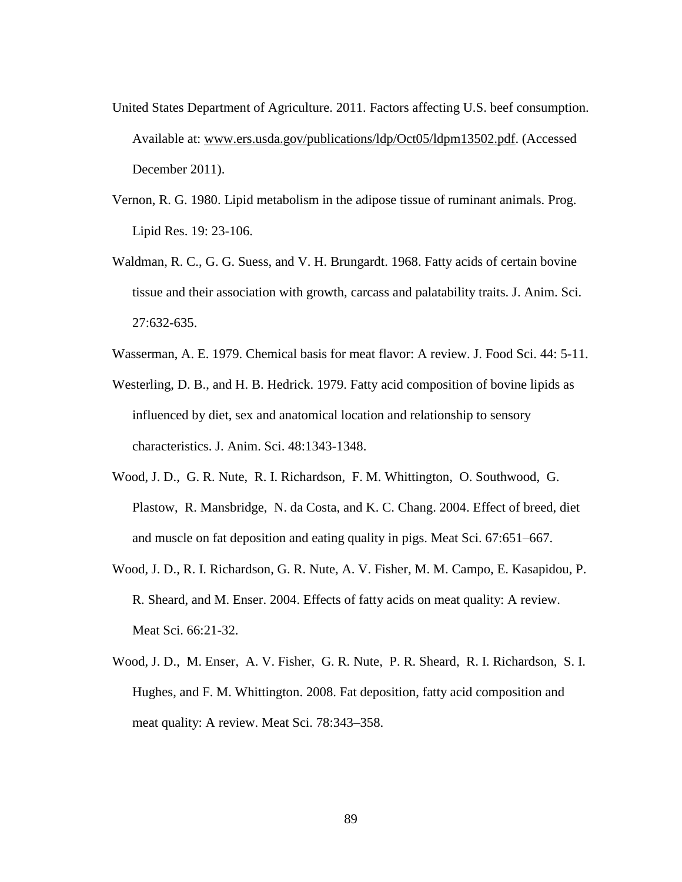- United States Department of Agriculture. 2011. Factors affecting U.S. beef consumption. Available at: [www.ers.usda.gov/publications/ldp/Oct05/ldpm13502.pdf.](http://www.ers.usda.gov/publications/ldp/Oct05/ldpm13502.pdf) (Accessed December 2011).
- Vernon, R. G. 1980. Lipid metabolism in the adipose tissue of ruminant animals. Prog. Lipid Res. 19: 23-106.
- Waldman, R. C., G. G. Suess, and V. H. Brungardt. 1968. Fatty acids of certain bovine tissue and their association with growth, carcass and palatability traits. J. Anim. Sci. 27:632-635.
- Wasserman, A. E. 1979. Chemical basis for meat flavor: A review. J. Food Sci. 44: 5-11.
- Westerling, D. B., and H. B. Hedrick. 1979. Fatty acid composition of bovine lipids as influenced by diet, sex and anatomical location and relationship to sensory characteristics. J. Anim. Sci. 48:1343-1348.
- Wood, J. D., G. R. Nute, R. I. Richardson, F. M. Whittington, O. Southwood, G. Plastow, R. Mansbridge, N. da Costa, and K. C. Chang. 2004. Effect of breed, diet and muscle on fat deposition and eating quality in pigs. Meat Sci. 67:651–667.
- Wood, J. D., R. I. Richardson, G. R. Nute, A. V. Fisher, M. M. Campo, E. Kasapidou, P. R. Sheard, and M. Enser. 2004. Effects of fatty acids on meat quality: A review. Meat Sci. 66:21-32.
- Wood, J. D., M. Enser, A. V. Fisher, G. R. Nute, P. R. Sheard, R. I. Richardson, S. I. Hughes, and F. M. Whittington. 2008. Fat deposition, fatty acid composition and meat quality: A review. Meat Sci. 78:343–358.